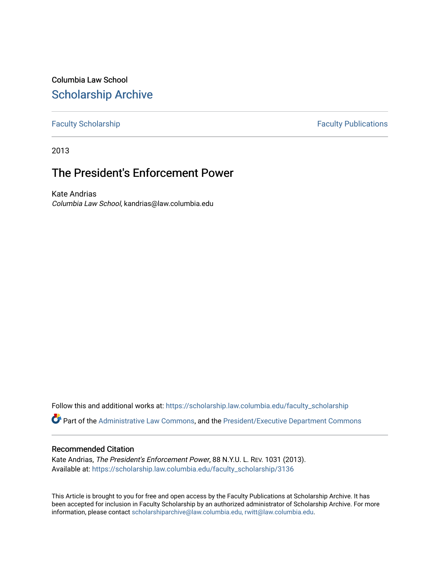Columbia Law School [Scholarship Archive](https://scholarship.law.columbia.edu/) 

[Faculty Scholarship](https://scholarship.law.columbia.edu/faculty_scholarship) **Faculty Scholarship Faculty Publications** 

2013

# The President's Enforcement Power

Kate Andrias Columbia Law School, kandrias@law.columbia.edu

Follow this and additional works at: [https://scholarship.law.columbia.edu/faculty\\_scholarship](https://scholarship.law.columbia.edu/faculty_scholarship?utm_source=scholarship.law.columbia.edu%2Ffaculty_scholarship%2F3136&utm_medium=PDF&utm_campaign=PDFCoverPages)

Part of the [Administrative Law Commons,](http://network.bepress.com/hgg/discipline/579?utm_source=scholarship.law.columbia.edu%2Ffaculty_scholarship%2F3136&utm_medium=PDF&utm_campaign=PDFCoverPages) and the [President/Executive Department Commons](http://network.bepress.com/hgg/discipline/1118?utm_source=scholarship.law.columbia.edu%2Ffaculty_scholarship%2F3136&utm_medium=PDF&utm_campaign=PDFCoverPages)

#### Recommended Citation

Kate Andrias, The President's Enforcement Power, 88 N.Y.U. L. REV. 1031 (2013). Available at: [https://scholarship.law.columbia.edu/faculty\\_scholarship/3136](https://scholarship.law.columbia.edu/faculty_scholarship/3136?utm_source=scholarship.law.columbia.edu%2Ffaculty_scholarship%2F3136&utm_medium=PDF&utm_campaign=PDFCoverPages)

This Article is brought to you for free and open access by the Faculty Publications at Scholarship Archive. It has been accepted for inclusion in Faculty Scholarship by an authorized administrator of Scholarship Archive. For more information, please contact [scholarshiparchive@law.columbia.edu, rwitt@law.columbia.edu](mailto:scholarshiparchive@law.columbia.edu,%20rwitt@law.columbia.edu).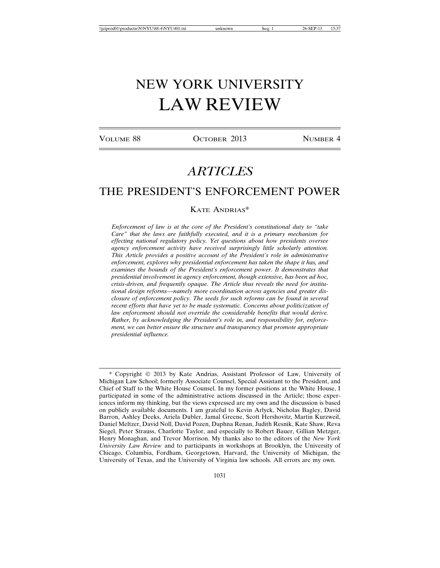# NEW YORK UNIVERSITY LAW REVIEW

VOLUME 88 **OCTOBER 2013** NUMBER 4

# *ARTICLES*

## THE PRESIDENT'S ENFORCEMENT POWER

#### KATE ANDRIAS\*

*Enforcement of law is at the core of the President's constitutional duty to "take Care" that the laws are faithfully executed, and it is a primary mechanism for effecting national regulatory policy. Yet questions about how presidents oversee agency enforcement activity have received surprisingly little scholarly attention. This Article provides a positive account of the President's role in administrative enforcement, explores why presidential enforcement has taken the shape it has, and examines the bounds of the President's enforcement power. It demonstrates that presidential involvement in agency enforcement, though extensive, has been ad hoc, crisis-driven, and frequently opaque. The Article thus reveals the need for institutional design reforms—namely more coordination across agencies and greater disclosure of enforcement policy. The seeds for such reforms can be found in several recent efforts that have yet to be made systematic. Concerns about politicization of law enforcement should not override the considerable benefits that would derive. Rather, by acknowledging the President's role in, and responsibility for, enforcement, we can better ensure the structure and transparency that promote appropriate presidential influence.*

<sup>\*</sup> Copyright © 2013 by Kate Andrias, Assistant Professor of Law, University of Michigan Law School; formerly Associate Counsel, Special Assistant to the President, and Chief of Staff to the White House Counsel. In my former positions at the White House, I participated in some of the administrative actions discussed in the Article; those experiences inform my thinking, but the views expressed are my own and the discussion is based on publicly available documents. I am grateful to Kevin Arlyck, Nicholas Bagley, David Barron, Ashley Deeks, Ariela Dubler, Jamal Greene, Scott Hershovitz, Martin Kurzweil, Daniel Meltzer, David Noll, David Pozen, Daphna Renan, Judith Resnik, Kate Shaw, Reva Siegel, Peter Strauss, Charlotte Taylor, and especially to Robert Bauer, Gillian Metzger, Henry Monaghan, and Trevor Morrison. My thanks also to the editors of the *New York University Law Review* and to participants in workshops at Brooklyn, the University of Chicago, Columbia, Fordham, Georgetown, Harvard, the University of Michigan, the University of Texas, and the University of Virginia law schools. All errors are my own.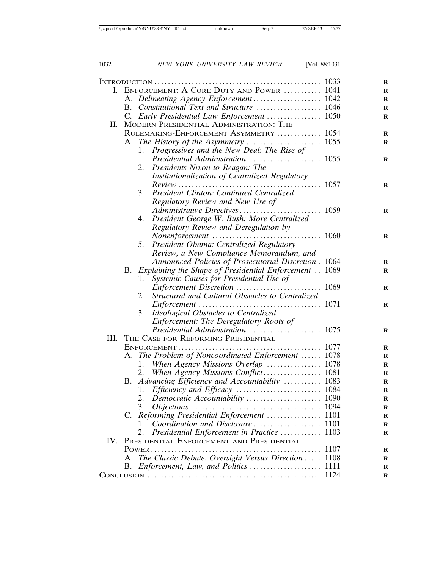|     |                                           | I. ENFORCEMENT: A CORE DUTY AND POWER  1041               |      |
|-----|-------------------------------------------|-----------------------------------------------------------|------|
|     |                                           | A. Delineating Agency Enforcement 1042                    |      |
|     |                                           | B. Constitutional Text and Structure  1046                |      |
|     |                                           | C. Early Presidential Law Enforcement  1050               |      |
| II. |                                           | MODERN PRESIDENTIAL ADMINISTRATION: THE                   |      |
|     | RULEMAKING-ENFORCEMENT ASYMMETRY  1054    |                                                           |      |
|     |                                           |                                                           |      |
|     |                                           | Progressives and the New Deal: The Rise of<br>1.          |      |
|     |                                           |                                                           |      |
|     |                                           | 2. Presidents Nixon to Reagan: The                        |      |
|     |                                           | Institutionalization of Centralized Regulatory            |      |
|     |                                           | $Review \dots 1057$                                       |      |
|     |                                           | 3. President Clinton: Continued Centralized               |      |
|     |                                           | Regulatory Review and New Use of                          |      |
|     |                                           |                                                           |      |
|     |                                           | 4. President George W. Bush: More Centralized             |      |
|     |                                           | Regulatory Review and Deregulation by                     |      |
|     |                                           |                                                           |      |
|     |                                           | 5. President Obama: Centralized Regulatory                |      |
|     |                                           | Review, a New Compliance Memorandum, and                  |      |
|     |                                           | Announced Policies of Prosecutorial Discretion . 1064     |      |
|     |                                           | B. Explaining the Shape of Presidential Enforcement  1069 |      |
|     |                                           | Systemic Causes for Presidential Use of<br>1.             |      |
|     |                                           |                                                           |      |
|     |                                           | Structural and Cultural Obstacles to Centralized<br>2.    |      |
|     |                                           |                                                           |      |
|     |                                           | Ideological Obstacles to Centralized<br>3.                |      |
|     |                                           | Enforcement: The Deregulatory Roots of                    |      |
|     |                                           | Presidential Administration  1075                         |      |
|     |                                           | III. THE CASE FOR REFORMING PRESIDENTIAL                  |      |
|     |                                           |                                                           |      |
|     |                                           | A. The Problem of Noncoordinated Enforcement  1078        |      |
|     |                                           | 1.                                                        |      |
|     |                                           | 2.                                                        |      |
|     |                                           | B. Advancing Efficiency and Accountability  1083          |      |
|     |                                           | 1.                                                        |      |
|     |                                           |                                                           |      |
|     |                                           | 3.                                                        |      |
|     | C.                                        | Reforming Presidential Enforcement  1101                  |      |
|     |                                           | Coordination and Disclosure 1101<br>1.                    |      |
|     |                                           | Presidential Enforcement in Practice  1103<br>2.          |      |
| IV. | PRESIDENTIAL ENFORCEMENT AND PRESIDENTIAL |                                                           |      |
|     |                                           | $Power$                                                   | 1107 |
|     |                                           | The Classic Debate: Oversight Versus Direction            | 1108 |
|     | В.                                        |                                                           |      |
|     |                                           |                                                           |      |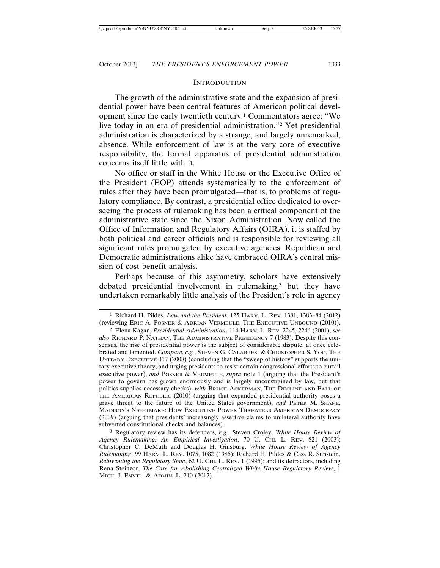#### **INTRODUCTION**

The growth of the administrative state and the expansion of presidential power have been central features of American political development since the early twentieth century.1 Commentators agree: "We live today in an era of presidential administration."2 Yet presidential administration is characterized by a strange, and largely unremarked, absence. While enforcement of law is at the very core of executive responsibility, the formal apparatus of presidential administration concerns itself little with it.

No office or staff in the White House or the Executive Office of the President (EOP) attends systematically to the enforcement of rules after they have been promulgated—that is, to problems of regulatory compliance. By contrast, a presidential office dedicated to overseeing the process of rulemaking has been a critical component of the administrative state since the Nixon Administration. Now called the Office of Information and Regulatory Affairs (OIRA), it is staffed by both political and career officials and is responsible for reviewing all significant rules promulgated by executive agencies. Republican and Democratic administrations alike have embraced OIRA's central mission of cost-benefit analysis.

Perhaps because of this asymmetry, scholars have extensively debated presidential involvement in rulemaking,<sup>3</sup> but they have undertaken remarkably little analysis of the President's role in agency

<sup>1</sup> Richard H. Pildes, *Law and the President*, 125 HARV. L. REV. 1381, 1383–84 (2012) (reviewing ERIC A. POSNER & ADRIAN VERMEULE, THE EXECUTIVE UNBOUND (2010)).

<sup>2</sup> Elena Kagan, *Presidential Administration*, 114 HARV. L. REV. 2245, 2246 (2001); *see also* RICHARD P. NATHAN, THE ADMINISTRATIVE PRESIDENCY 7 (1983). Despite this consensus, the rise of presidential power is the subject of considerable dispute, at once celebrated and lamented. *Compare, e.g.*, STEVEN G. CALABRESI & CHRISTOPHER S. YOO, THE UNITARY EXECUTIVE 417 (2008) (concluding that the "sweep of history" supports the unitary executive theory, and urging presidents to resist certain congressional efforts to curtail executive power), *and* POSNER & VERMEULE, *supra* note 1 (arguing that the President's power to govern has grown enormously and is largely unconstrained by law, but that politics supplies necessary checks), *with* BRUCE ACKERMAN, THE DECLINE AND FALL OF THE AMERICAN REPUBLIC (2010) (arguing that expanded presidential authority poses a grave threat to the future of the United States government), *and* PETER M. SHANE, MADISON'S NIGHTMARE: HOW EXECUTIVE POWER THREATENS AMERICAN DEMOCRACY (2009) (arguing that presidents' increasingly assertive claims to unilateral authority have subverted constitutional checks and balances).

<sup>3</sup> Regulatory review has its defenders, *e.g.*, Steven Croley, *White House Review of Agency Rulemaking: An Empirical Investigation*, 70 U. CHI. L. REV. 821 (2003); Christopher C. DeMuth and Douglas H. Ginsburg, *White House Review of Agency Rulemaking*, 99 HARV. L. REV. 1075, 1082 (1986); Richard H. Pildes & Cass R. Sunstein, *Reinventing the Regulatory State*, 62 U. CHI. L. REV. 1 (1995); and its detractors, including Rena Steinzor, *The Case for Abolishing Centralized White House Regulatory Review*, 1 MICH. J. ENVTL. & ADMIN. L. 210 (2012).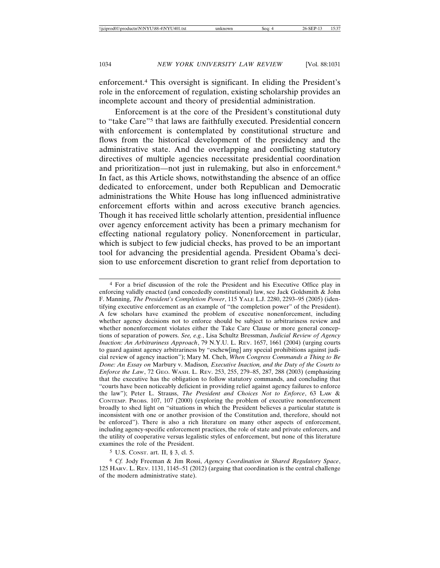enforcement.4 This oversight is significant. In eliding the President's role in the enforcement of regulation, existing scholarship provides an incomplete account and theory of presidential administration.

Enforcement is at the core of the President's constitutional duty to "take Care"5 that laws are faithfully executed. Presidential concern with enforcement is contemplated by constitutional structure and flows from the historical development of the presidency and the administrative state. And the overlapping and conflicting statutory directives of multiple agencies necessitate presidential coordination and prioritization—not just in rulemaking, but also in enforcement.6 In fact, as this Article shows, notwithstanding the absence of an office dedicated to enforcement, under both Republican and Democratic administrations the White House has long influenced administrative enforcement efforts within and across executive branch agencies. Though it has received little scholarly attention, presidential influence over agency enforcement activity has been a primary mechanism for effecting national regulatory policy. Nonenforcement in particular, which is subject to few judicial checks, has proved to be an important tool for advancing the presidential agenda. President Obama's decision to use enforcement discretion to grant relief from deportation to

4 For a brief discussion of the role the President and his Executive Office play in enforcing validly enacted (and concededly constitutional) law, see Jack Goldsmith & John F. Manning, *The President's Completion Power*, 115 YALE L.J. 2280, 2293–95 (2005) (identifying executive enforcement as an example of "the completion power" of the President). A few scholars have examined the problem of executive nonenforcement, including whether agency decisions not to enforce should be subject to arbitrariness review and whether nonenforcement violates either the Take Care Clause or more general conceptions of separation of powers. *See, e.g.*, Lisa Schultz Bressman, *Judicial Review of Agency Inaction: An Arbitrariness Approach*, 79 N.Y.U. L. REV. 1657, 1661 (2004) (urging courts to guard against agency arbitrariness by "eschew[ing] any special prohibitions against judicial review of agency inaction"); Mary M. Cheh, *When Congress Commands a Thing to Be Done: An Essay on* Marbury v. Madison*, Executive Inaction, and the Duty of the Courts to Enforce the Law*, 72 GEO. WASH. L. REV. 253, 255, 279–85, 287, 288 (2003) (emphasizing that the executive has the obligation to follow statutory commands, and concluding that "courts have been noticeably deficient in providing relief against agency failures to enforce the law"); Peter L. Strauss, *The President and Choices Not to Enforce*, 63 LAW & CONTEMP. PROBS. 107, 107 (2000) (exploring the problem of executive nonenforcement broadly to shed light on "situations in which the President believes a particular statute is inconsistent with one or another provision of the Constitution and, therefore, should not be enforced"). There is also a rich literature on many other aspects of enforcement, including agency-specific enforcement practices, the role of state and private enforcers, and the utility of cooperative versus legalistic styles of enforcement, but none of this literature examines the role of the President.

5 U.S. CONST. art. II, § 3, cl. 5.

6 *Cf.* Jody Freeman & Jim Rossi, *Agency Coordination in Shared Regulatory Space*, 125 HARV. L. REV. 1131, 1145–51 (2012) (arguing that coordination is the central challenge of the modern administrative state).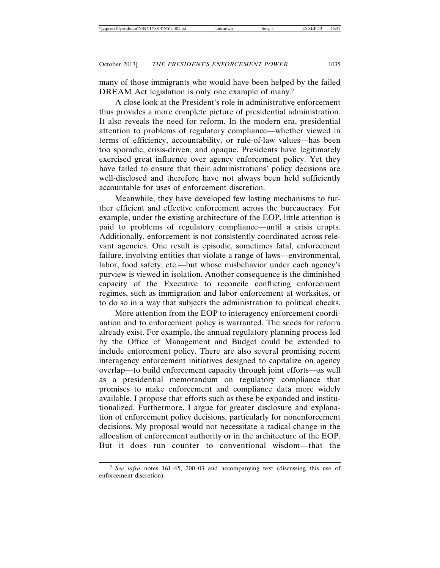many of those immigrants who would have been helped by the failed DREAM Act legislation is only one example of many.<sup>7</sup>

A close look at the President's role in administrative enforcement thus provides a more complete picture of presidential administration. It also reveals the need for reform. In the modern era, presidential attention to problems of regulatory compliance—whether viewed in terms of efficiency, accountability, or rule-of-law values—has been too sporadic, crisis-driven, and opaque. Presidents have legitimately exercised great influence over agency enforcement policy. Yet they have failed to ensure that their administrations' policy decisions are well-disclosed and therefore have not always been held sufficiently accountable for uses of enforcement discretion.

Meanwhile, they have developed few lasting mechanisms to further efficient and effective enforcement across the bureaucracy. For example, under the existing architecture of the EOP, little attention is paid to problems of regulatory compliance—until a crisis erupts. Additionally, enforcement is not consistently coordinated across relevant agencies. One result is episodic, sometimes fatal, enforcement failure, involving entities that violate a range of laws—environmental, labor, food safety, etc.—but whose misbehavior under each agency's purview is viewed in isolation. Another consequence is the diminished capacity of the Executive to reconcile conflicting enforcement regimes, such as immigration and labor enforcement at worksites, or to do so in a way that subjects the administration to political checks.

More attention from the EOP to interagency enforcement coordination and to enforcement policy is warranted. The seeds for reform already exist. For example, the annual regulatory planning process led by the Office of Management and Budget could be extended to include enforcement policy. There are also several promising recent interagency enforcement initiatives designed to capitalize on agency overlap—to build enforcement capacity through joint efforts—as well as a presidential memorandum on regulatory compliance that promises to make enforcement and compliance data more widely available. I propose that efforts such as these be expanded and institutionalized. Furthermore, I argue for greater disclosure and explanation of enforcement policy decisions, particularly for nonenforcement decisions. My proposal would not necessitate a radical change in the allocation of enforcement authority or in the architecture of the EOP. But it does run counter to conventional wisdom—that the

<sup>7</sup> *See infra* notes 161–65, 200–03 and accompanying text (discussing this use of enforcement discretion).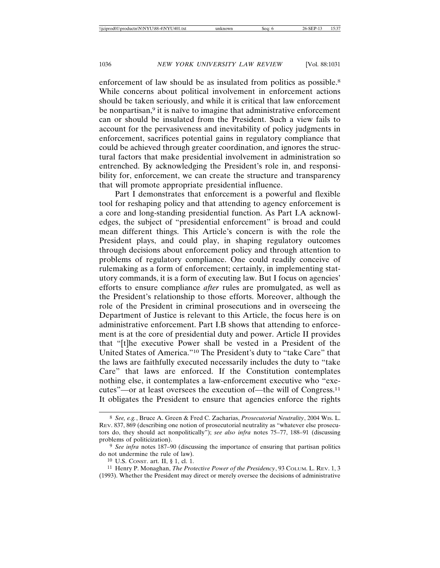enforcement of law should be as insulated from politics as possible.<sup>8</sup> While concerns about political involvement in enforcement actions should be taken seriously, and while it is critical that law enforcement be nonpartisan,<sup>9</sup> it is naïve to imagine that administrative enforcement can or should be insulated from the President. Such a view fails to account for the pervasiveness and inevitability of policy judgments in enforcement, sacrifices potential gains in regulatory compliance that could be achieved through greater coordination, and ignores the structural factors that make presidential involvement in administration so entrenched. By acknowledging the President's role in, and responsibility for, enforcement, we can create the structure and transparency that will promote appropriate presidential influence.

Part I demonstrates that enforcement is a powerful and flexible tool for reshaping policy and that attending to agency enforcement is a core and long-standing presidential function. As Part I.A acknowledges, the subject of "presidential enforcement" is broad and could mean different things. This Article's concern is with the role the President plays, and could play, in shaping regulatory outcomes through decisions about enforcement policy and through attention to problems of regulatory compliance. One could readily conceive of rulemaking as a form of enforcement; certainly, in implementing statutory commands, it is a form of executing law. But I focus on agencies' efforts to ensure compliance *after* rules are promulgated, as well as the President's relationship to those efforts. Moreover, although the role of the President in criminal prosecutions and in overseeing the Department of Justice is relevant to this Article, the focus here is on administrative enforcement. Part I.B shows that attending to enforcement is at the core of presidential duty and power. Article II provides that "[t]he executive Power shall be vested in a President of the United States of America."10 The President's duty to "take Care" that the laws are faithfully executed necessarily includes the duty to "take Care" that laws are enforced. If the Constitution contemplates nothing else, it contemplates a law-enforcement executive who "executes"—or at least oversees the execution of—the will of Congress.11 It obligates the President to ensure that agencies enforce the rights

<sup>8</sup> *See, e.g.*, Bruce A. Green & Fred C. Zacharias, *Prosecutorial Neutrality*, 2004 WIS. L. REV. 837, 869 (describing one notion of prosecutorial neutrality as "whatever else prosecutors do, they should act nonpolitically"); *see also infra* notes 75–77, 188–91 (discussing problems of politicization).

<sup>9</sup> *See infra* notes 187–90 (discussing the importance of ensuring that partisan politics do not undermine the rule of law).

<sup>10</sup> U.S. CONST. art. II, § 1, cl. 1.

<sup>11</sup> Henry P. Monaghan, *The Protective Power of the Presidency*, 93 COLUM. L. REV. 1, 3 (1993). Whether the President may direct or merely oversee the decisions of administrative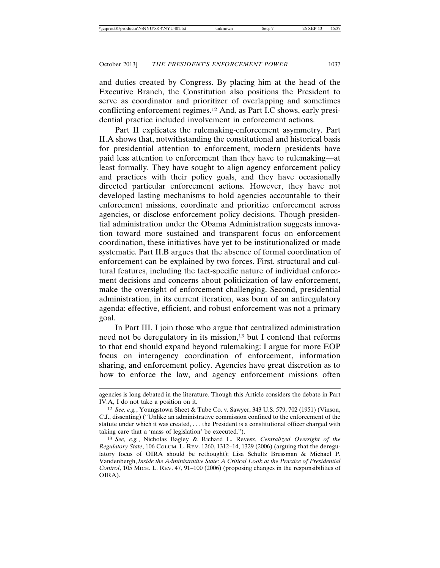and duties created by Congress. By placing him at the head of the Executive Branch, the Constitution also positions the President to serve as coordinator and prioritizer of overlapping and sometimes conflicting enforcement regimes.12 And, as Part I.C shows, early presidential practice included involvement in enforcement actions.

Part II explicates the rulemaking-enforcement asymmetry. Part II.A shows that, notwithstanding the constitutional and historical basis for presidential attention to enforcement, modern presidents have paid less attention to enforcement than they have to rulemaking—at least formally. They have sought to align agency enforcement policy and practices with their policy goals, and they have occasionally directed particular enforcement actions. However, they have not developed lasting mechanisms to hold agencies accountable to their enforcement missions, coordinate and prioritize enforcement across agencies, or disclose enforcement policy decisions. Though presidential administration under the Obama Administration suggests innovation toward more sustained and transparent focus on enforcement coordination, these initiatives have yet to be institutionalized or made systematic. Part II.B argues that the absence of formal coordination of enforcement can be explained by two forces. First, structural and cultural features, including the fact-specific nature of individual enforcement decisions and concerns about politicization of law enforcement, make the oversight of enforcement challenging. Second, presidential administration, in its current iteration, was born of an antiregulatory agenda; effective, efficient, and robust enforcement was not a primary goal.

In Part III, I join those who argue that centralized administration need not be deregulatory in its mission,<sup>13</sup> but I contend that reforms to that end should expand beyond rulemaking: I argue for more EOP focus on interagency coordination of enforcement, information sharing, and enforcement policy. Agencies have great discretion as to how to enforce the law, and agency enforcement missions often

agencies is long debated in the literature. Though this Article considers the debate in Part IV.A, I do not take a position on it.

<sup>12</sup> *See, e.g.*, Youngstown Sheet & Tube Co. v. Sawyer, 343 U.S. 579, 702 (1951) (Vinson, C.J., dissenting) ("Unlike an administrative commission confined to the enforcement of the statute under which it was created, . . . the President is a constitutional officer charged with taking care that a 'mass of legislation' be executed.").

<sup>13</sup> *See, e.g.*, Nicholas Bagley & Richard L. Revesz, *Centralized Oversight of the Regulatory State*, 106 COLUM. L. REV. 1260, 1312–14, 1329 (2006) (arguing that the deregulatory focus of OIRA should be rethought); Lisa Schultz Bressman & Michael P. Vandenbergh, *Inside the Administrative State: A Critical Look at the Practice of Presidential Control*, 105 MICH. L. REV. 47, 91–100 (2006) (proposing changes in the responsibilities of OIRA).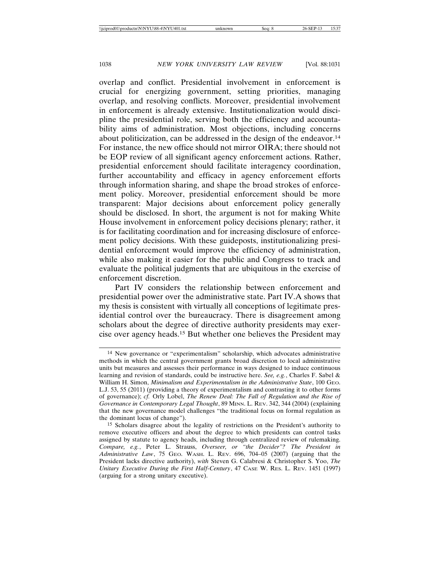overlap and conflict. Presidential involvement in enforcement is crucial for energizing government, setting priorities, managing overlap, and resolving conflicts. Moreover, presidential involvement in enforcement is already extensive. Institutionalization would discipline the presidential role, serving both the efficiency and accountability aims of administration. Most objections, including concerns about politicization, can be addressed in the design of the endeavor.14 For instance, the new office should not mirror OIRA; there should not be EOP review of all significant agency enforcement actions. Rather, presidential enforcement should facilitate interagency coordination, further accountability and efficacy in agency enforcement efforts through information sharing, and shape the broad strokes of enforcement policy. Moreover, presidential enforcement should be more transparent: Major decisions about enforcement policy generally should be disclosed. In short, the argument is not for making White House involvement in enforcement policy decisions plenary; rather, it is for facilitating coordination and for increasing disclosure of enforcement policy decisions. With these guideposts, institutionalizing presidential enforcement would improve the efficiency of administration, while also making it easier for the public and Congress to track and evaluate the political judgments that are ubiquitous in the exercise of enforcement discretion.

Part IV considers the relationship between enforcement and presidential power over the administrative state. Part IV.A shows that my thesis is consistent with virtually all conceptions of legitimate presidential control over the bureaucracy. There is disagreement among scholars about the degree of directive authority presidents may exercise over agency heads.15 But whether one believes the President may

<sup>14</sup> New governance or "experimentalism" scholarship, which advocates administrative methods in which the central government grants broad discretion to local administrative units but measures and assesses their performance in ways designed to induce continuous learning and revision of standards, could be instructive here. *See, e.g.*, Charles F. Sabel & William H. Simon, *Minimalism and Experimentalism in the Administrative State*, 100 GEO. L.J. 53, 55 (2011) (providing a theory of experimentalism and contrasting it to other forms of governance); *cf.* Orly Lobel, *The Renew Deal: The Fall of Regulation and the Rise of Governance in Contemporary Legal Thought*, 89 MINN. L. REV. 342, 344 (2004) (explaining that the new governance model challenges "the traditional focus on formal regulation as the dominant locus of change").

<sup>15</sup> Scholars disagree about the legality of restrictions on the President's authority to remove executive officers and about the degree to which presidents can control tasks assigned by statute to agency heads, including through centralized review of rulemaking. *Compare, e.g.*, Peter L. Strauss, *Overseer, or "the Decider"? The President in Administrative Law*, 75 GEO. WASH. L. REV. 696, 704–05 (2007) (arguing that the President lacks directive authority), *with* Steven G. Calabresi & Christopher S. Yoo, *The Unitary Executive During the First Half-Century*, 47 CASE W. RES. L. REV. 1451 (1997) (arguing for a strong unitary executive).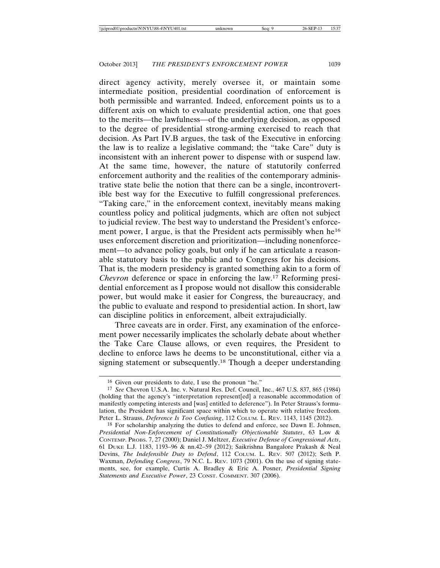direct agency activity, merely oversee it, or maintain some intermediate position, presidential coordination of enforcement is both permissible and warranted. Indeed, enforcement points us to a different axis on which to evaluate presidential action, one that goes to the merits—the lawfulness—of the underlying decision, as opposed to the degree of presidential strong-arming exercised to reach that decision. As Part IV.B argues, the task of the Executive in enforcing the law is to realize a legislative command; the "take Care" duty is inconsistent with an inherent power to dispense with or suspend law. At the same time, however, the nature of statutorily conferred enforcement authority and the realities of the contemporary administrative state belie the notion that there can be a single, incontrovertible best way for the Executive to fulfill congressional preferences. "Taking care," in the enforcement context, inevitably means making countless policy and political judgments, which are often not subject to judicial review. The best way to understand the President's enforcement power, I argue, is that the President acts permissibly when he<sup>16</sup> uses enforcement discretion and prioritization—including nonenforcement—to advance policy goals, but only if he can articulate a reasonable statutory basis to the public and to Congress for his decisions. That is, the modern presidency is granted something akin to a form of *Chevron* deference or space in enforcing the law.17 Reforming presidential enforcement as I propose would not disallow this considerable power, but would make it easier for Congress, the bureaucracy, and the public to evaluate and respond to presidential action. In short, law can discipline politics in enforcement, albeit extrajudicially.

Three caveats are in order. First, any examination of the enforcement power necessarily implicates the scholarly debate about whether the Take Care Clause allows, or even requires, the President to decline to enforce laws he deems to be unconstitutional, either via a signing statement or subsequently.18 Though a deeper understanding

<sup>16</sup> Given our presidents to date, I use the pronoun "he."

<sup>17</sup> *See* Chevron U.S.A. Inc. v. Natural Res. Def. Council, Inc., 467 U.S. 837, 865 (1984) (holding that the agency's "interpretation represent[ed] a reasonable accommodation of manifestly competing interests and [was] entitled to deference"). In Peter Strauss's formulation, the President has significant space within which to operate with relative freedom. Peter L. Strauss, *Deference Is Too Confusing*, 112 COLUM. L. REV. 1143, 1145 (2012).

<sup>18</sup> For scholarship analyzing the duties to defend and enforce, see Dawn E. Johnsen, *Presidential Non-Enforcement of Constitutionally Objectionable Statutes*, 63 LAW & CONTEMP. PROBS. 7, 27 (2000); Daniel J. Meltzer, *Executive Defense of Congressional Acts*, 61 DUKE L.J. 1183, 1193–96 & nn.42–59 (2012); Saikrishna Bangalore Prakash & Neal Devins, *The Indefensible Duty to Defend*, 112 COLUM. L. REV. 507 (2012); Seth P. Waxman, *Defending Congress*, 79 N.C. L. REV. 1073 (2001). On the use of signing statements, see, for example, Curtis A. Bradley & Eric A. Posner, *Presidential Signing Statements and Executive Power*, 23 CONST. COMMENT. 307 (2006).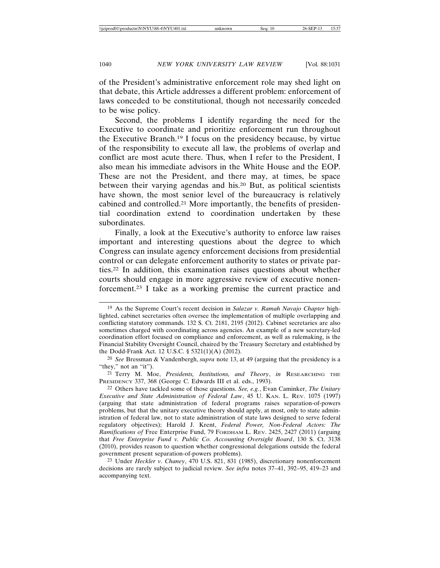of the President's administrative enforcement role may shed light on that debate, this Article addresses a different problem: enforcement of laws conceded to be constitutional, though not necessarily conceded to be wise policy.

Second, the problems I identify regarding the need for the Executive to coordinate and prioritize enforcement run throughout the Executive Branch.19 I focus on the presidency because, by virtue of the responsibility to execute all law, the problems of overlap and conflict are most acute there. Thus, when I refer to the President, I also mean his immediate advisors in the White House and the EOP. These are not the President, and there may, at times, be space between their varying agendas and his.20 But, as political scientists have shown, the most senior level of the bureaucracy is relatively cabined and controlled.21 More importantly, the benefits of presidential coordination extend to coordination undertaken by these subordinates.

Finally, a look at the Executive's authority to enforce law raises important and interesting questions about the degree to which Congress can insulate agency enforcement decisions from presidential control or can delegate enforcement authority to states or private parties.22 In addition, this examination raises questions about whether courts should engage in more aggressive review of executive nonenforcement.23 I take as a working premise the current practice and

<sup>19</sup> As the Supreme Court's recent decision in *Salazar v. Ramah Navajo Chapter* highlighted, cabinet secretaries often oversee the implementation of multiple overlapping and conflicting statutory commands. 132 S. Ct. 2181, 2195 (2012). Cabinet secretaries are also sometimes charged with coordinating across agencies. An example of a new secretary-led coordination effort focused on compliance and enforcement, as well as rulemaking, is the Financial Stability Oversight Council, chaired by the Treasury Secretary and established by the Dodd-Frank Act. 12 U.S.C. § 5321(1)(A) (2012).

<sup>20</sup> *See* Bressman & Vandenbergh, *supra* note 13, at 49 (arguing that the presidency is a "they," not an "it").

<sup>21</sup> Terry M. Moe, *Presidents, Institutions, and Theory*, *in* RESEARCHING THE PRESIDENCY 337, 368 (George C. Edwards III et al. eds., 1993).

<sup>22</sup> Others have tackled some of those questions. *See, e.g.*, Evan Caminker, *The Unitary Executive and State Administration of Federal Law*, 45 U. KAN. L. REV. 1075 (1997) (arguing that state administration of federal programs raises separation-of-powers problems, but that the unitary executive theory should apply, at most, only to state administration of federal law, not to state administration of state laws designed to serve federal regulatory objectives); Harold J. Krent, *Federal Power, Non-Federal Actors: The Ramifications of* Free Enterprise Fund, 79 FORDHAM L. REV. 2425, 2427 (2011) (arguing that *Free Enterprise Fund v. Public Co. Accounting Oversight Board*, 130 S. Ct. 3138 (2010), provides reason to question whether congressional delegations outside the federal government present separation-of-powers problems).

<sup>23</sup> Under *Heckler v. Chaney*, 470 U.S. 821, 831 (1985), discretionary nonenforcement decisions are rarely subject to judicial review. *See infra* notes 37–41, 392–95, 419–23 and accompanying text.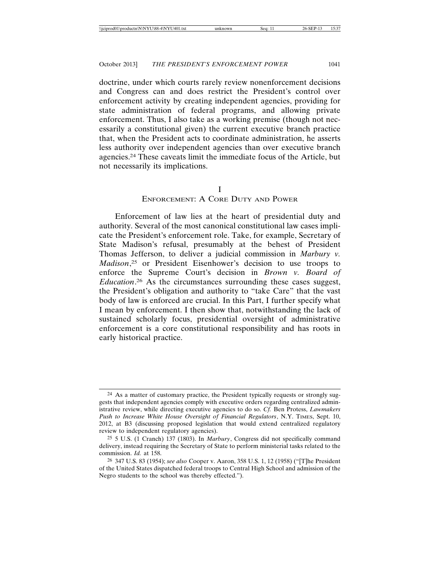doctrine, under which courts rarely review nonenforcement decisions and Congress can and does restrict the President's control over enforcement activity by creating independent agencies, providing for state administration of federal programs, and allowing private enforcement. Thus, I also take as a working premise (though not necessarily a constitutional given) the current executive branch practice that, when the President acts to coordinate administration, he asserts less authority over independent agencies than over executive branch agencies.24 These caveats limit the immediate focus of the Article, but not necessarily its implications.

I

#### ENFORCEMENT: A CORE DUTY AND POWER

Enforcement of law lies at the heart of presidential duty and authority. Several of the most canonical constitutional law cases implicate the President's enforcement role. Take, for example, Secretary of State Madison's refusal, presumably at the behest of President Thomas Jefferson, to deliver a judicial commission in *Marbury v. Madison*, 25 or President Eisenhower's decision to use troops to enforce the Supreme Court's decision in *Brown v. Board of Education*. 26 As the circumstances surrounding these cases suggest, the President's obligation and authority to "take Care" that the vast body of law is enforced are crucial. In this Part, I further specify what I mean by enforcement. I then show that, notwithstanding the lack of sustained scholarly focus, presidential oversight of administrative enforcement is a core constitutional responsibility and has roots in early historical practice.

<sup>&</sup>lt;sup>24</sup> As a matter of customary practice, the President typically requests or strongly suggests that independent agencies comply with executive orders regarding centralized administrative review, while directing executive agencies to do so. *Cf.* Ben Protess, *Lawmakers Push to Increase White House Oversight of Financial Regulators*, N.Y. TIMES, Sept. 10, 2012, at B3 (discussing proposed legislation that would extend centralized regulatory review to independent regulatory agencies).

<sup>25</sup> 5 U.S. (1 Cranch) 137 (1803). In *Marbury*, Congress did not specifically command delivery, instead requiring the Secretary of State to perform ministerial tasks related to the commission. *Id.* at 158.

<sup>26</sup> 347 U.S. 83 (1954); *see also* Cooper v. Aaron, 358 U.S. 1, 12 (1958) ("[T]he President of the United States dispatched federal troops to Central High School and admission of the Negro students to the school was thereby effected.").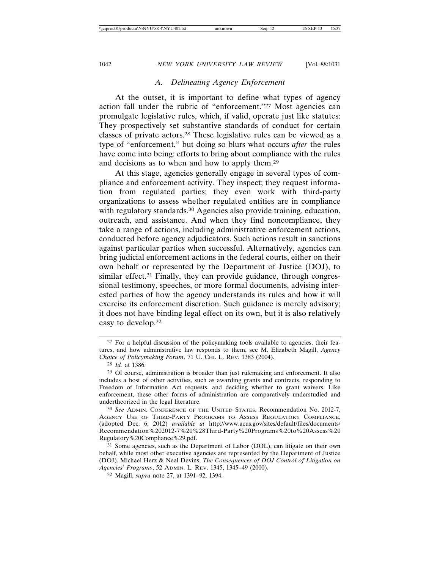#### *A. Delineating Agency Enforcement*

At the outset, it is important to define what types of agency action fall under the rubric of "enforcement."27 Most agencies can promulgate legislative rules, which, if valid, operate just like statutes: They prospectively set substantive standards of conduct for certain classes of private actors.28 These legislative rules can be viewed as a type of "enforcement," but doing so blurs what occurs *after* the rules have come into being: efforts to bring about compliance with the rules and decisions as to when and how to apply them.29

At this stage, agencies generally engage in several types of compliance and enforcement activity. They inspect; they request information from regulated parties; they even work with third-party organizations to assess whether regulated entities are in compliance with regulatory standards.<sup>30</sup> Agencies also provide training, education, outreach, and assistance. And when they find noncompliance, they take a range of actions, including administrative enforcement actions, conducted before agency adjudicators. Such actions result in sanctions against particular parties when successful. Alternatively, agencies can bring judicial enforcement actions in the federal courts, either on their own behalf or represented by the Department of Justice (DOJ), to similar effect.<sup>31</sup> Finally, they can provide guidance, through congressional testimony, speeches, or more formal documents, advising interested parties of how the agency understands its rules and how it will exercise its enforcement discretion. Such guidance is merely advisory; it does not have binding legal effect on its own, but it is also relatively easy to develop.32

<sup>27</sup> For a helpful discussion of the policymaking tools available to agencies, their features, and how administrative law responds to them, see M. Elizabeth Magill, *Agency Choice of Policymaking Forum*, 71 U. CHI. L. REV. 1383 (2004).

<sup>28</sup> *Id.* at 1386.

<sup>29</sup> Of course, administration is broader than just rulemaking and enforcement. It also includes a host of other activities, such as awarding grants and contracts, responding to Freedom of Information Act requests, and deciding whether to grant waivers. Like enforcement, these other forms of administration are comparatively understudied and undertheorized in the legal literature.

<sup>30</sup> *See* ADMIN. CONFERENCE OF THE UNITED STATES, Recommendation No. 2012-7, AGENCY USE OF THIRD-PARTY PROGRAMS TO ASSESS REGULATORY COMPLIANCE, (adopted Dec. 6, 2012) *available at* http://www.acus.gov/sites/default/files/documents/ Recommendation%202012-7%20%28Third-Party%20Programs%20to%20Assess%20 Regulatory%20Compliance%29.pdf.

<sup>31</sup> Some agencies, such as the Department of Labor (DOL), can litigate on their own behalf, while most other executive agencies are represented by the Department of Justice (DOJ). Michael Herz & Neal Devins, *The Consequences of DOJ Control of Litigation on Agencies' Programs*, 52 ADMIN. L. REV. 1345, 1345–49 (2000).

<sup>32</sup> Magill, *supra* note 27, at 1391–92, 1394.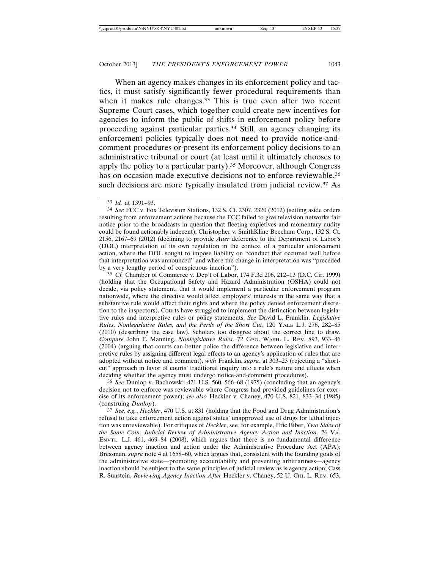When an agency makes changes in its enforcement policy and tactics, it must satisfy significantly fewer procedural requirements than when it makes rule changes.<sup>33</sup> This is true even after two recent Supreme Court cases, which together could create new incentives for agencies to inform the public of shifts in enforcement policy before proceeding against particular parties.34 Still, an agency changing its enforcement policies typically does not need to provide notice-andcomment procedures or present its enforcement policy decisions to an administrative tribunal or court (at least until it ultimately chooses to apply the policy to a particular party).35 Moreover, although Congress has on occasion made executive decisions not to enforce reviewable,<sup>36</sup> such decisions are more typically insulated from judicial review.<sup>37</sup> As

34 *See* FCC v. Fox Television Stations, 132 S. Ct. 2307, 2320 (2012) (setting aside orders resulting from enforcement actions because the FCC failed to give television networks fair notice prior to the broadcasts in question that fleeting expletives and momentary nudity could be found actionably indecent); Christopher v. SmithKline Beecham Corp., 132 S. Ct. 2156, 2167–69 (2012) (declining to provide *Auer* deference to the Department of Labor's (DOL) interpretation of its own regulation in the context of a particular enforcement action, where the DOL sought to impose liability on "conduct that occurred well before that interpretation was announced" and where the change in interpretation was "preceded by a very lengthy period of conspicuous inaction").

35 *Cf.* Chamber of Commerce v. Dep't of Labor, 174 F.3d 206, 212–13 (D.C. Cir. 1999) (holding that the Occupational Safety and Hazard Administration (OSHA) could not decide, via policy statement, that it would implement a particular enforcement program nationwide, where the directive would affect employers' interests in the same way that a substantive rule would affect their rights and where the policy denied enforcement discretion to the inspectors). Courts have struggled to implement the distinction between legislative rules and interpretive rules or policy statements. *See* David L. Franklin, *Legislative Rules, Nonlegislative Rules, and the Perils of the Short Cut*, 120 YALE L.J. 276, 282–85 (2010) (describing the case law). Scholars too disagree about the correct line to draw. *Compare* John F. Manning, *Nonlegislative Rules*, 72 GEO. WASH. L. REV. 893, 933–46 (2004) (arguing that courts can better police the difference between legislative and interpretive rules by assigning different legal effects to an agency's application of rules that are adopted without notice and comment), *with* Franklin, *supra*, at 303–23 (rejecting a "shortcut" approach in favor of courts' traditional inquiry into a rule's nature and effects when deciding whether the agency must undergo notice-and-comment procedures).

36 *See* Dunlop v. Bachowski, 421 U.S. 560, 566–68 (1975) (concluding that an agency's decision not to enforce was reviewable where Congress had provided guidelines for exercise of its enforcement power); *see also* Heckler v. Chaney, 470 U.S. 821, 833–34 (1985) (construing *Dunlop*).

37 *See, e.g.*, *Heckler*, 470 U.S. at 831 (holding that the Food and Drug Administration's refusal to take enforcement action against states' unapproved use of drugs for lethal injection was unreviewable). For critiques of *Heckler*, see, for example, Eric Biber, *Two Sides of the Same Coin: Judicial Review of Administrative Agency Action and Inaction*, 26 VA. ENVTL. L.J. 461, 469–84 (2008), which argues that there is no fundamental difference between agency inaction and action under the Administrative Procedure Act (APA); Bressman, *supra* note 4 at 1658–60, which argues that, consistent with the founding goals of the administrative state—promoting accountability and preventing arbitrariness—agency inaction should be subject to the same principles of judicial review as is agency action; Cass R. Sunstein, *Reviewing Agency Inaction After* Heckler v. Chaney, 52 U. CHI. L. REV. 653,

<sup>33</sup> *Id.* at 1391–93.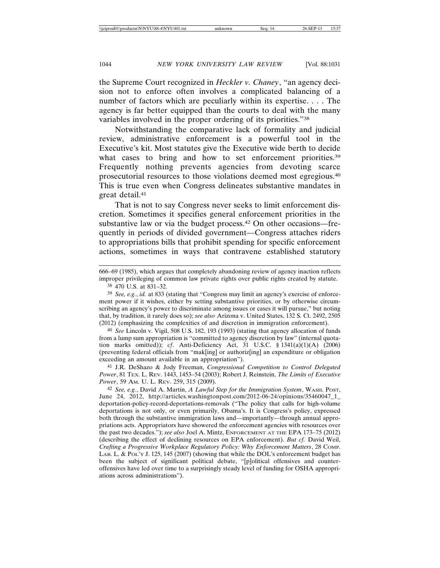the Supreme Court recognized in *Heckler v. Chaney*, "an agency decision not to enforce often involves a complicated balancing of a number of factors which are peculiarly within its expertise. . . . The agency is far better equipped than the courts to deal with the many variables involved in the proper ordering of its priorities."38

Notwithstanding the comparative lack of formality and judicial review, administrative enforcement is a powerful tool in the Executive's kit. Most statutes give the Executive wide berth to decide what cases to bring and how to set enforcement priorities.<sup>39</sup> Frequently nothing prevents agencies from devoting scarce prosecutorial resources to those violations deemed most egregious.40 This is true even when Congress delineates substantive mandates in great detail.41

That is not to say Congress never seeks to limit enforcement discretion. Sometimes it specifies general enforcement priorities in the substantive law or via the budget process.42 On other occasions—frequently in periods of divided government—Congress attaches riders to appropriations bills that prohibit spending for specific enforcement actions, sometimes in ways that contravene established statutory

666–69 (1985), which argues that completely abandoning review of agency inaction reflects improper privileging of common law private rights over public rights created by statute.

38 470 U.S. at 831–32.

39 *See, e.g.*, *id.* at 833 (stating that "Congress may limit an agency's exercise of enforcement power if it wishes, either by setting substantive priorities, or by otherwise circumscribing an agency's power to discriminate among issues or cases it will pursue," but noting that, by tradition, it rarely does so); *see also* Arizona v. United States, 132 S. Ct. 2492, 2505 (2012) (emphasizing the complexities of and discretion in immigration enforcement).

40 *See* Lincoln v. Vigil, 508 U.S. 182, 193 (1993) (stating that agency allocation of funds from a lump sum appropriation is "committed to agency discretion by law" (internal quotation marks omitted)); *cf*. Anti-Deficiency Act, 31 U.S.C. § 1341(a)(1)(A) (2006) (preventing federal officials from "mak[ing] or authoriz[ing] an expenditure or obligation exceeding an amount available in an appropriation").

41 J.R. DeShazo & Jody Freeman, *Congressional Competition to Control Delegated Power*, 81 TEX. L. REV. 1443, 1453–54 (2003); Robert J. Reinstein, *The Limits of Executive Power*, 59 AM. U. L. REV. 259, 315 (2009).

42 *See, e.g.*, David A. Martin, *A Lawful Step for the Immigration System*, WASH. POST, June 24, 2012, http://articles.washingtonpost.com/2012-06-24/opinions/35460047\_1\_ deportation-policy-record-deportations-removals ("The policy that calls for high-volume deportations is not only, or even primarily, Obama's. It is Congress's policy, expressed both through the substantive immigration laws and—importantly—through annual appropriations acts. Appropriators have showered the enforcement agencies with resources over the past two decades."); *see also* Joel A. Mintz, ENFORCEMENT AT THE EPA 173–75 (2012) (describing the effect of declining resources on EPA enforcement). *But cf.* David Weil, *Crafting a Progressive Workplace Regulatory Policy: Why Enforcement Matters*, 28 COMP. LAB. L. & POL'Y J. 125, 145 (2007) (showing that while the DOL's enforcement budget has been the subject of significant political debate, "[p]olitical offensives and counteroffensives have led over time to a surprisingly steady level of funding for OSHA appropriations across administrations").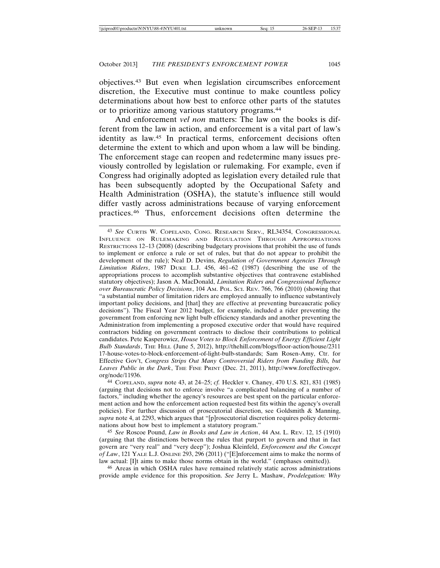objectives.43 But even when legislation circumscribes enforcement discretion, the Executive must continue to make countless policy determinations about how best to enforce other parts of the statutes or to prioritize among various statutory programs.44

And enforcement *vel non* matters: The law on the books is different from the law in action, and enforcement is a vital part of law's identity as law.45 In practical terms, enforcement decisions often determine the extent to which and upon whom a law will be binding. The enforcement stage can reopen and redetermine many issues previously controlled by legislation or rulemaking. For example, even if Congress had originally adopted as legislation every detailed rule that has been subsequently adopted by the Occupational Safety and Health Administration (OSHA), the statute's influence still would differ vastly across administrations because of varying enforcement practices.46 Thus, enforcement decisions often determine the

44 COPELAND, *supra* note 43, at 24–25; *cf.* Heckler v. Chaney, 470 U.S. 821, 831 (1985) (arguing that decisions not to enforce involve "a complicated balancing of a number of factors," including whether the agency's resources are best spent on the particular enforcement action and how the enforcement action requested best fits within the agency's overall policies). For further discussion of prosecutorial discretion, see Goldsmith & Manning, *supra* note 4, at 2293, which argues that "[p]rosecutorial discretion requires policy determinations about how best to implement a statutory program."

45 *See* Roscoe Pound, *Law in Books and Law in Action*, 44 AM. L. REV. 12, 15 (1910) (arguing that the distinctions between the rules that purport to govern and that in fact govern are "very real" and "very deep"); Joshua Kleinfeld, *Enforcement and the Concept of Law*, 121 YALE L.J. ONLINE 293, 296 (2011) ("[E]nforcement aims to make the norms of law actual: [I]t aims to make those norms obtain in the world." (emphases omitted)).

46 Areas in which OSHA rules have remained relatively static across administrations provide ample evidence for this proposition. *See* Jerry L. Mashaw, *Prodelegation: Why*

<sup>43</sup> *See* CURTIS W. COPELAND, CONG. RESEARCH SERV., RL34354, CONGRESSIONAL INFLUENCE ON RULEMAKING AND REGULATION THROUGH APPROPRIATIONS RESTRICTIONS 12–13 (2008) (describing budgetary provisions that prohibit the use of funds to implement or enforce a rule or set of rules, but that do not appear to prohibit the development of the rule); Neal D. Devins, *Regulation of Government Agencies Through Limitation Riders*, 1987 DUKE L.J. 456, 461–62 (1987) (describing the use of the appropriations process to accomplish substantive objectives that contravene established statutory objectives); Jason A. MacDonald, *Limitation Riders and Congressional Influence over Bureaucratic Policy Decisions*, 104 AM. POL. SCI. REV. 766, 766 (2010) (showing that "a substantial number of limitation riders are employed annually to influence substantively important policy decisions, and [that] they are effective at preventing bureaucratic policy decisions"). The Fiscal Year 2012 budget, for example, included a rider preventing the government from enforcing new light bulb efficiency standards and another preventing the Administration from implementing a proposed executive order that would have required contractors bidding on government contracts to disclose their contributions to political candidates. Pete Kasperowicz, *House Votes to Block Enforcement of Energy Efficient Light Bulb Standards*, THE HILL (June 5, 2012), http://thehill.com/blogs/floor-action/house/2311 17-house-votes-to-block-enforcement-of-light-bulb-standards; Sam Rosen-Amy, Ctr. for Effective Gov't, *Congress Strips Out Many Controversial Riders from Funding Bills, but Leaves Public in the Dark*, THE FINE PRINT (Dec. 21, 2011), http://www.foreffectivegov. org/node/11936.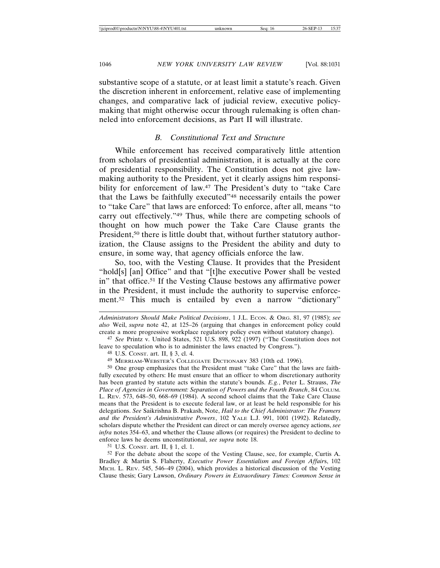substantive scope of a statute, or at least limit a statute's reach. Given the discretion inherent in enforcement, relative ease of implementing changes, and comparative lack of judicial review, executive policymaking that might otherwise occur through rulemaking is often channeled into enforcement decisions, as Part II will illustrate.

#### *B. Constitutional Text and Structure*

While enforcement has received comparatively little attention from scholars of presidential administration, it is actually at the core of presidential responsibility. The Constitution does not give lawmaking authority to the President, yet it clearly assigns him responsibility for enforcement of law.<sup>47</sup> The President's duty to "take Care" that the Laws be faithfully executed"48 necessarily entails the power to "take Care" that laws are enforced: To enforce, after all, means "to carry out effectively."49 Thus, while there are competing schools of thought on how much power the Take Care Clause grants the President,<sup>50</sup> there is little doubt that, without further statutory authorization, the Clause assigns to the President the ability and duty to ensure, in some way, that agency officials enforce the law.

So, too, with the Vesting Clause. It provides that the President "hold[s] [an] Office" and that "[t]he executive Power shall be vested in" that office.51 If the Vesting Clause bestows any affirmative power in the President, it must include the authority to supervise enforcement.52 This much is entailed by even a narrow "dictionary"

*Administrators Should Make Political Decisions*, 1 J.L. ECON. & ORG. 81, 97 (1985); *see also* Weil, *supra* note 42, at 125–26 (arguing that changes in enforcement policy could create a more progressive workplace regulatory policy even without statutory change).

47 *See* Printz v. United States, 521 U.S. 898, 922 (1997) ("The Constitution does not leave to speculation who is to administer the laws enacted by Congress.").

49 MERRIAM-WEBSTER'S COLLEGIATE DICTIONARY 383 (10th ed. 1996).

50 One group emphasizes that the President must "take Care" that the laws are faithfully executed by others: He must ensure that an officer to whom discretionary authority has been granted by statute acts within the statute's bounds. *E.g.*, Peter L. Strauss, *The Place of Agencies in Government: Separation of Powers and the Fourth Branch*, 84 COLUM. L. REV. 573, 648–50, 668–69 (1984). A second school claims that the Take Care Clause means that the President is to execute federal law, or at least be held responsible for his delegations. *See* Saikrishna B. Prakash, Note, *Hail to the Chief Administrator: The Framers and the President's Administrative Powers*, 102 YALE L.J. 991, 1001 (1992). Relatedly, scholars dispute whether the President can direct or can merely oversee agency actions, *see infra* notes 354–63, and whether the Clause allows (or requires) the President to decline to enforce laws he deems unconstitutional, *see supra* note 18.

51 U.S. CONST. art. II, § 1, cl. 1.

52 For the debate about the scope of the Vesting Clause, see, for example, Curtis A. Bradley & Martin S. Flaherty, *Executive Power Essentialism and Foreign Affair*s, 102 MICH. L. REV. 545, 546–49 (2004), which provides a historical discussion of the Vesting Clause thesis; Gary Lawson, *Ordinary Powers in Extraordinary Times: Common Sense in*

<sup>48</sup> U.S. CONST. art. II, § 3, cl. 4.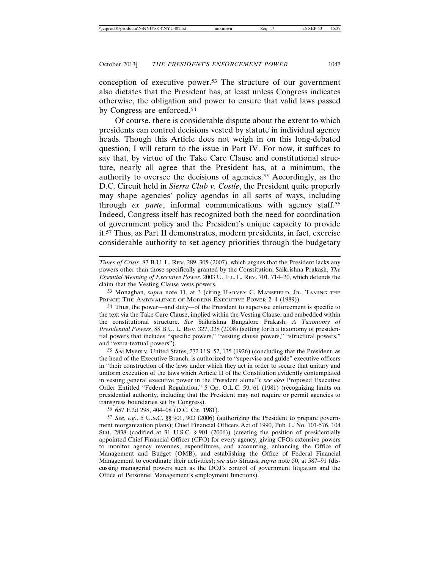conception of executive power.53 The structure of our government also dictates that the President has, at least unless Congress indicates otherwise, the obligation and power to ensure that valid laws passed by Congress are enforced.54

Of course, there is considerable dispute about the extent to which presidents can control decisions vested by statute in individual agency heads. Though this Article does not weigh in on this long-debated question, I will return to the issue in Part IV. For now, it suffices to say that, by virtue of the Take Care Clause and constitutional structure, nearly all agree that the President has, at a minimum, the authority to oversee the decisions of agencies.55 Accordingly, as the D.C. Circuit held in *Sierra Club v. Costle*, the President quite properly may shape agencies' policy agendas in all sorts of ways, including through *ex parte*, informal communications with agency staff.56 Indeed, Congress itself has recognized both the need for coordination of government policy and the President's unique capacity to provide it.57 Thus, as Part II demonstrates, modern presidents, in fact, exercise considerable authority to set agency priorities through the budgetary

53 Monaghan, *supra* note 11, at 3 (citing HARVEY C. MANSFIELD, JR., TAMING THE PRINCE: THE AMBIVALENCE OF MODERN EXECUTIVE POWER 2-4 (1989)).

54 Thus, the power—and duty—of the President to supervise enforcement is specific to the text via the Take Care Clause, implied within the Vesting Clause, and embedded within the constitutional structure. *See* Saikrishna Bangalore Prakash, *A Taxonomy of Presidential Powers*, 88 B.U. L. REV. 327, 328 (2008) (setting forth a taxonomy of presidential powers that includes "specific powers," "vesting clause powers," "structural powers," and "extra-textual powers").

55 *See* Myers v. United States, 272 U.S. 52, 135 (1926) (concluding that the President, as the head of the Executive Branch, is authorized to "supervise and guide" executive officers in "their construction of the laws under which they act in order to secure that unitary and uniform execution of the laws which Article II of the Constitution evidently contemplated in vesting general executive power in the President alone"); *see also* Proposed Executive Order Entitled "Federal Regulation," 5 Op. O.L.C. 59, 61 (1981) (recognizing limits on presidential authority, including that the President may not require or permit agencies to transgress boundaries set by Congress).

56 657 F.2d 298, 404–08 (D.C. Cir. 1981).

57 *See, e.g.*, 5 U.S.C. §§ 901, 903 (2006) (authorizing the President to prepare government reorganization plans); Chief Financial Officers Act of 1990, Pub. L. No. 101-576, 104 Stat. 2838 (codified at 31 U.S.C. § 901 (2006)) (creating the position of presidentially appointed Chief Financial Officer (CFO) for every agency, giving CFOs extensive powers to monitor agency revenues, expenditures, and accounting, enhancing the Office of Management and Budget (OMB), and establishing the Office of Federal Financial Management to coordinate their activities); *see also* Strauss, *supra* note 50, at 587–91 (discussing managerial powers such as the DOJ's control of government litigation and the Office of Personnel Management's employment functions).

*Times of Crisis*, 87 B.U. L. REV. 289, 305 (2007), which argues that the President lacks any powers other than those specifically granted by the Constitution; Saikrishna Prakash, *The Essential Meaning of Executive Power*, 2003 U. ILL. L. REV. 701, 714–20, which defends the claim that the Vesting Clause vests powers.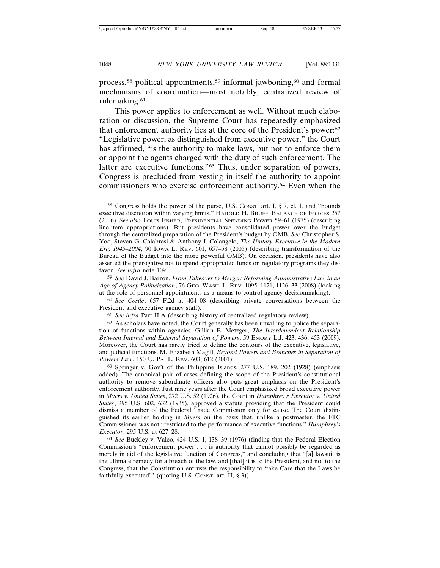process,<sup>58</sup> political appointments,<sup>59</sup> informal jawboning,<sup>60</sup> and formal mechanisms of coordination—most notably, centralized review of rulemaking.61

This power applies to enforcement as well. Without much elaboration or discussion, the Supreme Court has repeatedly emphasized that enforcement authority lies at the core of the President's power:62 "Legislative power, as distinguished from executive power," the Court has affirmed, "is the authority to make laws, but not to enforce them or appoint the agents charged with the duty of such enforcement. The latter are executive functions."63 Thus, under separation of powers, Congress is precluded from vesting in itself the authority to appoint commissioners who exercise enforcement authority.64 Even when the

59 *See* David J. Barron, *From Takeover to Merger: Reforming Administrative Law in an Age of Agency Politicization*, 76 GEO. WASH. L. REV. 1095, 1121, 1126–33 (2008) (looking at the role of personnel appointments as a means to control agency decisionmaking).

60 *See Costle*, 657 F.2d at 404–08 (describing private conversations between the President and executive agency staff).

61 *See infra* Part II.A (describing history of centralized regulatory review).

 $62$  As scholars have noted, the Court generally has been unwilling to police the separation of functions within agencies. Gillian E. Metzger, *The Interdependent Relationship Between Internal and External Separation of Powers*, 59 EMORY L.J. 423, 436, 453 (2009). Moreover, the Court has rarely tried to define the contours of the executive, legislative, and judicial functions. M. Elizabeth Magill, *Beyond Powers and Branches in Separation of Powers Law*, 150 U. PA. L. REV. 603, 612 (2001).

63 Springer v. Gov't of the Philippine Islands, 277 U.S. 189, 202 (1928) (emphasis added). The canonical pair of cases defining the scope of the President's constitutional authority to remove subordinate officers also puts great emphasis on the President's enforcement authority. Just nine years after the Court emphasized broad executive power in *Myers v. United States*, 272 U.S. 52 (1926), the Court in *Humphrey's Executor v. United States*, 295 U.S. 602, 632 (1935), approved a statute providing that the President could dismiss a member of the Federal Trade Commission only for cause. The Court distinguished its earlier holding in *Myers* on the basis that, unlike a postmaster, the FTC Commissioner was not "restricted to the performance of executive functions." *Humphrey's Executor*, 295 U.S. at 627–28.

64 *See* Buckley v. Valeo, 424 U.S. 1, 138–39 (1976) (finding that the Federal Election Commission's "enforcement power . . . is authority that cannot possibly be regarded as merely in aid of the legislative function of Congress," and concluding that "[a] lawsuit is the ultimate remedy for a breach of the law, and [that] it is to the President, and not to the Congress, that the Constitution entrusts the responsibility to 'take Care that the Laws be faithfully executed'" (quoting U.S. CONST. art. II, § 3)).

<sup>58</sup> Congress holds the power of the purse, U.S. CONST. art. I, § 7, cl. 1, and "bounds executive discretion within varying limits." HAROLD H. BRUFF, BALANCE OF FORCES 257 (2006). *See also* LOUIS FISHER, PRESIDENTIAL SPENDING POWER 59–61 (1975) (describing line-item appropriations). But presidents have consolidated power over the budget through the centralized preparation of the President's budget by OMB. *See* Christopher S. Yoo, Steven G. Calabresi & Anthony J. Colangelo, *The Unitary Executive in the Modern Era, 1945–2004*, 90 IOWA L. REV. 601, 657–58 (2005) (describing transformation of the Bureau of the Budget into the more powerful OMB). On occasion, presidents have also asserted the prerogative not to spend appropriated funds on regulatory programs they disfavor. *See infra* note 109.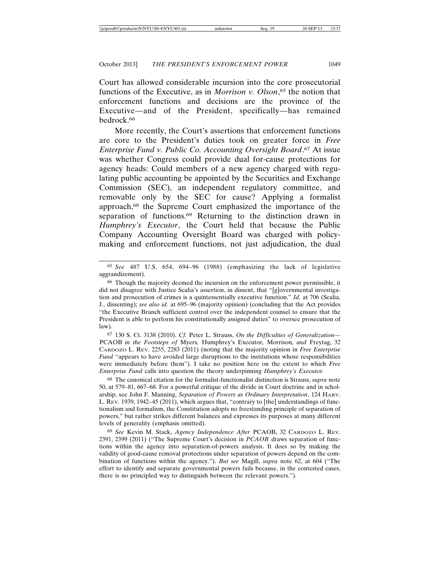Court has allowed considerable incursion into the core prosecutorial functions of the Executive, as in *Morrison v. Olson*, 65 the notion that enforcement functions and decisions are the province of the Executive—and of the President, specifically—has remained bedrock.66

More recently, the Court's assertions that enforcement functions are core to the President's duties took on greater force in *Free Enterprise Fund v. Public Co. Accounting Oversight Board*. 67 At issue was whether Congress could provide dual for-cause protections for agency heads: Could members of a new agency charged with regulating public accounting be appointed by the Securities and Exchange Commission (SEC), an independent regulatory committee, and removable only by the SEC for cause? Applying a formalist approach,68 the Supreme Court emphasized the importance of the separation of functions.<sup>69</sup> Returning to the distinction drawn in *Humphrey's Executor*, the Court held that because the Public Company Accounting Oversight Board was charged with policymaking and enforcement functions, not just adjudication, the dual

65 *See* 487 U.S. 654, 694–96 (1988) (emphasizing the lack of legislative aggrandizement).

67 130 S. Ct. 3138 (2010). *Cf.* Peter L. Strauss, *On the Difficulties of Generalization—* PCAOB *in the Footsteps of* Myers*,* Humphrey's Executor*,* Morrison*, and* Freytag, 32 CARDOZO L. REV. 2255, 2283 (2011) (noting that the majority opinion in *Free Enterprise Fund* "appears to have avoided large disruptions to the institutions whose responsibilities were immediately before them"). I take no position here on the extent to which *Free Enterprise Fund* calls into question the theory underpinning *Humphrey's Executor.*

68 The canonical citation for the formalist-functionalist distinction is Strauss, *supra* note 50, at 579–81, 667–68. For a powerful critique of the divide in Court doctrine and in scholarship, see John F. Manning, *Separation of Powers as Ordinary Interpretation*, 124 HARV. L. REV. 1939, 1942–45 (2011), which argues that, "contrary to [the] understandings of functionalism and formalism, the Constitution adopts no freestanding principle of separation of powers," but rather strikes different balances and expresses its purposes at many different levels of generality (emphasis omitted).

69 *See* Kevin M. Stack, *Agency Independence After* PCAOB, 32 CARDOZO L. REV. 2391, 2399 (2011) ("The Supreme Court's decision in *PCAOB* draws separation of functions within the agency into separation-of-powers analysis. It does so by making the validity of good-cause removal protections under separation of powers depend on the combination of functions within the agency."). *But see* Magill, *supra* note 62, at 604 ("The effort to identify and separate governmental powers fails because, in the contested cases, there is no principled way to distinguish between the relevant powers.").

<sup>66</sup> Though the majority deemed the incursion on the enforcement power permissible, it did not disagree with Justice Scalia's assertion, in dissent, that "[g]overnmental investigation and prosecution of crimes is a quintessentially executive function." *Id.* at 706 (Scalia, J., dissenting); *see also id.* at 695–96 (majority opinion) (concluding that the Act provides "the Executive Branch sufficient control over the independent counsel to ensure that the President is able to perform his constitutionally assigned duties" to oversee prosecution of law).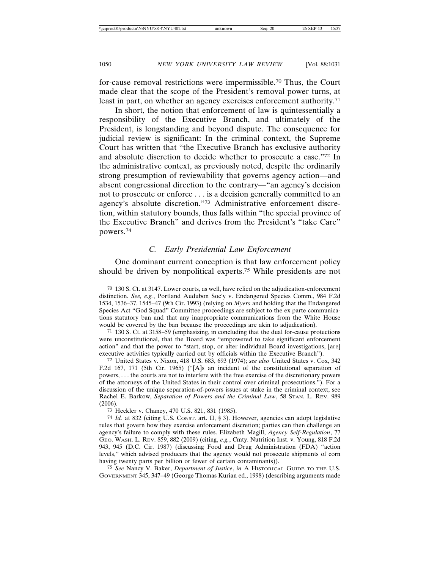for-cause removal restrictions were impermissible.70 Thus, the Court made clear that the scope of the President's removal power turns, at least in part, on whether an agency exercises enforcement authority.71

In short, the notion that enforcement of law is quintessentially a responsibility of the Executive Branch, and ultimately of the President, is longstanding and beyond dispute. The consequence for judicial review is significant: In the criminal context, the Supreme Court has written that "the Executive Branch has exclusive authority and absolute discretion to decide whether to prosecute a case."72 In the administrative context, as previously noted, despite the ordinarily strong presumption of reviewability that governs agency action—and absent congressional direction to the contrary—"an agency's decision not to prosecute or enforce . . . is a decision generally committed to an agency's absolute discretion."73 Administrative enforcement discretion, within statutory bounds, thus falls within "the special province of the Executive Branch" and derives from the President's "take Care" powers.74

#### *C. Early Presidential Law Enforcement*

One dominant current conception is that law enforcement policy should be driven by nonpolitical experts.75 While presidents are not

72 United States v. Nixon, 418 U.S. 683, 693 (1974); *see also* United States v. Cox, 342 F.2d 167, 171 (5th Cir. 1965) ("[A]s an incident of the constitutional separation of powers, . . . the courts are not to interfere with the free exercise of the discretionary powers of the attorneys of the United States in their control over criminal prosecutions."). For a discussion of the unique separation-of-powers issues at stake in the criminal context, see Rachel E. Barkow, *Separation of Powers and the Criminal Law*, 58 STAN. L. REV. 989 (2006).

73 Heckler v. Chaney, 470 U.S. 821, 831 (1985).

74 *Id.* at 832 (citing U.S. CONST. art. II, § 3). However, agencies can adopt legislative rules that govern how they exercise enforcement discretion; parties can then challenge an agency's failure to comply with these rules. Elizabeth Magill, *Agency Self-Regulation*, 77 GEO. WASH. L. REV. 859, 882 (2009) (citing, *e.g.*, Cmty. Nutrition Inst. v. Young, 818 F.2d 943, 945 (D.C. Cir. 1987) (discussing Food and Drug Administration (FDA) "action levels," which advised producers that the agency would not prosecute shipments of corn having twenty parts per billion or fewer of certain contaminants)).

75 *See* Nancy V. Baker, *Department of Justice*, *in* A HISTORICAL GUIDE TO THE U.S. GOVERNMENT 345, 347–49 (George Thomas Kurian ed., 1998) (describing arguments made

<sup>70</sup> 130 S. Ct. at 3147. Lower courts, as well, have relied on the adjudication-enforcement distinction. *See, e.g.*, Portland Audubon Soc'y v. Endangered Species Comm., 984 F.2d 1534, 1536–37, 1545–47 (9th Cir. 1993) (relying on *Myers* and holding that the Endangered Species Act "God Squad" Committee proceedings are subject to the ex parte communications statutory ban and that any inappropriate communications from the White House would be covered by the ban because the proceedings are akin to adjudication).

<sup>71</sup> 130 S. Ct. at 3158–59 (emphasizing, in concluding that the dual for-cause protections were unconstitutional, that the Board was "empowered to take significant enforcement action" and that the power to "start, stop, or alter individual Board investigations, [are] executive activities typically carried out by officials within the Executive Branch").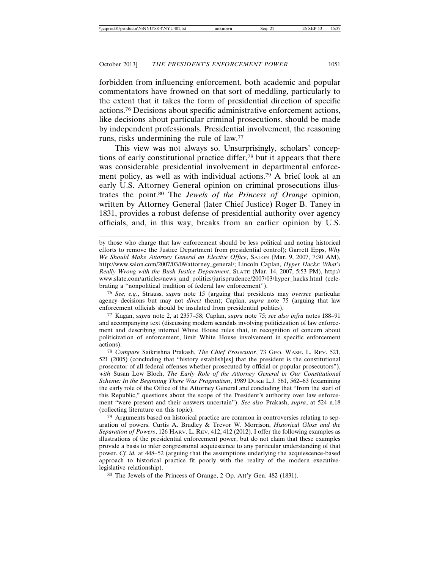forbidden from influencing enforcement, both academic and popular commentators have frowned on that sort of meddling, particularly to the extent that it takes the form of presidential direction of specific actions.76 Decisions about specific administrative enforcement actions, like decisions about particular criminal prosecutions, should be made by independent professionals. Presidential involvement, the reasoning runs, risks undermining the rule of law.77

This view was not always so. Unsurprisingly, scholars' conceptions of early constitutional practice differ,78 but it appears that there was considerable presidential involvement in departmental enforcement policy, as well as with individual actions.79 A brief look at an early U.S. Attorney General opinion on criminal prosecutions illustrates the point.80 The *Jewels of the Princess of Orange* opinion, written by Attorney General (later Chief Justice) Roger B. Taney in 1831, provides a robust defense of presidential authority over agency officials, and, in this way, breaks from an earlier opinion by U.S.

by those who charge that law enforcement should be less political and noting historical efforts to remove the Justice Department from presidential control); Garrett Epps, *Why We Should Make Attorney General an Elective Office*, SALON (Mar. 9, 2007, 7:30 AM), http://www.salon.com/2007/03/09/attorney\_general/; Lincoln Caplan, *Hyper Hacks: What's Really Wrong with the Bush Justice Department*, SLATE (Mar. 14, 2007, 5:53 PM), http:// www.slate.com/articles/news\_and\_politics/jurisprudence/2007/03/hyper\_hacks.html (celebrating a "nonpolitical tradition of federal law enforcement").

76 *See, e.g.*, Strauss, *supra* note 15 (arguing that presidents may *oversee* particular agency decisions but may not *direct* them); Caplan, *supra* note 75 (arguing that law enforcement officials should be insulated from presidential politics).

77 Kagan, *supra* note 2, at 2357–58; Caplan, *supra* note 75; *see also infra* notes 188–91 and accompanying text (discussing modern scandals involving politicization of law enforcement and describing internal White House rules that, in recognition of concern about politicization of enforcement, limit White House involvement in specific enforcement actions).

78 *Compare* Saikrishna Prakash, *The Chief Prosecutor*, 73 GEO. WASH. L. REV. 521, 521 (2005) (concluding that "history establish[es] that the president is the constitutional prosecutor of all federal offenses whether prosecuted by official or popular prosecutors"), *with* Susan Low Bloch, *The Early Role of the Attorney General in Our Constitutional Scheme: In the Beginning There Was Pragmatism*, 1989 DUKE L.J. 561, 562–63 (examining the early role of the Office of the Attorney General and concluding that "from the start of this Republic," questions about the scope of the President's authority over law enforcement "were present and their answers uncertain"). *See also* Prakash, *supra*, at 524 n.18 (collecting literature on this topic).

79 Arguments based on historical practice are common in controversies relating to separation of powers. Curtis A. Bradley & Trevor W. Morrison, *Historical Gloss and the Separation of Powers*, 126 HARV. L. REV. 412, 412 (2012). I offer the following examples as illustrations of the presidential enforcement power, but do not claim that these examples provide a basis to infer congressional acquiescence to any particular understanding of that power. *Cf. id.* at 448–52 (arguing that the assumptions underlying the acquiescence-based approach to historical practice fit poorly with the reality of the modern executivelegislative relationship).

80 The Jewels of the Princess of Orange, 2 Op. Att'y Gen. 482 (1831).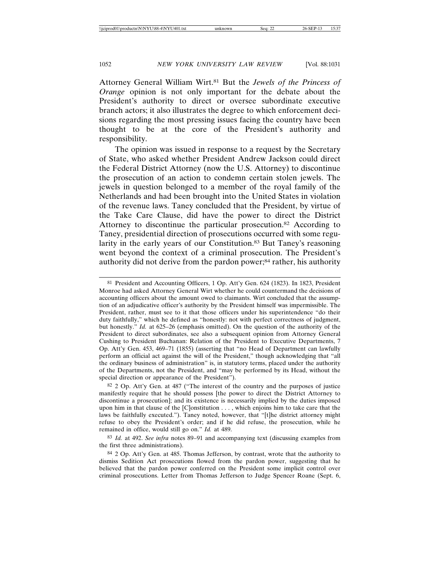Attorney General William Wirt.81 But the *Jewels of the Princess of Orange* opinion is not only important for the debate about the President's authority to direct or oversee subordinate executive branch actors; it also illustrates the degree to which enforcement decisions regarding the most pressing issues facing the country have been thought to be at the core of the President's authority and responsibility.

The opinion was issued in response to a request by the Secretary of State, who asked whether President Andrew Jackson could direct the Federal District Attorney (now the U.S. Attorney) to discontinue the prosecution of an action to condemn certain stolen jewels. The jewels in question belonged to a member of the royal family of the Netherlands and had been brought into the United States in violation of the revenue laws. Taney concluded that the President, by virtue of the Take Care Clause, did have the power to direct the District Attorney to discontinue the particular prosecution.<sup>82</sup> According to Taney, presidential direction of prosecutions occurred with some regularity in the early years of our Constitution.83 But Taney's reasoning went beyond the context of a criminal prosecution. The President's authority did not derive from the pardon power;84 rather, his authority

82 2 Op. Att'y Gen. at 487 ("The interest of the country and the purposes of justice manifestly require that he should possess [the power to direct the District Attorney to discontinue a prosecution]; and its existence is necessarily implied by the duties imposed upon him in that clause of the [C]onstitution . . . , which enjoins him to take care that the laws be faithfully executed."). Taney noted, however, that "[t]he district attorney might refuse to obey the President's order; and if he did refuse, the prosecution, while he remained in office, would still go on." *Id.* at 489.

83 *Id.* at 492. *See infra* notes 89–91 and accompanying text (discussing examples from the first three administrations).

84 2 Op. Att'y Gen. at 485. Thomas Jefferson, by contrast, wrote that the authority to dismiss Sedition Act prosecutions flowed from the pardon power, suggesting that he believed that the pardon power conferred on the President some implicit control over criminal prosecutions. Letter from Thomas Jefferson to Judge Spencer Roane (Sept. 6,

<sup>81</sup> President and Accounting Officers, 1 Op. Att'y Gen. 624 (1823). In 1823, President Monroe had asked Attorney General Wirt whether he could countermand the decisions of accounting officers about the amount owed to claimants. Wirt concluded that the assumption of an adjudicative officer's authority by the President himself was impermissible. The President, rather, must see to it that those officers under his superintendence "do their duty faithfully," which he defined as "honestly: not with perfect correctness of judgment, but honestly." *Id.* at 625–26 (emphasis omitted). On the question of the authority of the President to direct subordinates, see also a subsequent opinion from Attorney General Cushing to President Buchanan: Relation of the President to Executive Departments, 7 Op. Att'y Gen. 453, 469–71 (1855) (asserting that "no Head of Department can lawfully perform an official act against the will of the President," though acknowledging that "all the ordinary business of administration" is, in statutory terms, placed under the authority of the Departments, not the President, and "may be performed by its Head, without the special direction or appearance of the President").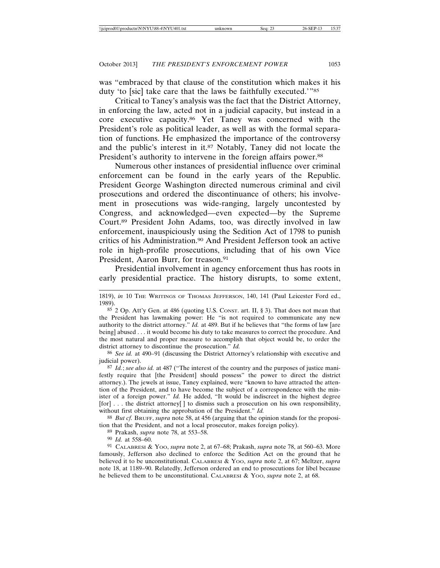was "embraced by that clause of the constitution which makes it his duty 'to [sic] take care that the laws be faithfully executed.'"85

Critical to Taney's analysis was the fact that the District Attorney, in enforcing the law, acted not in a judicial capacity, but instead in a core executive capacity.86 Yet Taney was concerned with the President's role as political leader, as well as with the formal separation of functions. He emphasized the importance of the controversy and the public's interest in it.87 Notably, Taney did not locate the President's authority to intervene in the foreign affairs power.<sup>88</sup>

Numerous other instances of presidential influence over criminal enforcement can be found in the early years of the Republic. President George Washington directed numerous criminal and civil prosecutions and ordered the discontinuance of others; his involvement in prosecutions was wide-ranging, largely uncontested by Congress, and acknowledged—even expected—by the Supreme Court.89 President John Adams, too, was directly involved in law enforcement, inauspiciously using the Sedition Act of 1798 to punish critics of his Administration.90 And President Jefferson took an active role in high-profile prosecutions, including that of his own Vice President, Aaron Burr, for treason.<sup>91</sup>

Presidential involvement in agency enforcement thus has roots in early presidential practice. The history disrupts, to some extent,

86 *See id.* at 490–91 (discussing the District Attorney's relationship with executive and judicial power).

87 *Id.*; *see also id.* at 487 ("The interest of the country and the purposes of justice manifestly require that [the President] should possess" the power to direct the district attorney.). The jewels at issue, Taney explained, were "known to have attracted the attention of the President, and to have become the subject of a correspondence with the minister of a foreign power." *Id.* He added, "It would be indiscreet in the highest degree [for] . . . the district attorney[ ] to dismiss such a prosecution on his own responsibility, without first obtaining the approbation of the President." *Id.*

88 *But cf.* BRUFF, *supra* note 58, at 456 (arguing that the opinion stands for the proposition that the President, and not a local prosecutor, makes foreign policy).

89 Prakash, *supra* note 78, at 553–58.

90 *Id.* at 558–60.

91 CALABRESI & YOO, *supra* note 2, at 67–68; Prakash, *supra* note 78, at 560–63. More famously, Jefferson also declined to enforce the Sedition Act on the ground that he believed it to be unconstitutional. CALABRESI & YOO, *supra* note 2, at 67; Meltzer, *supra* note 18, at 1189–90. Relatedly, Jefferson ordered an end to prosecutions for libel because he believed them to be unconstitutional. CALABRESI & YOO, *supra* note 2, at 68.

<sup>1819),</sup> *in* 10 THE WRITINGS OF THOMAS JEFFERSON, 140, 141 (Paul Leicester Ford ed., 1989).

<sup>85</sup> 2 Op. Att'y Gen. at 486 (quoting U.S. CONST. art. II, § 3). That does not mean that the President has lawmaking power: He "is not required to communicate any new authority to the district attorney." *Id.* at 489. But if he believes that "the forms of law [are being] abused . . . it would become his duty to take measures to correct the procedure. And the most natural and proper measure to accomplish that object would be, to order the district attorney to discontinue the prosecution." *Id.*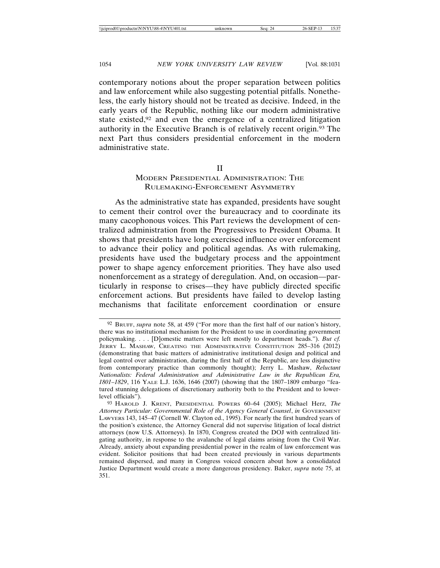contemporary notions about the proper separation between politics and law enforcement while also suggesting potential pitfalls. Nonetheless, the early history should not be treated as decisive. Indeed, in the early years of the Republic, nothing like our modern administrative state existed,92 and even the emergence of a centralized litigation authority in the Executive Branch is of relatively recent origin.93 The next Part thus considers presidential enforcement in the modern administrative state.

#### II

#### MODERN PRESIDENTIAL ADMINISTRATION: THE RULEMAKING-ENFORCEMENT ASYMMETRY

As the administrative state has expanded, presidents have sought to cement their control over the bureaucracy and to coordinate its many cacophonous voices. This Part reviews the development of centralized administration from the Progressives to President Obama. It shows that presidents have long exercised influence over enforcement to advance their policy and political agendas. As with rulemaking, presidents have used the budgetary process and the appointment power to shape agency enforcement priorities. They have also used nonenforcement as a strategy of deregulation. And, on occasion—particularly in response to crises—they have publicly directed specific enforcement actions. But presidents have failed to develop lasting mechanisms that facilitate enforcement coordination or ensure

<sup>92</sup> BRUFF, *supra* note 58, at 459 ("For more than the first half of our nation's history, there was no institutional mechanism for the President to use in coordinating government policymaking. . . . [D]omestic matters were left mostly to department heads."). *But cf.* JERRY L. MASHAW, CREATING THE ADMINISTRATIVE CONSTITUTION 285–316 (2012) (demonstrating that basic matters of administrative institutional design and political and legal control over administration, during the first half of the Republic, are less disjunctive from contemporary practice than commonly thought); Jerry L. Mashaw, *Reluctant Nationalists: Federal Administration and Administrative Law in the Republican Era, 1801–1829*, 116 YALE L.J. 1636, 1646 (2007) (showing that the 1807–1809 embargo "featured stunning delegations of discretionary authority both to the President and to lowerlevel officials").

<sup>93</sup> HAROLD J. KRENT, PRESIDENTIAL POWERS 60–64 (2005); Michael Herz, *The Attorney Particular: Governmental Role of the Agency General Counsel*, *in* GOVERNMENT LAWYERS 143, 145–47 (Cornell W. Clayton ed., 1995). For nearly the first hundred years of the position's existence, the Attorney General did not supervise litigation of local district attorneys (now U.S. Attorneys). In 1870, Congress created the DOJ with centralized litigating authority, in response to the avalanche of legal claims arising from the Civil War. Already, anxiety about expanding presidential power in the realm of law enforcement was evident. Solicitor positions that had been created previously in various departments remained dispersed, and many in Congress voiced concern about how a consolidated Justice Department would create a more dangerous presidency. Baker, *supra* note 75, at 351.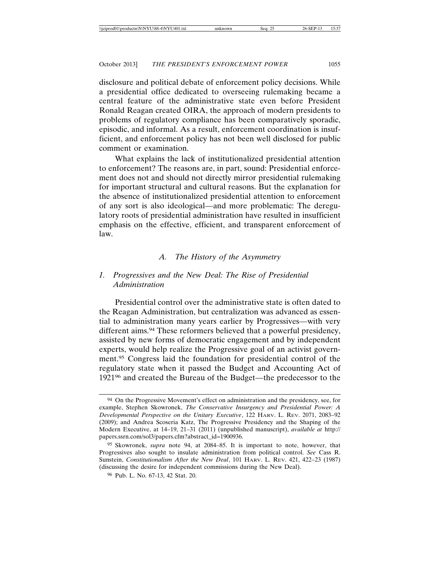disclosure and political debate of enforcement policy decisions. While a presidential office dedicated to overseeing rulemaking became a central feature of the administrative state even before President Ronald Reagan created OIRA, the approach of modern presidents to problems of regulatory compliance has been comparatively sporadic, episodic, and informal. As a result, enforcement coordination is insufficient, and enforcement policy has not been well disclosed for public comment or examination.

What explains the lack of institutionalized presidential attention to enforcement? The reasons are, in part, sound: Presidential enforcement does not and should not directly mirror presidential rulemaking for important structural and cultural reasons. But the explanation for the absence of institutionalized presidential attention to enforcement of any sort is also ideological—and more problematic: The deregulatory roots of presidential administration have resulted in insufficient emphasis on the effective, efficient, and transparent enforcement of law.

#### *A. The History of the Asymmetry*

#### *1. Progressives and the New Deal: The Rise of Presidential Administration*

Presidential control over the administrative state is often dated to the Reagan Administration, but centralization was advanced as essential to administration many years earlier by Progressives—with very different aims.94 These reformers believed that a powerful presidency, assisted by new forms of democratic engagement and by independent experts, would help realize the Progressive goal of an activist government.95 Congress laid the foundation for presidential control of the regulatory state when it passed the Budget and Accounting Act of 192196 and created the Bureau of the Budget—the predecessor to the

<sup>94</sup> On the Progressive Movement's effect on administration and the presidency, see, for example, Stephen Skowronek, *The Conservative Insurgency and Presidential Power: A Developmental Perspective on the Unitary Executive*, 122 HARV. L. REV. 2071, 2083–92 (2009); and Andrea Scoseria Katz, The Progressive Presidency and the Shaping of the Modern Executive, at 14–19, 21–31 (2011) (unpublished manuscript), *available at* http:// papers.ssrn.com/sol3/papers.cfm?abstract\_id=1900936.

<sup>95</sup> Skowronek, *supra* note 94, at 2084–85. It is important to note, however, that Progressives also sought to insulate administration from political control. *See* Cass R. Sunstein, *Constitutionalism After the New Deal*, 101 HARV. L. REV. 421, 422–23 (1987) (discussing the desire for independent commissions during the New Deal).

<sup>96</sup> Pub. L. No. 67-13, 42 Stat. 20.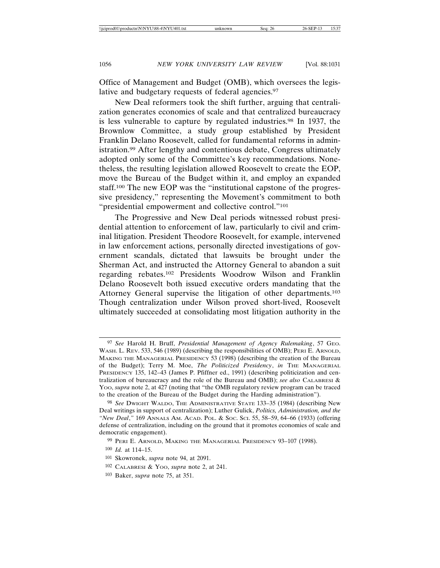Office of Management and Budget (OMB), which oversees the legislative and budgetary requests of federal agencies.97

New Deal reformers took the shift further, arguing that centralization generates economies of scale and that centralized bureaucracy is less vulnerable to capture by regulated industries.98 In 1937, the Brownlow Committee, a study group established by President Franklin Delano Roosevelt, called for fundamental reforms in administration.99 After lengthy and contentious debate, Congress ultimately adopted only some of the Committee's key recommendations. Nonetheless, the resulting legislation allowed Roosevelt to create the EOP, move the Bureau of the Budget within it, and employ an expanded staff.100 The new EOP was the "institutional capstone of the progressive presidency," representing the Movement's commitment to both "presidential empowerment and collective control."101

The Progressive and New Deal periods witnessed robust presidential attention to enforcement of law, particularly to civil and criminal litigation. President Theodore Roosevelt, for example, intervened in law enforcement actions, personally directed investigations of government scandals, dictated that lawsuits be brought under the Sherman Act, and instructed the Attorney General to abandon a suit regarding rebates.102 Presidents Woodrow Wilson and Franklin Delano Roosevelt both issued executive orders mandating that the Attorney General supervise the litigation of other departments.103 Though centralization under Wilson proved short-lived, Roosevelt ultimately succeeded at consolidating most litigation authority in the

<sup>97</sup> *See* Harold H. Bruff, *Presidential Management of Agency Rulemaking*, 57 GEO. WASH. L. REV. 533, 546 (1989) (describing the responsibilities of OMB); PERI E. ARNOLD, MAKING THE MANAGERIAL PRESIDENCY 53 (1998) (describing the creation of the Bureau of the Budget); Terry M. Moe, *The Politicized Presidency*, *in* THE MANAGERIAL PRESIDENCY 135, 142–43 (James P. Pfiffner ed., 1991) (describing politicization and centralization of bureaucracy and the role of the Bureau and OMB); *see also* CALABRESI & YOO, *supra* note 2, at 427 (noting that "the OMB regulatory review program can be traced to the creation of the Bureau of the Budget during the Harding administration").

<sup>98</sup> *See* DWIGHT WALDO, THE ADMINISTRATIVE STATE 133–35 (1984) (describing New Deal writings in support of centralization); Luther Gulick, *Politics, Administration, and the "New Deal*,*"* 169 ANNALS AM. ACAD. POL. & SOC. SCI. 55, 58–59, 64–66 (1933) (offering defense of centralization, including on the ground that it promotes economies of scale and democratic engagement).

<sup>99</sup> PERI E. ARNOLD, MAKING THE MANAGERIAL PRESIDENCY 93–107 (1998).

<sup>100</sup> *Id.* at 114–15.

<sup>101</sup> Skowronek, *supra* note 94, at 2091.

<sup>102</sup> CALABRESI & YOO, *supra* note 2, at 241.

<sup>103</sup> Baker, *supra* note 75, at 351.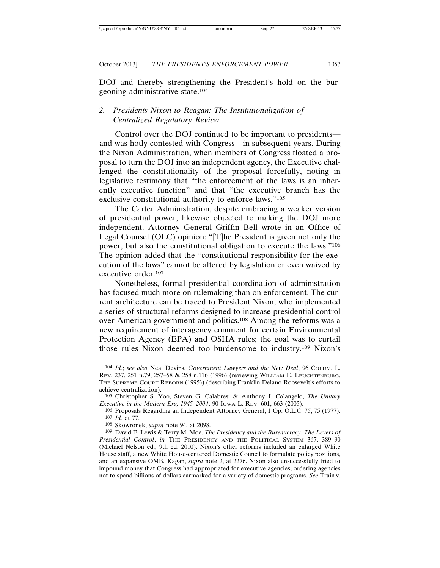DOJ and thereby strengthening the President's hold on the burgeoning administrative state.104

### *2. Presidents Nixon to Reagan: The Institutionalization of Centralized Regulatory Review*

Control over the DOJ continued to be important to presidents and was hotly contested with Congress—in subsequent years. During the Nixon Administration, when members of Congress floated a proposal to turn the DOJ into an independent agency, the Executive challenged the constitutionality of the proposal forcefully, noting in legislative testimony that "the enforcement of the laws is an inherently executive function" and that "the executive branch has the exclusive constitutional authority to enforce laws."105

The Carter Administration, despite embracing a weaker version of presidential power, likewise objected to making the DOJ more independent. Attorney General Griffin Bell wrote in an Office of Legal Counsel (OLC) opinion: "[T]he President is given not only the power, but also the constitutional obligation to execute the laws."106 The opinion added that the "constitutional responsibility for the execution of the laws" cannot be altered by legislation or even waived by executive order.107

Nonetheless, formal presidential coordination of administration has focused much more on rulemaking than on enforcement. The current architecture can be traced to President Nixon, who implemented a series of structural reforms designed to increase presidential control over American government and politics.108 Among the reforms was a new requirement of interagency comment for certain Environmental Protection Agency (EPA) and OSHA rules; the goal was to curtail those rules Nixon deemed too burdensome to industry.109 Nixon's

<sup>104</sup> *Id.*; *see also* Neal Devins, *Government Lawyers and the New Deal*, 96 COLUM. L. REV. 237, 251 n.79, 257–58 & 258 n.116 (1996) (reviewing WILLIAM E. LEUCHTENBURG, THE SUPREME COURT REBORN (1995)) (describing Franklin Delano Roosevelt's efforts to achieve centralization).

<sup>105</sup> Christopher S. Yoo, Steven G. Calabresi & Anthony J. Colangelo, *The Unitary Executive in the Modern Era, 1945–2004*, 90 IOWA L. REV. 601, 663 (2005).

<sup>106</sup> Proposals Regarding an Independent Attorney General, 1 Op. O.L.C. 75, 75 (1977). 107 *Id.* at 77.

<sup>108</sup> Skowronek, *supra* note 94, at 2098.

<sup>109</sup> David E. Lewis & Terry M. Moe, *The Presidency and the Bureaucracy: The Levers of Presidential Control*, *in* THE PRESIDENCY AND THE POLITICAL SYSTEM 367, 389–90 (Michael Nelson ed., 9th ed. 2010). Nixon's other reforms included an enlarged White House staff, a new White House-centered Domestic Council to formulate policy positions, and an expansive OMB*.* Kagan, *supra* note 2, at 2276. Nixon also unsuccessfully tried to impound money that Congress had appropriated for executive agencies, ordering agencies not to spend billions of dollars earmarked for a variety of domestic programs. *See* Train v.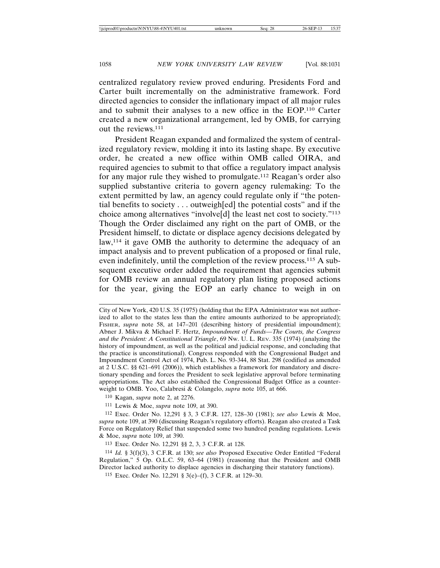centralized regulatory review proved enduring. Presidents Ford and Carter built incrementally on the administrative framework. Ford directed agencies to consider the inflationary impact of all major rules and to submit their analyses to a new office in the EOP.110 Carter created a new organizational arrangement, led by OMB, for carrying out the reviews.111

President Reagan expanded and formalized the system of centralized regulatory review, molding it into its lasting shape. By executive order, he created a new office within OMB called OIRA, and required agencies to submit to that office a regulatory impact analysis for any major rule they wished to promulgate.112 Reagan's order also supplied substantive criteria to govern agency rulemaking: To the extent permitted by law, an agency could regulate only if "the potential benefits to society . . . outweigh[ed] the potential costs" and if the choice among alternatives "involve[d] the least net cost to society."113 Though the Order disclaimed any right on the part of OMB, or the President himself, to dictate or displace agency decisions delegated by law,114 it gave OMB the authority to determine the adequacy of an impact analysis and to prevent publication of a proposed or final rule, even indefinitely, until the completion of the review process.115 A subsequent executive order added the requirement that agencies submit for OMB review an annual regulatory plan listing proposed actions for the year, giving the EOP an early chance to weigh in on

City of New York, 420 U.S. 35 (1975) (holding that the EPA Administrator was not authorized to allot to the states less than the entire amounts authorized to be appropriated); FISHER, *supra* note 58, at 147–201 (describing history of presidential impoundment); Abner J. Mikva & Michael F. Hertz, *Impoundment of Funds—The Courts, the Congress and the President: A Constitutional Triangle*, 69 NW. U. L. REV. 335 (1974) (analyzing the history of impoundment, as well as the political and judicial response, and concluding that the practice is unconstitutional). Congress responded with the Congressional Budget and Impoundment Control Act of 1974, Pub. L. No. 93-344, 88 Stat. 298 (codified as amended at 2 U.S.C. §§ 621–691 (2006)), which establishes a framework for mandatory and discretionary spending and forces the President to seek legislative approval before terminating appropriations. The Act also established the Congressional Budget Office as a counterweight to OMB. Yoo, Calabresi & Colangelo, *supra* note 105, at 666.

110 Kagan, *supra* note 2, at 2276.

111 Lewis & Moe, *supra* note 109, at 390.

112 Exec. Order No. 12,291 § 3, 3 C.F.R. 127, 128–30 (1981); *see also* Lewis & Moe, *supra* note 109, at 390 (discussing Reagan's regulatory efforts). Reagan also created a Task Force on Regulatory Relief that suspended some two hundred pending regulations. Lewis & Moe, *supra* note 109, at 390.

113 Exec. Order No. 12,291 §§ 2, 3, 3 C.F.R. at 128.

114 *Id.* § 3(f)(3), 3 C.F.R. at 130; *see also* Proposed Executive Order Entitled "Federal Regulation," 5 Op. O.L.C. 59, 63–64 (1981) (reasoning that the President and OMB Director lacked authority to displace agencies in discharging their statutory functions).

115 Exec. Order No. 12,291 § 3(e)–(f), 3 C.F.R. at 129–30.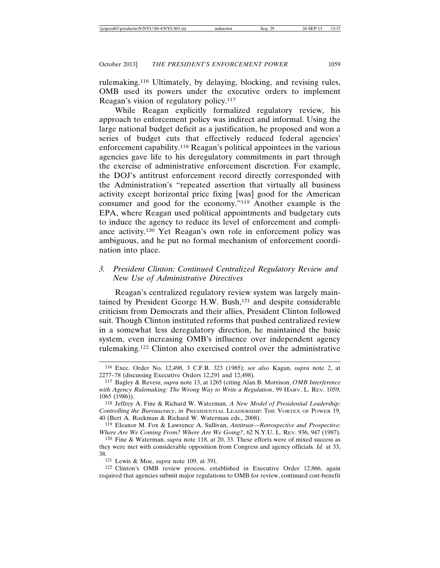rulemaking.116 Ultimately, by delaying, blocking, and revising rules, OMB used its powers under the executive orders to implement Reagan's vision of regulatory policy.117

While Reagan explicitly formalized regulatory review, his approach to enforcement policy was indirect and informal. Using the large national budget deficit as a justification, he proposed and won a series of budget cuts that effectively reduced federal agencies' enforcement capability.118 Reagan's political appointees in the various agencies gave life to his deregulatory commitments in part through the exercise of administrative enforcement discretion. For example, the DOJ's antitrust enforcement record directly corresponded with the Administration's "repeated assertion that virtually all business activity except horizontal price fixing [was] good for the American consumer and good for the economy."119 Another example is the EPA, where Reagan used political appointments and budgetary cuts to induce the agency to reduce its level of enforcement and compliance activity.120 Yet Reagan's own role in enforcement policy was ambiguous, and he put no formal mechanism of enforcement coordination into place.

#### *3. President Clinton: Continued Centralized Regulatory Review and New Use of Administrative Directives*

Reagan's centralized regulatory review system was largely maintained by President George H.W. Bush,121 and despite considerable criticism from Democrats and their allies, President Clinton followed suit. Though Clinton instituted reforms that pushed centralized review in a somewhat less deregulatory direction, he maintained the basic system, even increasing OMB's influence over independent agency rulemaking.122 Clinton also exercised control over the administrative

<sup>116</sup> Exec. Order No. 12,498, 3 C.F.R. 323 (1985); *see also* Kagan, *supra* note 2, at 2277–78 (discussing Executive Orders 12,291 and 12,498).

<sup>117</sup> Bagley & Revesz, *supra* note 13, at 1265 (citing Alan B. Morrison, *OMB Interference with Agency Rulemaking: The Wrong Way to Write a Regulation*, 99 HARV. L. REV. 1059, 1065 (1986)).

<sup>118</sup> Jeffrey A. Fine & Richard W. Waterman, *A New Model of Presidential Leadership: Controlling the Bureaucracy*, *in* PRESIDENTIAL LEADERSHIP: THE VORTEX OF POWER 19, 40 (Bert A. Rockman & Richard W. Waterman eds., 2008).

<sup>119</sup> Eleanor M. Fox & Lawrence A. Sullivan, *Antitrust—Retrospective and Prospective: Where Are We Coming From? Where Are We Going?*, 62 N.Y.U. L. REV. 936, 947 (1987).

<sup>120</sup> Fine & Waterman, *supra* note 118, at 20, 33. These efforts were of mixed success as they were met with considerable opposition from Congress and agency officials. *Id.* at 33, 38.

<sup>121</sup> Lewis & Moe, *supra* note 109, at 391.

<sup>122</sup> Clinton's OMB review process, established in Executive Order 12,866, again required that agencies submit major regulations to OMB for review, continued cost-benefit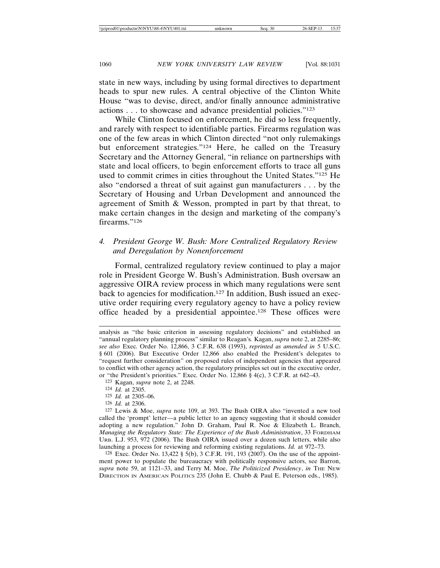state in new ways, including by using formal directives to department heads to spur new rules. A central objective of the Clinton White House "was to devise, direct, and/or finally announce administrative actions . . . to showcase and advance presidential policies."123

While Clinton focused on enforcement, he did so less frequently, and rarely with respect to identifiable parties. Firearms regulation was one of the few areas in which Clinton directed "not only rulemakings but enforcement strategies."124 Here, he called on the Treasury Secretary and the Attorney General, "in reliance on partnerships with state and local officers, to begin enforcement efforts to trace all guns used to commit crimes in cities throughout the United States."125 He also "endorsed a threat of suit against gun manufacturers . . . by the Secretary of Housing and Urban Development and announced the agreement of Smith & Wesson, prompted in part by that threat, to make certain changes in the design and marketing of the company's firearms."126

#### *4. President George W. Bush: More Centralized Regulatory Review and Deregulation by Nonenforcement*

Formal, centralized regulatory review continued to play a major role in President George W. Bush's Administration. Bush oversaw an aggressive OIRA review process in which many regulations were sent back to agencies for modification.127 In addition, Bush issued an executive order requiring every regulatory agency to have a policy review office headed by a presidential appointee.128 These offices were

- 123 Kagan, *supra* note 2, at 2248.
- 124 *Id.* at 2305.
- 125 *Id.* at 2305–06.
- 126 *Id.* at 2306.

127 Lewis & Moe, *supra* note 109, at 393. The Bush OIRA also "invented a new tool called the 'prompt' letter—a public letter to an agency suggesting that it should consider adopting a new regulation." John D. Graham, Paul R. Noe & Elizabeth L. Branch, *Managing the Regulatory State: The Experience of the Bush Administration*, 33 FORDHAM URB. L.J. 953, 972 (2006). The Bush OIRA issued over a dozen such letters, while also launching a process for reviewing and reforming existing regulations. *Id.* at 972–73.

128 Exec. Order No. 13,422 § 5(b), 3 C.F.R. 191, 193 (2007). On the use of the appointment power to populate the bureaucracy with politically responsive actors, see Barron, *supra* note 59, at 1121–33, and Terry M. Moe, *The Politicized Presidency*, *in* THE NEW DIRECTION IN AMERICAN POLITICS 235 (John E. Chubb & Paul E. Peterson eds., 1985).

analysis as "the basic criterion in assessing regulatory decisions" and established an "annual regulatory planning process" similar to Reagan's*.* Kagan, *supra* note 2, at 2285–86; *see also* Exec. Order No. 12,866, 3 C.F.R. 638 (1993), *reprinted as amended in* 5 U.S.C. § 601 (2006). But Executive Order 12,866 also enabled the President's delegates to "request further consideration" on proposed rules of independent agencies that appeared to conflict with other agency action, the regulatory principles set out in the executive order, or "the President's priorities." Exec. Order No. 12,866 § 4(c), 3 C.F.R. at 642–43.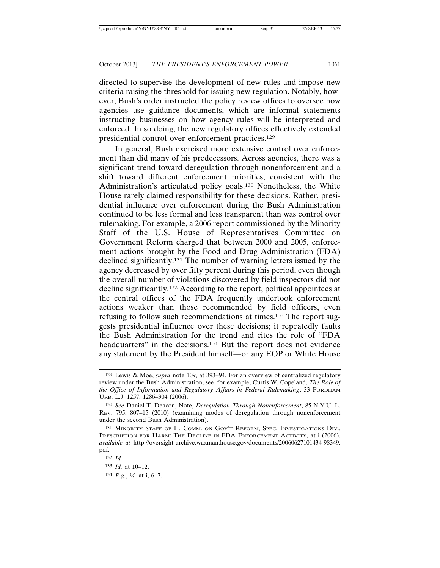directed to supervise the development of new rules and impose new criteria raising the threshold for issuing new regulation. Notably, however, Bush's order instructed the policy review offices to oversee how agencies use guidance documents, which are informal statements instructing businesses on how agency rules will be interpreted and enforced. In so doing, the new regulatory offices effectively extended presidential control over enforcement practices.129

In general, Bush exercised more extensive control over enforcement than did many of his predecessors. Across agencies, there was a significant trend toward deregulation through nonenforcement and a shift toward different enforcement priorities, consistent with the Administration's articulated policy goals.130 Nonetheless, the White House rarely claimed responsibility for these decisions. Rather, presidential influence over enforcement during the Bush Administration continued to be less formal and less transparent than was control over rulemaking. For example, a 2006 report commissioned by the Minority Staff of the U.S. House of Representatives Committee on Government Reform charged that between 2000 and 2005, enforcement actions brought by the Food and Drug Administration (FDA) declined significantly.131 The number of warning letters issued by the agency decreased by over fifty percent during this period, even though the overall number of violations discovered by field inspectors did not decline significantly.132 According to the report, political appointees at the central offices of the FDA frequently undertook enforcement actions weaker than those recommended by field officers, even refusing to follow such recommendations at times.133 The report suggests presidential influence over these decisions; it repeatedly faults the Bush Administration for the trend and cites the role of "FDA headquarters" in the decisions.<sup>134</sup> But the report does not evidence any statement by the President himself—or any EOP or White House

<sup>129</sup> Lewis & Moe, *supra* note 109, at 393–94. For an overview of centralized regulatory review under the Bush Administration, see, for example, Curtis W. Copeland, *The Role of the Office of Information and Regulatory Affairs in Federal Rulemaking*, 33 FORDHAM URB. L.J. 1257, 1286–304 (2006).

<sup>130</sup> *See* Daniel T. Deacon, Note, *Deregulation Through Nonenforcement*, 85 N.Y.U. L. REV. 795, 807–15 (2010) (examining modes of deregulation through nonenforcement under the second Bush Administration).

<sup>131</sup> MINORITY STAFF OF H. COMM. ON GOV'T REFORM, SPEC. INVESTIGATIONS DIV., PRESCRIPTION FOR HARM: THE DECLINE IN FDA ENFORCEMENT ACTIVITY, at i (2006), *available at* http://oversight-archive.waxman.house.gov/documents/20060627101434-98349. pdf.

<sup>132</sup> *Id.* 

<sup>133</sup> *Id.* at 10–12.

<sup>134</sup> *E.g.*, *id.* at i, 6–7.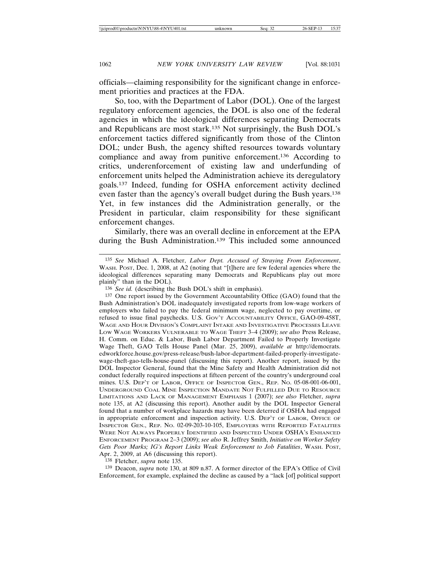officials—claiming responsibility for the significant change in enforcement priorities and practices at the FDA.

So, too, with the Department of Labor (DOL). One of the largest regulatory enforcement agencies, the DOL is also one of the federal agencies in which the ideological differences separating Democrats and Republicans are most stark.135 Not surprisingly, the Bush DOL's enforcement tactics differed significantly from those of the Clinton DOL; under Bush, the agency shifted resources towards voluntary compliance and away from punitive enforcement.136 According to critics, underenforcement of existing law and underfunding of enforcement units helped the Administration achieve its deregulatory goals.137 Indeed, funding for OSHA enforcement activity declined even faster than the agency's overall budget during the Bush years.138 Yet, in few instances did the Administration generally, or the President in particular, claim responsibility for these significant enforcement changes.

Similarly, there was an overall decline in enforcement at the EPA during the Bush Administration.<sup>139</sup> This included some announced

138 Fletcher, *supra* note 135.

139 Deacon, *supra* note 130, at 809 n.87. A former director of the EPA's Office of Civil Enforcement, for example, explained the decline as caused by a "lack [of] political support

<sup>135</sup> *See* Michael A. Fletcher, *Labor Dept. Accused of Straying From Enforcement*, WASH. POST, Dec. 1, 2008, at A2 (noting that "[t]here are few federal agencies where the ideological differences separating many Democrats and Republicans play out more plainly" than in the DOL).

<sup>136</sup> *See id.* (describing the Bush DOL's shift in emphasis).

<sup>137</sup> One report issued by the Government Accountability Office (GAO) found that the Bush Administration's DOL inadequately investigated reports from low-wage workers of employers who failed to pay the federal minimum wage, neglected to pay overtime, or refused to issue final paychecks. U.S. GOV'T ACCOUNTABILITY OFFICE, GAO-09-458T, WAGE AND HOUR DIVISION'S COMPLAINT INTAKE AND INVESTIGATIVE PROCESSES LEAVE LOW WAGE WORKERS VULNERABLE TO WAGE THEFT 3–4 (2009); *see also* Press Release, H. Comm. on Educ. & Labor, Bush Labor Department Failed to Properly Investigate Wage Theft, GAO Tells House Panel (Mar. 25, 2009), *available at* http://democrats. edworkforce.house.gov/press-release/bush-labor-department-failed-properly-investigatewage-theft-gao-tells-house-panel (discussing this report). Another report, issued by the DOL Inspector General, found that the Mine Safety and Health Administration did not conduct federally required inspections at fifteen percent of the country's underground coal mines. U.S. DEP'T OF LABOR, OFFICE OF INSPECTOR GEN., REP. NO. 05-08-001-06-001, UNDERGROUND COAL MINE INSPECTION MANDATE NOT FULFILLED DUE TO RESOURCE LIMITATIONS AND LACK OF MANAGEMENT EMPHASIS 1 (2007); *see also* Fletcher, *supra* note 135, at A2 (discussing this report). Another audit by the DOL Inspector General found that a number of workplace hazards may have been deterred if OSHA had engaged in appropriate enforcement and inspection activity. U.S. DEP'T OF LABOR, OFFICE OF INSPECTOR GEN., REP. NO. 02-09-203-10-105, EMPLOYERS WITH REPORTED FATALITIES WERE NOT ALWAYS PROPERLY IDENTIFIED AND INSPECTED UNDER OSHA'S ENHANCED ENFORCEMENT PROGRAM 2–3 (2009); *see also* R. Jeffrey Smith, *Initiative on Worker Safety Gets Poor Marks; IG's Report Links Weak Enforcement to Job Fatalities*, WASH. POST, Apr. 2, 2009, at A6 (discussing this report).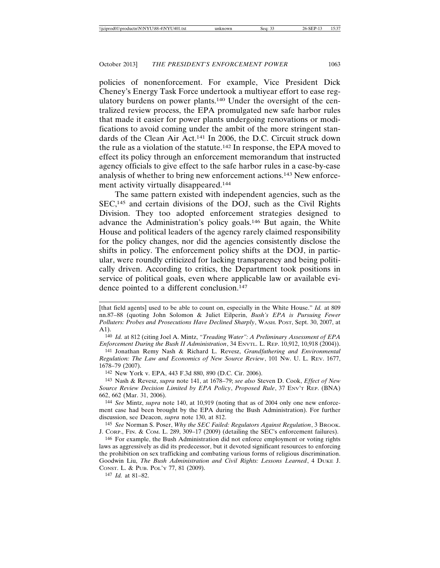policies of nonenforcement. For example, Vice President Dick Cheney's Energy Task Force undertook a multiyear effort to ease regulatory burdens on power plants.140 Under the oversight of the centralized review process, the EPA promulgated new safe harbor rules that made it easier for power plants undergoing renovations or modifications to avoid coming under the ambit of the more stringent standards of the Clean Air Act.141 In 2006, the D.C. Circuit struck down the rule as a violation of the statute.142 In response, the EPA moved to effect its policy through an enforcement memorandum that instructed agency officials to give effect to the safe harbor rules in a case-by-case analysis of whether to bring new enforcement actions.143 New enforcement activity virtually disappeared.144

The same pattern existed with independent agencies, such as the SEC,145 and certain divisions of the DOJ, such as the Civil Rights Division. They too adopted enforcement strategies designed to advance the Administration's policy goals.146 But again, the White House and political leaders of the agency rarely claimed responsibility for the policy changes, nor did the agencies consistently disclose the shifts in policy. The enforcement policy shifts at the DOJ, in particular, were roundly criticized for lacking transparency and being politically driven. According to critics, the Department took positions in service of political goals, even where applicable law or available evidence pointed to a different conclusion.<sup>147</sup>

144 *See* Mintz, *supra* note 140, at 10,919 (noting that as of 2004 only one new enforcement case had been brought by the EPA during the Bush Administration). For further discussion, see Deacon, *supra* note 130, at 812.

145 *See* Norman S. Poser, *Why the SEC Failed: Regulators Against Regulation*, 3 BROOK. J. CORP., FIN. & COM. L. 289, 309–17 (2009) (detailing the SEC's enforcement failures).

147 *Id.* at 81–82.

<sup>[</sup>that field agents] used to be able to count on, especially in the White House." *Id.* at 809 nn.87–88 (quoting John Solomon & Juliet Eilperin, *Bush's EPA is Pursuing Fewer Polluters: Probes and Prosecutions Have Declined Sharply*, WASH. POST, Sept. 30, 2007, at A1).

<sup>140</sup> *Id.* at 812 (citing Joel A. Mintz, *"Treading Water": A Preliminary Assessment of EPA Enforcement During the Bush II Administration*, 34 ENVTL. L. REP. 10,912, 10,918 (2004)).

<sup>141</sup> Jonathan Remy Nash & Richard L. Revesz, *Grandfathering and Environmental Regulation: The Law and Economics of New Source Review*, 101 NW. U. L. REV. 1677, 1678–79 (2007).

<sup>142</sup> New York v. EPA, 443 F.3d 880, 890 (D.C. Cir. 2006).

<sup>143</sup> Nash & Revesz, *supra* note 141, at 1678–79; *see also* Steven D. Cook, *Effect of New Source Review Decision Limited by EPA Policy*, *Proposed Rule*, 37 ENV'T REP. (BNA) 662, 662 (Mar. 31, 2006).

<sup>146</sup> For example, the Bush Administration did not enforce employment or voting rights laws as aggressively as did its predecessor, but it devoted significant resources to enforcing the prohibition on sex trafficking and combating various forms of religious discrimination. Goodwin Liu, *The Bush Administration and Civil Rights: Lessons Learned*, 4 DUKE J. CONST. L. & PUB. POL'Y 77, 81 (2009).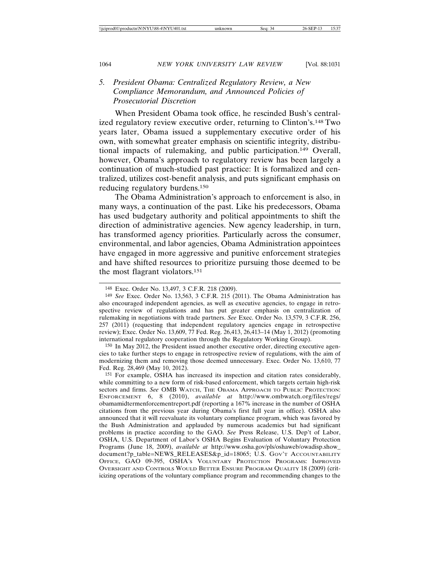### *5. President Obama: Centralized Regulatory Review, a New Compliance Memorandum, and Announced Policies of Prosecutorial Discretion*

When President Obama took office, he rescinded Bush's centralized regulatory review executive order, returning to Clinton's.148 Two years later, Obama issued a supplementary executive order of his own, with somewhat greater emphasis on scientific integrity, distributional impacts of rulemaking, and public participation.149 Overall, however, Obama's approach to regulatory review has been largely a continuation of much-studied past practice: It is formalized and centralized, utilizes cost-benefit analysis, and puts significant emphasis on reducing regulatory burdens.150

The Obama Administration's approach to enforcement is also, in many ways, a continuation of the past. Like his predecessors, Obama has used budgetary authority and political appointments to shift the direction of administrative agencies. New agency leadership, in turn, has transformed agency priorities. Particularly across the consumer, environmental, and labor agencies, Obama Administration appointees have engaged in more aggressive and punitive enforcement strategies and have shifted resources to prioritize pursuing those deemed to be the most flagrant violators.151

150 In May 2012, the President issued another executive order, directing executive agencies to take further steps to engage in retrospective review of regulations, with the aim of modernizing them and removing those deemed unnecessary. Exec. Order No. 13,610, 77 Fed. Reg. 28,469 (May 10, 2012).

151 For example, OSHA has increased its inspection and citation rates considerably, while committing to a new form of risk-based enforcement, which targets certain high-risk sectors and firms. *See* OMB WATCH, THE OBAMA APPROACH TO PUBLIC PROTECTION: ENFORCEMENT 6, 8 (2010), *available at* http://www.ombwatch.org/files/regs/ obamamidtermenforcementreport.pdf (reporting a 167% increase in the number of OSHA citations from the previous year during Obama's first full year in office). OSHA also announced that it will reevaluate its voluntary compliance program, which was favored by the Bush Administration and applauded by numerous academics but had significant problems in practice according to the GAO. *See* Press Release, U.S. Dep't of Labor, OSHA, U.S. Department of Labor's OSHA Begins Evaluation of Voluntary Protection Programs (June 18, 2009), *available at* http://www.osha.gov/pls/oshaweb/owadisp.show\_ document?p\_table=NEWS\_RELEASES&p\_id=18065; U.S. GOV'T ACCOUNTABILITY OFFICE, GAO 09-395, OSHA'S VOLUNTARY PROTECTION PROGRAMS: IMPROVED OVERSIGHT AND CONTROLS WOULD BETTER ENSURE PROGRAM QUALITY 18 (2009) (criticizing operations of the voluntary compliance program and recommending changes to the

<sup>148</sup> Exec. Order No. 13,497, 3 C.F.R. 218 (2009).

<sup>149</sup> *See* Exec. Order No. 13,563, 3 C.F.R. 215 (2011). The Obama Administration has also encouraged independent agencies, as well as executive agencies, to engage in retrospective review of regulations and has put greater emphasis on centralization of rulemaking in negotiations with trade partners. *See* Exec. Order No. 13,579, 3 C.F.R. 256, 257 (2011) (requesting that independent regulatory agencies engage in retrospective review); Exec. Order No. 13,609, 77 Fed. Reg. 26,413, 26,413–14 (May 1, 2012) (promoting international regulatory cooperation through the Regulatory Working Group).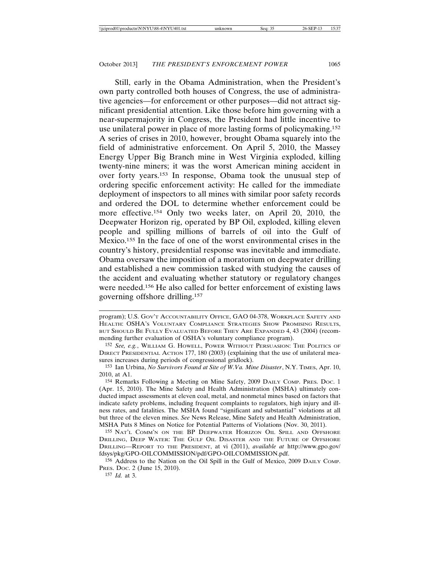Still, early in the Obama Administration, when the President's own party controlled both houses of Congress, the use of administrative agencies—for enforcement or other purposes—did not attract significant presidential attention. Like those before him governing with a near-supermajority in Congress, the President had little incentive to use unilateral power in place of more lasting forms of policymaking.152 A series of crises in 2010, however, brought Obama squarely into the field of administrative enforcement. On April 5, 2010, the Massey Energy Upper Big Branch mine in West Virginia exploded, killing twenty-nine miners; it was the worst American mining accident in over forty years.153 In response, Obama took the unusual step of ordering specific enforcement activity: He called for the immediate deployment of inspectors to all mines with similar poor safety records and ordered the DOL to determine whether enforcement could be more effective.154 Only two weeks later, on April 20, 2010, the Deepwater Horizon rig, operated by BP Oil, exploded, killing eleven people and spilling millions of barrels of oil into the Gulf of Mexico.155 In the face of one of the worst environmental crises in the country's history, presidential response was inevitable and immediate. Obama oversaw the imposition of a moratorium on deepwater drilling and established a new commission tasked with studying the causes of the accident and evaluating whether statutory or regulatory changes were needed.156 He also called for better enforcement of existing laws governing offshore drilling.157

157 *Id.* at 3.

program); U.S. GOV'T ACCOUNTABILITY OFFICE, GAO 04-378, WORKPLACE SAFETY AND HEALTH: OSHA'S VOLUNTARY COMPLIANCE STRATEGIES SHOW PROMISING RESULTS, BUT SHOULD BE FULLY EVALUATED BEFORE THEY ARE EXPANDED 4, 43 (2004) (recommending further evaluation of OSHA's voluntary compliance program).

<sup>152</sup> *See, e.g.*, WILLIAM G. HOWELL, POWER WITHOUT PERSUASION: THE POLITICS OF DIRECT PRESIDENTIAL ACTION 177, 180 (2003) (explaining that the use of unilateral measures increases during periods of congressional gridlock).

<sup>153</sup> Ian Urbina, *No Survivors Found at Site of W.Va. Mine Disaster*, N.Y. TIMES, Apr. 10, 2010, at A1.

<sup>154</sup> Remarks Following a Meeting on Mine Safety, 2009 DAILY COMP. PRES. DOC. 1 (Apr. 15, 2010). The Mine Safety and Health Administration (MSHA) ultimately conducted impact assessments at eleven coal, metal, and nonmetal mines based on factors that indicate safety problems, including frequent complaints to regulators, high injury and illness rates, and fatalities. The MSHA found "significant and substantial" violations at all but three of the eleven mines. *See* News Release, Mine Safety and Health Administration, MSHA Puts 8 Mines on Notice for Potential Patterns of Violations (Nov. 30, 2011).

<sup>155</sup> NAT'L COMM'N ON THE BP DEEPWATER HORIZON OIL SPILL AND OFFSHORE DRILLING, DEEP WATER: THE GULF OIL DISASTER AND THE FUTURE OF OFFSHORE DRILLING—REPORT TO THE PRESIDENT, at vi (2011), *available at* http://www.gpo.gov/ fdsys/pkg/GPO-OILCOMMISSION/pdf/GPO-OILCOMMISSION.pdf.

<sup>156</sup> Address to the Nation on the Oil Spill in the Gulf of Mexico, 2009 DAILY COMP. PRES. DOC. 2 (June 15, 2010).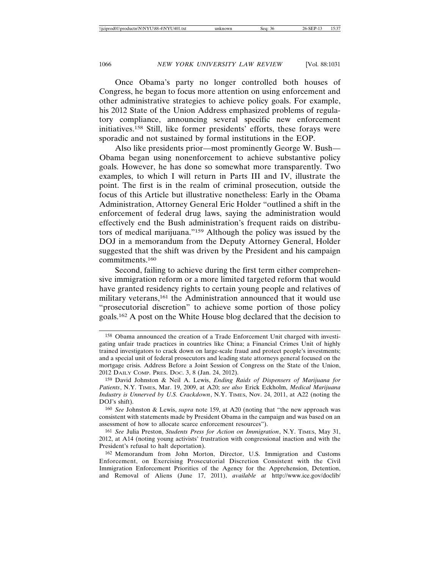Once Obama's party no longer controlled both houses of Congress, he began to focus more attention on using enforcement and other administrative strategies to achieve policy goals. For example, his 2012 State of the Union Address emphasized problems of regulatory compliance, announcing several specific new enforcement initiatives.158 Still, like former presidents' efforts, these forays were sporadic and not sustained by formal institutions in the EOP.

Also like presidents prior—most prominently George W. Bush— Obama began using nonenforcement to achieve substantive policy goals. However, he has done so somewhat more transparently. Two examples, to which I will return in Parts III and IV, illustrate the point. The first is in the realm of criminal prosecution, outside the focus of this Article but illustrative nonetheless: Early in the Obama Administration, Attorney General Eric Holder "outlined a shift in the enforcement of federal drug laws, saying the administration would effectively end the Bush administration's frequent raids on distributors of medical marijuana."159 Although the policy was issued by the DOJ in a memorandum from the Deputy Attorney General, Holder suggested that the shift was driven by the President and his campaign commitments.160

Second, failing to achieve during the first term either comprehensive immigration reform or a more limited targeted reform that would have granted residency rights to certain young people and relatives of military veterans,<sup>161</sup> the Administration announced that it would use "prosecutorial discretion" to achieve some portion of those policy goals.162 A post on the White House blog declared that the decision to

<sup>158</sup> Obama announced the creation of a Trade Enforcement Unit charged with investigating unfair trade practices in countries like China; a Financial Crimes Unit of highly trained investigators to crack down on large-scale fraud and protect people's investments; and a special unit of federal prosecutors and leading state attorneys general focused on the mortgage crisis. Address Before a Joint Session of Congress on the State of the Union, 2012 DAILY COMP. PRES. DOC. 3, 8 (Jan. 24, 2012).

<sup>159</sup> David Johnston & Neil A. Lewis, *Ending Raids of Dispensers of Marijuana for Patients*, N.Y. TIMES, Mar. 19, 2009, at A20; *see also* Erick Eckholm, *Medical Marijuana Industry is Unnerved by U.S. Crackdown*, N.Y. TIMES, Nov. 24, 2011, at A22 (noting the DOJ's shift).

<sup>160</sup> *See* Johnston & Lewis, *supra* note 159, at A20 (noting that "the new approach was consistent with statements made by President Obama in the campaign and was based on an assessment of how to allocate scarce enforcement resources").

<sup>161</sup> *See* Julia Preston, *Students Press for Action on Immigration*, N.Y. TIMES, May 31, 2012, at A14 (noting young activists' frustration with congressional inaction and with the President's refusal to halt deportation).

<sup>162</sup> Memorandum from John Morton, Director, U.S. Immigration and Customs Enforcement, on Exercising Prosecutorial Discretion Consistent with the Civil Immigration Enforcement Priorities of the Agency for the Apprehension, Detention, and Removal of Aliens (June 17, 2011), *available at* http://www.ice.gov/doclib/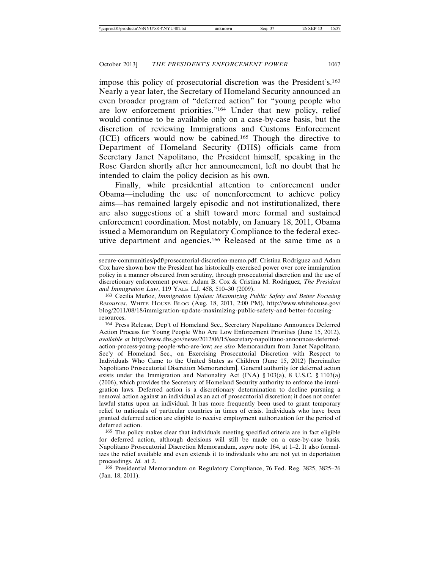impose this policy of prosecutorial discretion was the President's.163 Nearly a year later, the Secretary of Homeland Security announced an even broader program of "deferred action" for "young people who are low enforcement priorities."164 Under that new policy, relief would continue to be available only on a case-by-case basis, but the discretion of reviewing Immigrations and Customs Enforcement (ICE) officers would now be cabined.165 Though the directive to Department of Homeland Security (DHS) officials came from Secretary Janet Napolitano, the President himself, speaking in the Rose Garden shortly after her announcement, left no doubt that he intended to claim the policy decision as his own.

Finally, while presidential attention to enforcement under Obama—including the use of nonenforcement to achieve policy aims—has remained largely episodic and not institutionalized, there are also suggestions of a shift toward more formal and sustained enforcement coordination. Most notably, on January 18, 2011, Obama issued a Memorandum on Regulatory Compliance to the federal executive department and agencies.166 Released at the same time as a

secure-communities/pdf/prosecutorial-discretion-memo.pdf. Cristina Rodriguez and Adam Cox have shown how the President has historically exercised power over core immigration policy in a manner obscured from scrutiny, through prosecutorial discretion and the use of discretionary enforcement power. Adam B. Cox & Cristina M. Rodriguez, *The President and Immigration Law*, 119 YALE L.J. 458, 510–30 (2009).

<sup>&</sup>lt;sup>163</sup> Cecilia Muñoz, *Immigration Update: Maximizing Public Safety and Better Focusing Resources*, WHITE HOUSE BLOG (Aug. 18, 2011, 2:00 PM), http://www.whitehouse.gov/ blog/2011/08/18/immigration-update-maximizing-public-safety-and-better-focusingresources.

<sup>164</sup> Press Release, Dep't of Homeland Sec., Secretary Napolitano Announces Deferred Action Process for Young People Who Are Low Enforcement Priorities (June 15, 2012), *available at* http://www.dhs.gov/news/2012/06/15/secretary-napolitano-announces-deferredaction-process-young-people-who-are-low; *see also* Memorandum from Janet Napolitano, Sec'y of Homeland Sec., on Exercising Prosecutorial Discretion with Respect to Individuals Who Came to the United States as Children (June 15, 2012) [hereinafter Napolitano Prosecutorial Discretion Memorandum]. General authority for deferred action exists under the Immigration and Nationality Act (INA) § 103(a), 8 U.S.C. § 1103(a) (2006), which provides the Secretary of Homeland Security authority to enforce the immigration laws. Deferred action is a discretionary determination to decline pursuing a removal action against an individual as an act of prosecutorial discretion; it does not confer lawful status upon an individual. It has more frequently been used to grant temporary relief to nationals of particular countries in times of crisis. Individuals who have been granted deferred action are eligible to receive employment authorization for the period of deferred action.

<sup>165</sup> The policy makes clear that individuals meeting specified criteria are in fact eligible for deferred action, although decisions will still be made on a case-by-case basis. Napolitano Prosecutorial Discretion Memorandum, *supra* note 164, at 1–2. It also formalizes the relief available and even extends it to individuals who are not yet in deportation proceedings. *Id.* at 2.

<sup>166</sup> Presidential Memorandum on Regulatory Compliance, 76 Fed. Reg. 3825, 3825–26 (Jan. 18, 2011).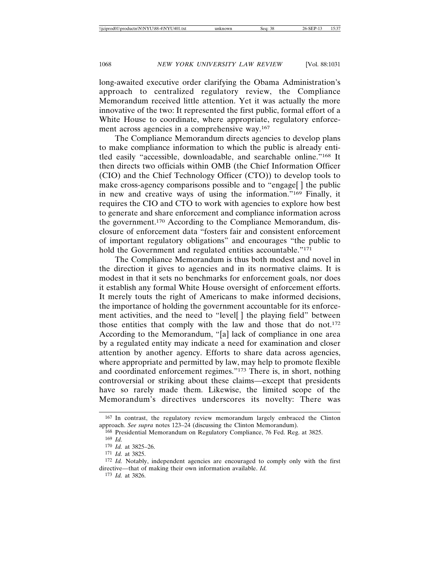long-awaited executive order clarifying the Obama Administration's approach to centralized regulatory review, the Compliance Memorandum received little attention. Yet it was actually the more innovative of the two: It represented the first public, formal effort of a White House to coordinate, where appropriate, regulatory enforcement across agencies in a comprehensive way.167

The Compliance Memorandum directs agencies to develop plans to make compliance information to which the public is already entitled easily "accessible, downloadable, and searchable online."168 It then directs two officials within OMB (the Chief Information Officer (CIO) and the Chief Technology Officer (CTO)) to develop tools to make cross-agency comparisons possible and to "engage[ ] the public in new and creative ways of using the information."169 Finally, it requires the CIO and CTO to work with agencies to explore how best to generate and share enforcement and compliance information across the government.170 According to the Compliance Memorandum, disclosure of enforcement data "fosters fair and consistent enforcement of important regulatory obligations" and encourages "the public to hold the Government and regulated entities accountable."<sup>171</sup>

The Compliance Memorandum is thus both modest and novel in the direction it gives to agencies and in its normative claims. It is modest in that it sets no benchmarks for enforcement goals, nor does it establish any formal White House oversight of enforcement efforts. It merely touts the right of Americans to make informed decisions, the importance of holding the government accountable for its enforcement activities, and the need to "level[ ] the playing field" between those entities that comply with the law and those that do not.<sup>172</sup> According to the Memorandum, "[a] lack of compliance in one area by a regulated entity may indicate a need for examination and closer attention by another agency. Efforts to share data across agencies, where appropriate and permitted by law, may help to promote flexible and coordinated enforcement regimes."173 There is, in short, nothing controversial or striking about these claims—except that presidents have so rarely made them. Likewise, the limited scope of the Memorandum's directives underscores its novelty: There was

<sup>167</sup> In contrast, the regulatory review memorandum largely embraced the Clinton approach. *See supra* notes 123–24 (discussing the Clinton Memorandum).

<sup>168</sup> Presidential Memorandum on Regulatory Compliance, 76 Fed. Reg. at 3825.

<sup>169</sup> *Id.*

<sup>170</sup> *Id.* at 3825–26.

<sup>171</sup> *Id.* at 3825.

<sup>172</sup> *Id.* Notably, independent agencies are encouraged to comply only with the first directive—that of making their own information available. *Id.*

<sup>173</sup> *Id.* at 3826.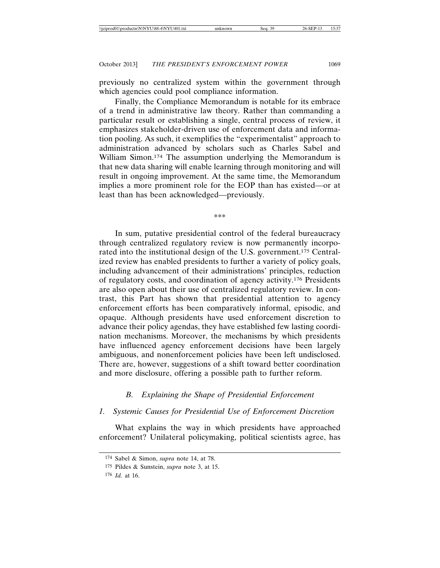previously no centralized system within the government through which agencies could pool compliance information.

Finally, the Compliance Memorandum is notable for its embrace of a trend in administrative law theory. Rather than commanding a particular result or establishing a single, central process of review, it emphasizes stakeholder-driven use of enforcement data and information pooling. As such, it exemplifies the "experimentalist" approach to administration advanced by scholars such as Charles Sabel and William Simon.174 The assumption underlying the Memorandum is that new data sharing will enable learning through monitoring and will result in ongoing improvement. At the same time, the Memorandum implies a more prominent role for the EOP than has existed—or at least than has been acknowledged—previously.

\*\*\*

In sum, putative presidential control of the federal bureaucracy through centralized regulatory review is now permanently incorporated into the institutional design of the U.S. government.175 Centralized review has enabled presidents to further a variety of policy goals, including advancement of their administrations' principles, reduction of regulatory costs, and coordination of agency activity.176 Presidents are also open about their use of centralized regulatory review. In contrast, this Part has shown that presidential attention to agency enforcement efforts has been comparatively informal, episodic, and opaque. Although presidents have used enforcement discretion to advance their policy agendas, they have established few lasting coordination mechanisms. Moreover, the mechanisms by which presidents have influenced agency enforcement decisions have been largely ambiguous, and nonenforcement policies have been left undisclosed. There are, however, suggestions of a shift toward better coordination and more disclosure, offering a possible path to further reform.

# *B. Explaining the Shape of Presidential Enforcement*

### *1. Systemic Causes for Presidential Use of Enforcement Discretion*

What explains the way in which presidents have approached enforcement? Unilateral policymaking, political scientists agree, has

<sup>174</sup> Sabel & Simon, *supra* note 14, at 78.

<sup>175</sup> Pildes & Sunstein, *supra* note 3, at 15.

<sup>176</sup> *Id.* at 16.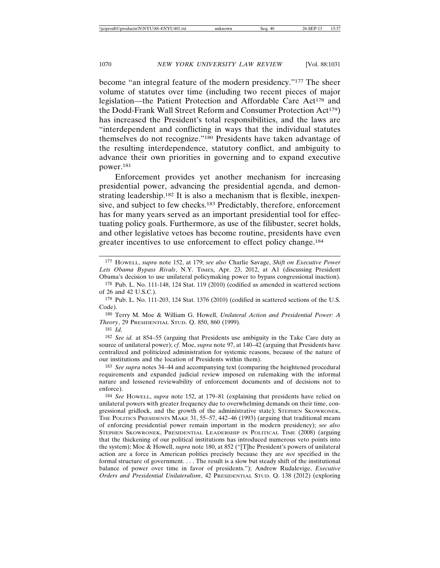become "an integral feature of the modern presidency."177 The sheer volume of statutes over time (including two recent pieces of major legislation—the Patient Protection and Affordable Care Act<sup>178</sup> and the Dodd-Frank Wall Street Reform and Consumer Protection Act<sup>179</sup>) has increased the President's total responsibilities, and the laws are "interdependent and conflicting in ways that the individual statutes themselves do not recognize."180 Presidents have taken advantage of the resulting interdependence, statutory conflict, and ambiguity to advance their own priorities in governing and to expand executive power.181

Enforcement provides yet another mechanism for increasing presidential power, advancing the presidential agenda, and demonstrating leadership.<sup>182</sup> It is also a mechanism that is flexible, inexpensive, and subject to few checks.183 Predictably, therefore, enforcement has for many years served as an important presidential tool for effectuating policy goals. Furthermore, as use of the filibuster, secret holds, and other legislative vetoes has become routine, presidents have even greater incentives to use enforcement to effect policy change.184

181 *Id.*

182 *See id.* at 854–55 (arguing that Presidents use ambiguity in the Take Care duty as source of unilateral power); *cf.* Moe, *supra* note 97, at 140–42 (arguing that Presidents have centralized and politicized administration for systemic reasons, because of the nature of our institutions and the location of Presidents within them).

183 *See supra* notes 34–44 and accompanying text (comparing the heightened procedural requirements and expanded judicial review imposed on rulemaking with the informal nature and lessened reviewability of enforcement documents and of decisions not to enforce).

184 *See* HOWELL, *supra* note 152, at 179–81 (explaining that presidents have relied on unilateral powers with greater frequency due to overwhelming demands on their time, congressional gridlock, and the growth of the administrative state); STEPHEN SKOWRONEK, THE POLITICS PRESIDENTS MAKE 31, 55–57, 442–46 (1993) (arguing that traditional means of enforcing presidential power remain important in the modern presidency); *see also* STEPHEN SKOWRONEK, PRESIDENTIAL LEADERSHIP IN POLITICAL TIME (2008) (arguing that the thickening of our political institutions has introduced numerous veto points into the system); Moe & Howell, *supra* note 180, at 852 ("[T]he President's powers of unilateral action are a force in American politics precisely because they are *not* specified in the formal structure of government. . . . The result is a slow but steady shift of the institutional balance of power over time in favor of presidents."); Andrew Rudalevige, *Executive Orders and Presidential Unilateralism*, 42 PRESIDENTIAL STUD. Q. 138 (2012) (exploring

<sup>177</sup> HOWELL, *supra* note 152, at 179; *see also* Charlie Savage, *Shift on Executive Power Lets Obama Bypass Rivals*, N.Y. TIMES, Apr. 23, 2012, at A1 (discussing President Obama's decision to use unilateral policymaking power to bypass congressional inaction).

<sup>178</sup> Pub. L. No. 111-148, 124 Stat. 119 (2010) (codified as amended in scattered sections of 26 and 42 U.S.C.).

<sup>179</sup> Pub. L. No. 111-203, 124 Stat. 1376 (2010) (codified in scattered sections of the U.S. Code).

<sup>180</sup> Terry M. Moe & William G. Howell, *Unilateral Action and Presidential Power: A Theory*, 29 PRESIDENTIAL STUD. Q. 850, 860 (1999).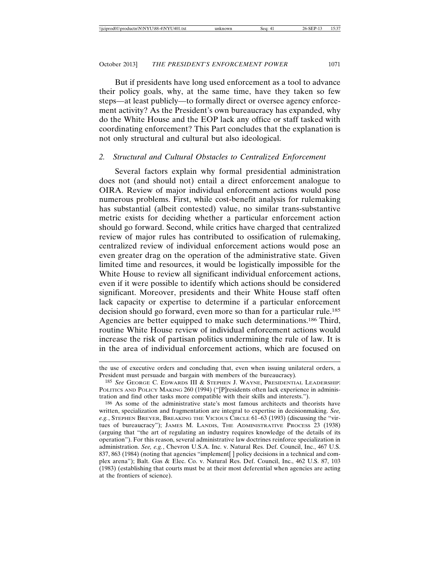But if presidents have long used enforcement as a tool to advance their policy goals, why, at the same time, have they taken so few steps—at least publicly—to formally direct or oversee agency enforcement activity? As the President's own bureaucracy has expanded, why do the White House and the EOP lack any office or staff tasked with coordinating enforcement? This Part concludes that the explanation is not only structural and cultural but also ideological.

## *2. Structural and Cultural Obstacles to Centralized Enforcement*

Several factors explain why formal presidential administration does not (and should not) entail a direct enforcement analogue to OIRA. Review of major individual enforcement actions would pose numerous problems. First, while cost-benefit analysis for rulemaking has substantial (albeit contested) value, no similar trans-substantive metric exists for deciding whether a particular enforcement action should go forward. Second, while critics have charged that centralized review of major rules has contributed to ossification of rulemaking, centralized review of individual enforcement actions would pose an even greater drag on the operation of the administrative state. Given limited time and resources, it would be logistically impossible for the White House to review all significant individual enforcement actions, even if it were possible to identify which actions should be considered significant. Moreover, presidents and their White House staff often lack capacity or expertise to determine if a particular enforcement decision should go forward, even more so than for a particular rule.185 Agencies are better equipped to make such determinations.186 Third, routine White House review of individual enforcement actions would increase the risk of partisan politics undermining the rule of law. It is in the area of individual enforcement actions, which are focused on

the use of executive orders and concluding that, even when issuing unilateral orders, a President must persuade and bargain with members of the bureaucracy)*.*

<sup>185</sup> *See* GEORGE C. EDWARDS III & STEPHEN J. WAYNE, PRESIDENTIAL LEADERSHIP: POLITICS AND POLICY MAKING 260 (1994) ("[P]residents often lack experience in administration and find other tasks more compatible with their skills and interests.").

<sup>186</sup> As some of the administrative state's most famous architects and theorists have written, specialization and fragmentation are integral to expertise in decisionmaking. *See, e.g.*, STEPHEN BREYER, BREAKING THE VICIOUS CIRCLE 61–63 (1993) (discussing the "virtues of bureaucracy"); JAMES M. LANDIS, THE ADMINISTRATIVE PROCESS 23 (1938) (arguing that "the art of regulating an industry requires knowledge of the details of its operation"). For this reason, several administrative law doctrines reinforce specialization in administration. *See, e.g.*, Chevron U.S.A. Inc. v. Natural Res. Def. Council, Inc., 467 U.S. 837, 863 (1984) (noting that agencies "implement[ ] policy decisions in a technical and complex arena"); Balt. Gas & Elec. Co. v. Natural Res. Def. Council, Inc., 462 U.S. 87, 103 (1983) (establishing that courts must be at their most deferential when agencies are acting at the frontiers of science).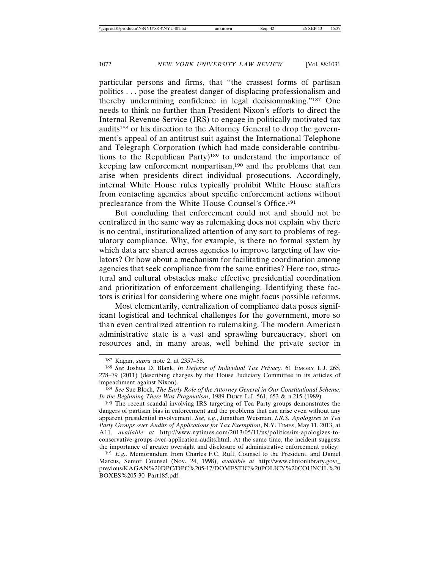particular persons and firms, that "the crassest forms of partisan politics . . . pose the greatest danger of displacing professionalism and thereby undermining confidence in legal decisionmaking."187 One needs to think no further than President Nixon's efforts to direct the Internal Revenue Service (IRS) to engage in politically motivated tax audits188 or his direction to the Attorney General to drop the government's appeal of an antitrust suit against the International Telephone and Telegraph Corporation (which had made considerable contributions to the Republican Party)189 to understand the importance of keeping law enforcement nonpartisan,190 and the problems that can arise when presidents direct individual prosecutions. Accordingly, internal White House rules typically prohibit White House staffers from contacting agencies about specific enforcement actions without preclearance from the White House Counsel's Office.191

But concluding that enforcement could not and should not be centralized in the same way as rulemaking does not explain why there is no central, institutionalized attention of any sort to problems of regulatory compliance. Why, for example, is there no formal system by which data are shared across agencies to improve targeting of law violators? Or how about a mechanism for facilitating coordination among agencies that seek compliance from the same entities? Here too, structural and cultural obstacles make effective presidential coordination and prioritization of enforcement challenging. Identifying these factors is critical for considering where one might focus possible reforms.

Most elementarily, centralization of compliance data poses significant logistical and technical challenges for the government, more so than even centralized attention to rulemaking. The modern American administrative state is a vast and sprawling bureaucracy, short on resources and, in many areas, well behind the private sector in

<sup>187</sup> Kagan, *supra* note 2, at 2357–58.

<sup>188</sup> *See* Joshua D. Blank, *In Defense of Individual Tax Privacy*, 61 EMORY L.J. 265, 278–79 (2011) (describing charges by the House Judiciary Committee in its articles of impeachment against Nixon).

<sup>189</sup> *See* Sue Bloch, *The Early Role of the Attorney General in Our Constitutional Scheme: In the Beginning There Was Pragmatism*, 1989 DUKE L.J. 561, 653 & n.215 (1989).

<sup>190</sup> The recent scandal involving IRS targeting of Tea Party groups demonstrates the dangers of partisan bias in enforcement and the problems that can arise even without any apparent presidential involvement. *See, e.g.*, Jonathan Weisman, *I.R.S. Apologizes to Tea Party Groups over Audits of Applications for Tax Exemption*, N.Y. TIMES, May 11, 2013, at A11, *available at* http://www.nytimes.com/2013/05/11/us/politics/irs-apologizes-toconservative-groups-over-application-audits.html. At the same time, the incident suggests the importance of greater oversight and disclosure of administrative enforcement policy.

<sup>191</sup> *E.g.*, Memorandum from Charles F.C. Ruff, Counsel to the President, and Daniel Marcus, Senior Counsel (Nov. 24, 1998), *available at* http://www.clintonlibrary.gov/\_ previous/KAGAN%20DPC/DPC%205-17/DOMESTIC%20POLICY%20COUNCIL%20 BOXES%205-30\_Part185.pdf.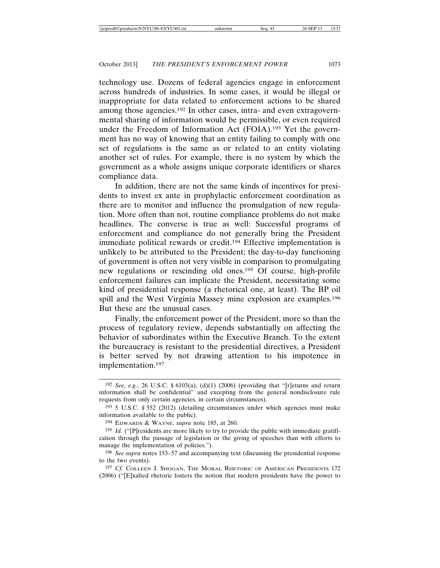technology use. Dozens of federal agencies engage in enforcement across hundreds of industries. In some cases, it would be illegal or inappropriate for data related to enforcement actions to be shared among those agencies.192 In other cases, intra- and even extragovernmental sharing of information would be permissible, or even required under the Freedom of Information Act (FOIA).193 Yet the government has no way of knowing that an entity failing to comply with one set of regulations is the same as or related to an entity violating another set of rules. For example, there is no system by which the government as a whole assigns unique corporate identifiers or shares compliance data.

In addition, there are not the same kinds of incentives for presidents to invest ex ante in prophylactic enforcement coordination as there are to monitor and influence the promulgation of new regulation. More often than not, routine compliance problems do not make headlines. The converse is true as well: Successful programs of enforcement and compliance do not generally bring the President immediate political rewards or credit.194 Effective implementation is unlikely to be attributed to the President; the day-to-day functioning of government is often not very visible in comparison to promulgating new regulations or rescinding old ones.195 Of course, high-profile enforcement failures can implicate the President, necessitating some kind of presidential response (a rhetorical one, at least). The BP oil spill and the West Virginia Massey mine explosion are examples.196 But these are the unusual cases.

Finally, the enforcement power of the President, more so than the process of regulatory review, depends substantially on affecting the behavior of subordinates within the Executive Branch. To the extent the bureaucracy is resistant to the presidential directives, a President is better served by not drawing attention to his impotence in implementation.197

<sup>192</sup> *See, e.g.*, 26 U.S.C. § 6103(a), (d)(1) (2006) (providing that "[r]eturns and return information shall be confidential" and excepting from the general nondisclosure rule requests from only certain agencies, in certain circumstances).

<sup>&</sup>lt;sup>193</sup> 5 U.S.C. § 552 (2012) (detailing circumstances under which agencies must make information available to the public).

<sup>194</sup> EDWARDS & WAYNE, *supra* note 185, at 260.

<sup>&</sup>lt;sup>195</sup> *Id.* ("[P]residents are more likely to try to provide the public with immediate gratification through the passage of legislation or the giving of speeches than with efforts to manage the implementation of policies.").

<sup>196</sup> *See supra* notes 153–57 and accompanying text (discussing the presidential response to the two events).

<sup>197</sup> *Cf.* COLLEEN J. SHOGAN, THE MORAL RHETORIC OF AMERICAN PRESIDENTS 172 (2006) ("[E]xalted rhetoric fosters the notion that modern presidents have the power to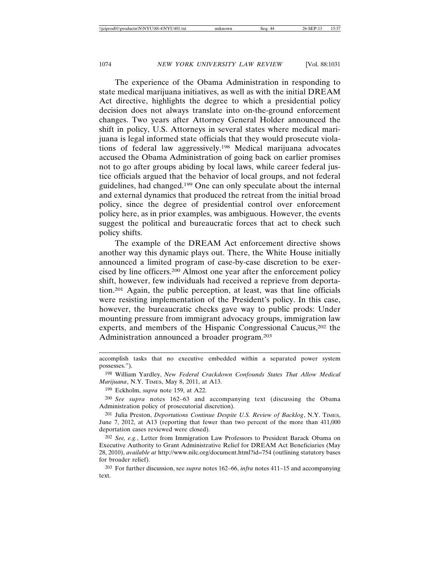The experience of the Obama Administration in responding to state medical marijuana initiatives, as well as with the initial DREAM Act directive, highlights the degree to which a presidential policy decision does not always translate into on-the-ground enforcement changes. Two years after Attorney General Holder announced the shift in policy, U.S. Attorneys in several states where medical marijuana is legal informed state officials that they would prosecute violations of federal law aggressively.198 Medical marijuana advocates accused the Obama Administration of going back on earlier promises not to go after groups abiding by local laws, while career federal justice officials argued that the behavior of local groups, and not federal guidelines, had changed.199 One can only speculate about the internal and external dynamics that produced the retreat from the initial broad policy, since the degree of presidential control over enforcement policy here, as in prior examples, was ambiguous. However, the events suggest the political and bureaucratic forces that act to check such policy shifts.

The example of the DREAM Act enforcement directive shows another way this dynamic plays out. There, the White House initially announced a limited program of case-by-case discretion to be exercised by line officers.200 Almost one year after the enforcement policy shift, however, few individuals had received a reprieve from deportation.201 Again, the public perception, at least, was that line officials were resisting implementation of the President's policy. In this case, however, the bureaucratic checks gave way to public prods: Under mounting pressure from immigrant advocacy groups, immigration law experts, and members of the Hispanic Congressional Caucus,202 the Administration announced a broader program.203

199 Eckholm, *supra* note 159, at A22.

accomplish tasks that no executive embedded within a separated power system possesses.").

<sup>198</sup> William Yardley, *New Federal Crackdown Confounds States That Allow Medical Marijuana*, N.Y. TIMES, May 8, 2011, at A13.

<sup>200</sup> *See supra* notes 162–63 and accompanying text (discussing the Obama Administration policy of prosecutorial discretion).

<sup>201</sup> Julia Preston, *Deportations Continue Despite U.S. Review of Backlog*, N.Y. TIMES, June 7, 2012, at A13 (reporting that fewer than two percent of the more than 411,000 deportation cases reviewed were closed).

<sup>202</sup> *See, e.g.*, Letter from Immigration Law Professors to President Barack Obama on Executive Authority to Grant Administrative Relief for DREAM Act Beneficiaries (May 28, 2010), *available at* http://www.nilc.org/document.html?id=754 (outlining statutory bases for broader relief).

<sup>203</sup> For further discussion, see *supra* notes 162–66, *infra* notes 411–15 and accompanying text.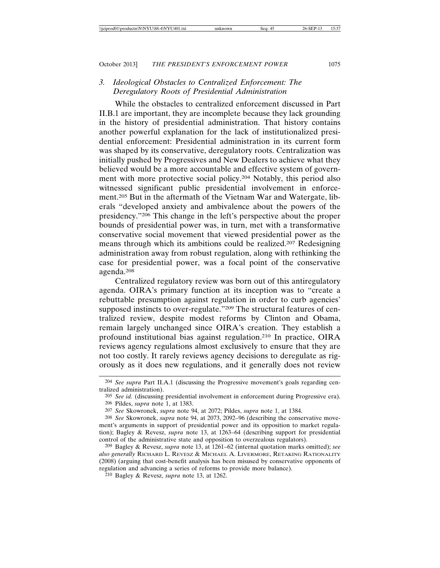## *3. Ideological Obstacles to Centralized Enforcement: The Deregulatory Roots of Presidential Administration*

While the obstacles to centralized enforcement discussed in Part II.B.1 are important, they are incomplete because they lack grounding in the history of presidential administration. That history contains another powerful explanation for the lack of institutionalized presidential enforcement: Presidential administration in its current form was shaped by its conservative, deregulatory roots. Centralization was initially pushed by Progressives and New Dealers to achieve what they believed would be a more accountable and effective system of government with more protective social policy.204 Notably, this period also witnessed significant public presidential involvement in enforcement.205 But in the aftermath of the Vietnam War and Watergate, liberals "developed anxiety and ambivalence about the powers of the presidency."206 This change in the left's perspective about the proper bounds of presidential power was, in turn, met with a transformative conservative social movement that viewed presidential power as the means through which its ambitions could be realized.207 Redesigning administration away from robust regulation, along with rethinking the case for presidential power, was a focal point of the conservative agenda.208

Centralized regulatory review was born out of this antiregulatory agenda. OIRA's primary function at its inception was to "create a rebuttable presumption against regulation in order to curb agencies' supposed instincts to over-regulate."209 The structural features of centralized review, despite modest reforms by Clinton and Obama, remain largely unchanged since OIRA's creation. They establish a profound institutional bias against regulation.210 In practice, OIRA reviews agency regulations almost exclusively to ensure that they are not too costly. It rarely reviews agency decisions to deregulate as rigorously as it does new regulations, and it generally does not review

210 Bagley & Revesz, *supra* note 13, at 1262.

<sup>204</sup> *See supra* Part II.A.1 (discussing the Progressive movement's goals regarding centralized administration).

<sup>205</sup> *See id.* (discussing presidential involvement in enforcement during Progressive era). 206 Pildes, *supra* note 1, at 1383.

<sup>207</sup> *See* Skowronek, *supra* note 94, at 2072; Pildes, *supra* note 1, at 1384.

<sup>208</sup> *See* Skowronek, *supra* note 94, at 2073, 2092–96 (describing the conservative movement's arguments in support of presidential power and its opposition to market regulation); Bagley & Revesz, *supra* note 13, at 1263–64 (describing support for presidential control of the administrative state and opposition to overzealous regulators).

<sup>209</sup> Bagley & Revesz, *supra* note 13, at 1261–62 (internal quotation marks omitted); *see also generally* RICHARD L. REVESZ & MICHAEL A. LIVERMORE, RETAKING RATIONALITY (2008) (arguing that cost-benefit analysis has been misused by conservative opponents of regulation and advancing a series of reforms to provide more balance).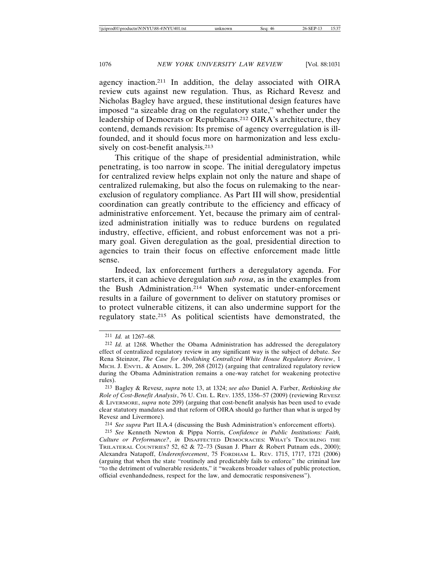agency inaction.211 In addition, the delay associated with OIRA review cuts against new regulation. Thus, as Richard Revesz and Nicholas Bagley have argued, these institutional design features have imposed "a sizeable drag on the regulatory state," whether under the leadership of Democrats or Republicans.212 OIRA's architecture, they contend, demands revision: Its premise of agency overregulation is illfounded, and it should focus more on harmonization and less exclusively on cost-benefit analysis.<sup>213</sup>

This critique of the shape of presidential administration, while penetrating, is too narrow in scope. The initial deregulatory impetus for centralized review helps explain not only the nature and shape of centralized rulemaking, but also the focus on rulemaking to the nearexclusion of regulatory compliance. As Part III will show, presidential coordination can greatly contribute to the efficiency and efficacy of administrative enforcement. Yet, because the primary aim of centralized administration initially was to reduce burdens on regulated industry, effective, efficient, and robust enforcement was not a primary goal. Given deregulation as the goal, presidential direction to agencies to train their focus on effective enforcement made little sense.

Indeed, lax enforcement furthers a deregulatory agenda. For starters, it can achieve deregulation *sub rosa*, as in the examples from the Bush Administration.214 When systematic under-enforcement results in a failure of government to deliver on statutory promises or to protect vulnerable citizens, it can also undermine support for the regulatory state.215 As political scientists have demonstrated, the

214 *See supra* Part II.A.4 (discussing the Bush Administration's enforcement efforts).

<sup>211</sup> *Id.* at 1267–68.

<sup>212</sup> *Id.* at 1268. Whether the Obama Administration has addressed the deregulatory effect of centralized regulatory review in any significant way is the subject of debate. *See* Rena Steinzor, *The Case for Abolishing Centralized White House Regulatory Review*, 1 MICH. J. ENVTL. & ADMIN. L. 209, 268 (2012) (arguing that centralized regulatory review during the Obama Administration remains a one-way ratchet for weakening protective rules).

<sup>213</sup> Bagley & Revesz, *supra* note 13, at 1324; *see also* Daniel A. Farber, *Rethinking the Role of Cost-Benefit Analysis*, 76 U. CHI. L. REV. 1355, 1356–57 (2009) (reviewing REVESZ & LIVERMORE, *supra* note 209) (arguing that cost-benefit analysis has been used to evade clear statutory mandates and that reform of OIRA should go further than what is urged by Revesz and Livermore).

<sup>215</sup> *See* Kenneth Newton & Pippa Norris, *Confidence in Public Institutions: Faith, Culture or Performance?*, *in* DISAFFECTED DEMOCRACIES: WHAT'S TROUBLING THE TRILATERAL COUNTRIES? 52, 62 & 72–73 (Susan J. Pharr & Robert Putnam eds., 2000); Alexandra Natapoff, *Underenforcement*, 75 FORDHAM L. REV. 1715, 1717, 1721 (2006) (arguing that when the state "routinely and predictably fails to enforce" the criminal law "to the detriment of vulnerable residents," it "weakens broader values of public protection, official evenhandedness, respect for the law, and democratic responsiveness").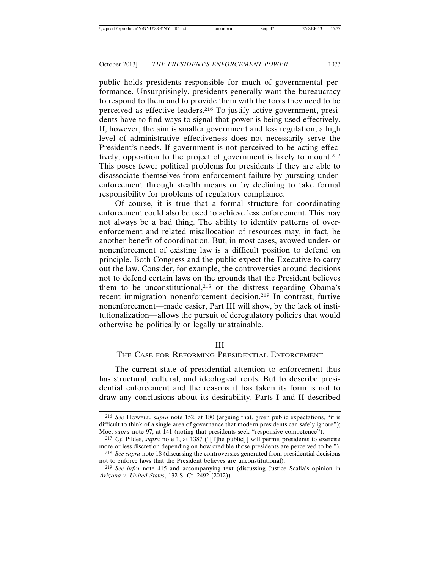public holds presidents responsible for much of governmental performance. Unsurprisingly, presidents generally want the bureaucracy to respond to them and to provide them with the tools they need to be perceived as effective leaders.216 To justify active government, presidents have to find ways to signal that power is being used effectively. If, however, the aim is smaller government and less regulation, a high level of administrative effectiveness does not necessarily serve the President's needs. If government is not perceived to be acting effectively, opposition to the project of government is likely to mount.<sup>217</sup> This poses fewer political problems for presidents if they are able to disassociate themselves from enforcement failure by pursuing underenforcement through stealth means or by declining to take formal responsibility for problems of regulatory compliance.

Of course, it is true that a formal structure for coordinating enforcement could also be used to achieve less enforcement. This may not always be a bad thing. The ability to identify patterns of overenforcement and related misallocation of resources may, in fact, be another benefit of coordination. But, in most cases, avowed under- or nonenforcement of existing law is a difficult position to defend on principle. Both Congress and the public expect the Executive to carry out the law. Consider, for example, the controversies around decisions not to defend certain laws on the grounds that the President believes them to be unconstitutional,<sup>218</sup> or the distress regarding Obama's recent immigration nonenforcement decision.219 In contrast, furtive nonenforcement—made easier, Part III will show, by the lack of institutionalization—allows the pursuit of deregulatory policies that would otherwise be politically or legally unattainable.

#### III

### THE CASE FOR REFORMING PRESIDENTIAL ENFORCEMENT

The current state of presidential attention to enforcement thus has structural, cultural, and ideological roots. But to describe presidential enforcement and the reasons it has taken its form is not to draw any conclusions about its desirability. Parts I and II described

<sup>216</sup> *See* HOWELL, *supra* note 152, at 180 (arguing that, given public expectations, "it is difficult to think of a single area of governance that modern presidents can safely ignore"); Moe, *supra* note 97, at 141 (noting that presidents seek "responsive competence").

<sup>217</sup> *Cf.* Pildes, *supra* note 1, at 1387 ("[T]he public[ ] will permit presidents to exercise more or less discretion depending on how credible those presidents are perceived to be."). 218 *See supra* note 18 (discussing the controversies generated from presidential decisions

not to enforce laws that the President believes are unconstitutional).

<sup>219</sup> *See infra* note 415 and accompanying text (discussing Justice Scalia's opinion in *Arizona v. United States*, 132 S. Ct. 2492 (2012)).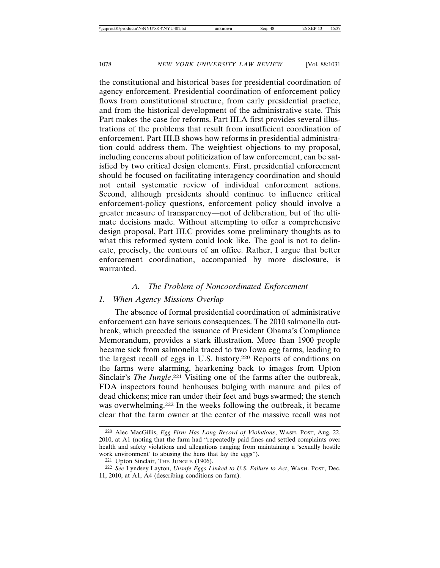the constitutional and historical bases for presidential coordination of agency enforcement. Presidential coordination of enforcement policy flows from constitutional structure, from early presidential practice, and from the historical development of the administrative state. This Part makes the case for reforms. Part III.A first provides several illustrations of the problems that result from insufficient coordination of enforcement. Part III.B shows how reforms in presidential administration could address them. The weightiest objections to my proposal, including concerns about politicization of law enforcement, can be satisfied by two critical design elements. First, presidential enforcement should be focused on facilitating interagency coordination and should not entail systematic review of individual enforcement actions. Second, although presidents should continue to influence critical enforcement-policy questions, enforcement policy should involve a greater measure of transparency—not of deliberation, but of the ultimate decisions made. Without attempting to offer a comprehensive design proposal, Part III.C provides some preliminary thoughts as to what this reformed system could look like. The goal is not to delineate, precisely, the contours of an office. Rather, I argue that better enforcement coordination, accompanied by more disclosure, is warranted.

#### *A. The Problem of Noncoordinated Enforcement*

### *1. When Agency Missions Overlap*

The absence of formal presidential coordination of administrative enforcement can have serious consequences. The 2010 salmonella outbreak, which preceded the issuance of President Obama's Compliance Memorandum, provides a stark illustration. More than 1900 people became sick from salmonella traced to two Iowa egg farms, leading to the largest recall of eggs in U.S. history.220 Reports of conditions on the farms were alarming, hearkening back to images from Upton Sinclair's *The Jungle*. 221 Visiting one of the farms after the outbreak, FDA inspectors found henhouses bulging with manure and piles of dead chickens; mice ran under their feet and bugs swarmed; the stench was overwhelming.222 In the weeks following the outbreak, it became clear that the farm owner at the center of the massive recall was not

<sup>220</sup> Alec MacGillis, *Egg Firm Has Long Record of Violations*, WASH. POST, Aug. 22, 2010, at A1 (noting that the farm had "repeatedly paid fines and settled complaints over health and safety violations and allegations ranging from maintaining a 'sexually hostile work environment' to abusing the hens that lay the eggs").

<sup>221</sup> Upton Sinclair, THE JUNGLE (1906).

<sup>222</sup> *See* Lyndsey Layton, *Unsafe Eggs Linked to U.S. Failure to Act*, WASH. POST, Dec. 11, 2010, at A1, A4 (describing conditions on farm).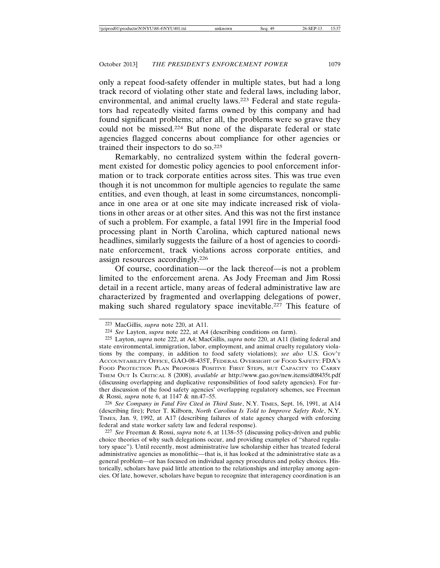only a repeat food-safety offender in multiple states, but had a long track record of violating other state and federal laws, including labor, environmental, and animal cruelty laws.223 Federal and state regulators had repeatedly visited farms owned by this company and had found significant problems; after all, the problems were so grave they could not be missed.224 But none of the disparate federal or state agencies flagged concerns about compliance for other agencies or trained their inspectors to do so.225

Remarkably, no centralized system within the federal government existed for domestic policy agencies to pool enforcement information or to track corporate entities across sites. This was true even though it is not uncommon for multiple agencies to regulate the same entities, and even though, at least in some circumstances, noncompliance in one area or at one site may indicate increased risk of violations in other areas or at other sites. And this was not the first instance of such a problem. For example, a fatal 1991 fire in the Imperial food processing plant in North Carolina, which captured national news headlines, similarly suggests the failure of a host of agencies to coordinate enforcement, track violations across corporate entities, and assign resources accordingly.226

Of course, coordination—or the lack thereof—is not a problem limited to the enforcement arena. As Jody Freeman and Jim Rossi detail in a recent article, many areas of federal administrative law are characterized by fragmented and overlapping delegations of power, making such shared regulatory space inevitable.227 This feature of

226 *See Company in Fatal Fire Cited in Third State*, N.Y. TIMES, Sept. 16, 1991, at A14 (describing fire); Peter T. Kilborn, *North Carolina Is Told to Improve Safety Role*, N.Y. TIMES, Jan. 9, 1992, at A17 (describing failures of state agency charged with enforcing federal and state worker safety law and federal response).

227 *See* Freeman & Rossi, *supra* note 6, at 1138–55 (discussing policy-driven and public choice theories of why such delegations occur, and providing examples of "shared regulatory space"). Until recently, most administrative law scholarship either has treated federal administrative agencies as monolithic—that is, it has looked at the administrative state as a general problem—or has focused on individual agency procedures and policy choices. Historically, scholars have paid little attention to the relationships and interplay among agencies. Of late, however, scholars have begun to recognize that interagency coordination is an

<sup>223</sup> MacGillis, *supra* note 220, at A11.

<sup>224</sup> *See* Layton, *supra* note 222, at A4 (describing conditions on farm).

<sup>225</sup> Layton, *supra* note 222, at A4; MacGillis, *supra* note 220, at A11 (listing federal and state environmental, immigration, labor, employment, and animal cruelty regulatory violations by the company, in addition to food safety violations); see also U.S. Gov't ACCOUNTABILITY OFFICE, GAO-08-435T, FEDERAL OVERSIGHT OF FOOD SAFETY: FDA'S FOOD PROTECTION PLAN PROPOSES POSITIVE FIRST STEPS, BUT CAPACITY TO CARRY THEM OUT IS CRITICAL 8 (2008), *available at* http://www.gao.gov/new.items/d08435t.pdf (discussing overlapping and duplicative responsibilities of food safety agencies). For further discussion of the food safety agencies' overlapping regulatory schemes, see Freeman & Rossi, *supra* note 6, at 1147 & nn.47–55.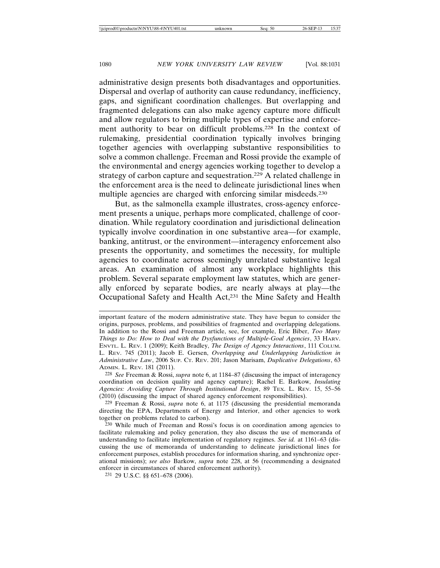administrative design presents both disadvantages and opportunities. Dispersal and overlap of authority can cause redundancy, inefficiency, gaps, and significant coordination challenges. But overlapping and fragmented delegations can also make agency capture more difficult and allow regulators to bring multiple types of expertise and enforcement authority to bear on difficult problems.228 In the context of rulemaking, presidential coordination typically involves bringing together agencies with overlapping substantive responsibilities to solve a common challenge. Freeman and Rossi provide the example of the environmental and energy agencies working together to develop a strategy of carbon capture and sequestration.229 A related challenge in the enforcement area is the need to delineate jurisdictional lines when multiple agencies are charged with enforcing similar misdeeds.230

But, as the salmonella example illustrates, cross-agency enforcement presents a unique, perhaps more complicated, challenge of coordination. While regulatory coordination and jurisdictional delineation typically involve coordination in one substantive area—for example, banking, antitrust, or the environment—interagency enforcement also presents the opportunity, and sometimes the necessity, for multiple agencies to coordinate across seemingly unrelated substantive legal areas. An examination of almost any workplace highlights this problem. Several separate employment law statutes, which are generally enforced by separate bodies, are nearly always at play—the Occupational Safety and Health Act,231 the Mine Safety and Health

important feature of the modern administrative state. They have begun to consider the origins, purposes, problems, and possibilities of fragmented and overlapping delegations. In addition to the Rossi and Freeman article, see, for example, Eric Biber, *Too Many Things to Do: How to Deal with the Dysfunctions of Multiple-Goal Agencies*, 33 HARV. ENVTL. L. REV. 1 (2009); Keith Bradley, *The Design of Agency Interactions*, 111 COLUM. L. REV. 745 (2011); Jacob E. Gersen, *Overlapping and Underlapping Jurisdiction in Administrative Law*, 2006 SUP. CT. REV. 201; Jason Marisam, *Duplicative Delegations*, 63 ADMIN. L. REV. 181 (2011).

<sup>228</sup> *See* Freeman & Rossi, *supra* note 6, at 1184–87 (discussing the impact of interagency coordination on decision quality and agency capture); Rachel E. Barkow, *Insulating Agencies: Avoiding Capture Through Institutional Design*, 89 TEX. L. REV. 15, 55–56 (2010) (discussing the impact of shared agency enforcement responsibilities).

<sup>229</sup> Freeman & Rossi, *supra* note 6, at 1175 (discussing the presidential memoranda directing the EPA, Departments of Energy and Interior, and other agencies to work together on problems related to carbon).

<sup>230</sup> While much of Freeman and Rossi's focus is on coordination among agencies to facilitate rulemaking and policy generation, they also discuss the use of memoranda of understanding to facilitate implementation of regulatory regimes. *See id.* at 1161–63 (discussing the use of memoranda of understanding to delineate jurisdictional lines for enforcement purposes, establish procedures for information sharing, and synchronize operational missions); *see also* Barkow, *supra* note 228, at 56 (recommending a designated enforcer in circumstances of shared enforcement authority).

<sup>231</sup> 29 U.S.C. §§ 651–678 (2006).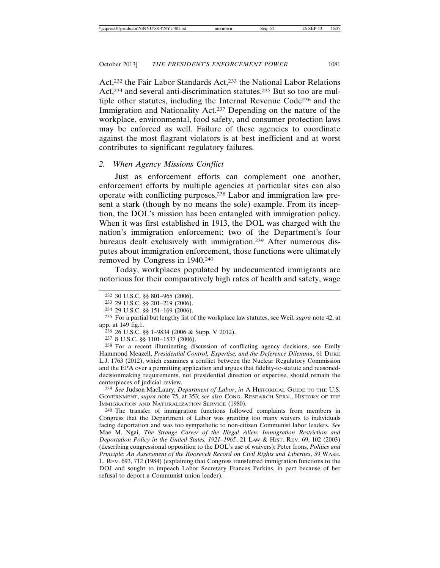Act,232 the Fair Labor Standards Act,233 the National Labor Relations Act,234 and several anti-discrimination statutes.235 But so too are multiple other statutes, including the Internal Revenue Code236 and the Immigration and Nationality Act.237 Depending on the nature of the workplace, environmental, food safety, and consumer protection laws may be enforced as well. Failure of these agencies to coordinate against the most flagrant violators is at best inefficient and at worst contributes to significant regulatory failures.

### *2. When Agency Missions Conflict*

Just as enforcement efforts can complement one another, enforcement efforts by multiple agencies at particular sites can also operate with conflicting purposes.238 Labor and immigration law present a stark (though by no means the sole) example. From its inception, the DOL's mission has been entangled with immigration policy. When it was first established in 1913, the DOL was charged with the nation's immigration enforcement; two of the Department's four bureaus dealt exclusively with immigration.239 After numerous disputes about immigration enforcement, those functions were ultimately removed by Congress in 1940.240

Today, workplaces populated by undocumented immigrants are notorious for their comparatively high rates of health and safety, wage

238 For a recent illuminating discussion of conflicting agency decisions, see Emily Hammond Meazell, *Presidential Control, Expertise, and the Deference Dilemma*, 61 DUKE L.J. 1763 (2012), which examines a conflict between the Nuclear Regulatory Commission and the EPA over a permitting application and argues that fidelity-to-statute and reasoneddecisionmaking requirements, not presidential direction or expertise, should remain the centerpieces of judicial review.

239 *See* Judson MacLaury, *Department of Labor*, *in* A HISTORICAL GUIDE TO THE U.S. GOVERNMENT, *supra* note 75, at 353; *see also* CONG. RESEARCH SERV., HISTORY OF THE IMMIGRATION AND NATURALIZATION SERVICE (1980).

240 The transfer of immigration functions followed complaints from members in Congress that the Department of Labor was granting too many waivers to individuals facing deportation and was too sympathetic to non-citizen Communist labor leaders. *See* Mae M. Ngai, *The Strange Career of the Illegal Alien: Immigration Restriction and Deportation Policy in the United States, 1921–1965*, 21 LAW & HIST. REV. 69, 102 (2003) (describing congressional opposition to the DOL's use of waivers); Peter Irons, *Politics and Principle: An Assessment of the Roosevelt Record on Civil Rights and Liberties*, 59 WASH. L. REV. 693, 712 (1984) (explaining that Congress transferred immigration functions to the DOJ and sought to impeach Labor Secretary Frances Perkins, in part because of her refusal to deport a Communist union leader).

<sup>232</sup> 30 U.S.C. §§ 801–965 (2006).

<sup>233</sup> 29 U.S.C. §§ 201–219 (2006).

<sup>234</sup> 29 U.S.C. §§ 151–169 (2006).

<sup>235</sup> For a partial but lengthy list of the workplace law statutes, see Weil, *supra* note 42, at app. at 149 fig.1.

<sup>236</sup> 26 U.S.C. §§ 1–9834 (2006 & Supp. V 2012).

<sup>237</sup> 8 U.S.C. §§ 1101–1537 (2006).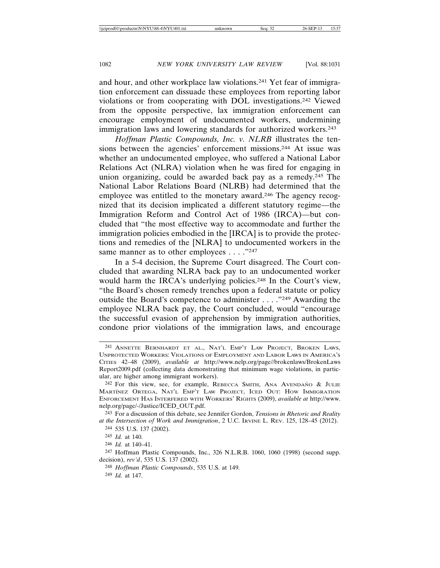and hour, and other workplace law violations.241 Yet fear of immigration enforcement can dissuade these employees from reporting labor violations or from cooperating with DOL investigations.242 Viewed from the opposite perspective, lax immigration enforcement can encourage employment of undocumented workers, undermining immigration laws and lowering standards for authorized workers.<sup>243</sup>

*Hoffman Plastic Compounds, Inc. v. NLRB* illustrates the tensions between the agencies' enforcement missions.244 At issue was whether an undocumented employee, who suffered a National Labor Relations Act (NLRA) violation when he was fired for engaging in union organizing, could be awarded back pay as a remedy.245 The National Labor Relations Board (NLRB) had determined that the employee was entitled to the monetary award.246 The agency recognized that its decision implicated a different statutory regime—the Immigration Reform and Control Act of 1986 (IRCA)—but concluded that "the most effective way to accommodate and further the immigration policies embodied in the [IRCA] is to provide the protections and remedies of the [NLRA] to undocumented workers in the same manner as to other employees . . . . "247"

In a 5-4 decision, the Supreme Court disagreed. The Court concluded that awarding NLRA back pay to an undocumented worker would harm the IRCA's underlying policies.<sup>248</sup> In the Court's view, "the Board's chosen remedy trenches upon a federal statute or policy outside the Board's competence to administer . . . ."249 Awarding the employee NLRA back pay, the Court concluded, would "encourage the successful evasion of apprehension by immigration authorities, condone prior violations of the immigration laws, and encourage

248 *Hoffman Plastic Compounds*, 535 U.S. at 149. 249 *Id.* at 147.

<sup>241</sup> ANNETTE BERNHARDT ET AL., NAT'L EMP'T LAW PROJECT, BROKEN LAWS, UNPROTECTED WORKERS: VIOLATIONS OF EMPLOYMENT AND LABOR LAWS IN AMERICA'S CITIES 42–48 (2009), *available at* http://www.nelp.org/page//brokenlaws/BrokenLaws Report2009.pdf (collecting data demonstrating that minimum wage violations, in particular, are higher among immigrant workers).

<sup>&</sup>lt;sup>242</sup> For this view, see, for example, REBECCA SMITH, ANA AVENDANO & JULIE MART´ INEZ ORTEGA, NAT'L EMP'T LAW PROJECT, ICED OUT: HOW IMMIGRATION ENFORCEMENT HAS INTERFERED WITH WORKERS' RIGHTS (2009), *available at* http://www. nelp.org/page/-/Justice/ICED\_OUT.pdf.

<sup>243</sup> For a discussion of this debate, see Jennifer Gordon, *Tensions in Rhetoric and Reality at the Intersection of Work and Immigration*, 2 U.C. IRVINE L. REV. 125, 128–45 (2012).

<sup>244</sup> 535 U.S. 137 (2002).

<sup>245</sup> *Id.* at 140.

<sup>246</sup> *Id.* at 140–41.

<sup>247</sup> Hoffman Plastic Compounds, Inc., 326 N.L.R.B. 1060, 1060 (1998) (second supp. decision), *rev'd*, 535 U.S. 137 (2002).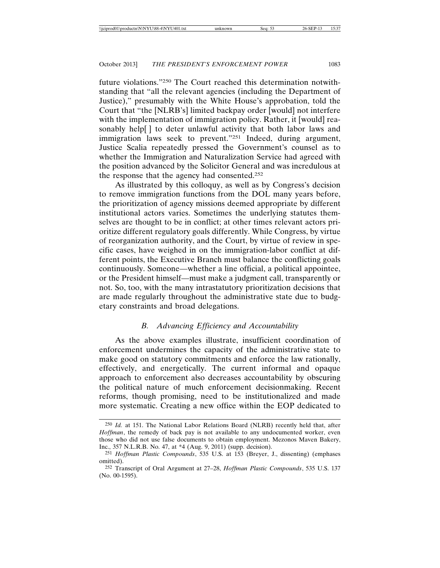future violations."250 The Court reached this determination notwithstanding that "all the relevant agencies (including the Department of Justice)," presumably with the White House's approbation, told the Court that "the [NLRB's] limited backpay order [would] not interfere with the implementation of immigration policy. Rather, it [would] reasonably help[] to deter unlawful activity that both labor laws and immigration laws seek to prevent."<sup>251</sup> Indeed, during argument, Justice Scalia repeatedly pressed the Government's counsel as to whether the Immigration and Naturalization Service had agreed with the position advanced by the Solicitor General and was incredulous at the response that the agency had consented.252

As illustrated by this colloquy, as well as by Congress's decision to remove immigration functions from the DOL many years before, the prioritization of agency missions deemed appropriate by different institutional actors varies. Sometimes the underlying statutes themselves are thought to be in conflict; at other times relevant actors prioritize different regulatory goals differently. While Congress, by virtue of reorganization authority, and the Court, by virtue of review in specific cases, have weighed in on the immigration-labor conflict at different points, the Executive Branch must balance the conflicting goals continuously. Someone—whether a line official, a political appointee, or the President himself—must make a judgment call, transparently or not. So, too, with the many intrastatutory prioritization decisions that are made regularly throughout the administrative state due to budgetary constraints and broad delegations.

## *B. Advancing Efficiency and Accountability*

As the above examples illustrate, insufficient coordination of enforcement undermines the capacity of the administrative state to make good on statutory commitments and enforce the law rationally, effectively, and energetically. The current informal and opaque approach to enforcement also decreases accountability by obscuring the political nature of much enforcement decisionmaking. Recent reforms, though promising, need to be institutionalized and made more systematic. Creating a new office within the EOP dedicated to

<sup>250</sup> *Id.* at 151. The National Labor Relations Board (NLRB) recently held that, after *Hoffman*, the remedy of back pay is not available to any undocumented worker, even those who did not use false documents to obtain employment. Mezonos Maven Bakery, Inc., 357 N.L.R.B. No. 47, at \*4 (Aug. 9, 2011) (supp. decision).

<sup>251</sup> *Hoffman Plastic Compounds*, 535 U.S. at 153 (Breyer, J., dissenting) (emphases omitted).

<sup>252</sup> Transcript of Oral Argument at 27–28, *Hoffman Plastic Compounds*, 535 U.S. 137 (No. 00-1595).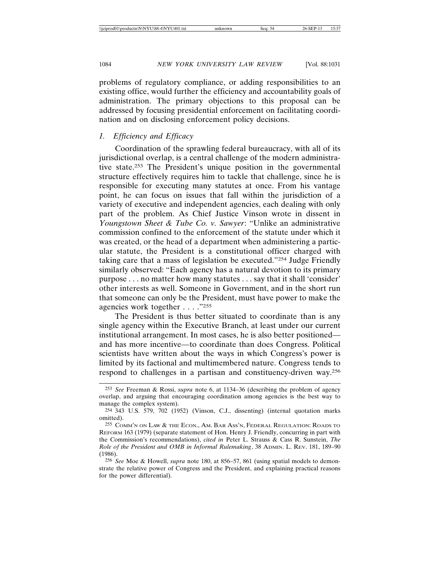problems of regulatory compliance, or adding responsibilities to an existing office, would further the efficiency and accountability goals of administration. The primary objections to this proposal can be addressed by focusing presidential enforcement on facilitating coordination and on disclosing enforcement policy decisions.

## *1. Efficiency and Efficacy*

Coordination of the sprawling federal bureaucracy, with all of its jurisdictional overlap, is a central challenge of the modern administrative state.253 The President's unique position in the governmental structure effectively requires him to tackle that challenge, since he is responsible for executing many statutes at once. From his vantage point, he can focus on issues that fall within the jurisdiction of a variety of executive and independent agencies, each dealing with only part of the problem. As Chief Justice Vinson wrote in dissent in *Youngstown Sheet & Tube Co. v. Sawyer*: "Unlike an administrative commission confined to the enforcement of the statute under which it was created, or the head of a department when administering a particular statute, the President is a constitutional officer charged with taking care that a mass of legislation be executed."254 Judge Friendly similarly observed: "Each agency has a natural devotion to its primary purpose . . . no matter how many statutes . . . say that it shall 'consider' other interests as well. Someone in Government, and in the short run that someone can only be the President, must have power to make the agencies work together . . . ."255

The President is thus better situated to coordinate than is any single agency within the Executive Branch, at least under our current institutional arrangement. In most cases, he is also better positioned and has more incentive—to coordinate than does Congress. Political scientists have written about the ways in which Congress's power is limited by its factional and multimembered nature. Congress tends to respond to challenges in a partisan and constituency-driven way.256

<sup>253</sup> *See* Freeman & Rossi, *supra* note 6, at 1134–36 (describing the problem of agency overlap, and arguing that encouraging coordination among agencies is the best way to manage the complex system).

<sup>254</sup> 343 U.S. 579, 702 (1952) (Vinson, C.J., dissenting) (internal quotation marks omitted).

<sup>255</sup> COMM'N ON LAW & THE ECON., AM. BAR ASS'N, FEDERAL REGULATION: ROADS TO REFORM 163 (1979) (separate statement of Hon. Henry J. Friendly, concurring in part with the Commission's recommendations), *cited in* Peter L. Strauss & Cass R. Sunstein, *The Role of the President and OMB in Informal Rulemaking*, 38 ADMIN. L. REV. 181, 189–90 (1986).

<sup>256</sup> *See* Moe & Howell, *supra* note 180, at 856–57, 861 (using spatial models to demonstrate the relative power of Congress and the President, and explaining practical reasons for the power differential).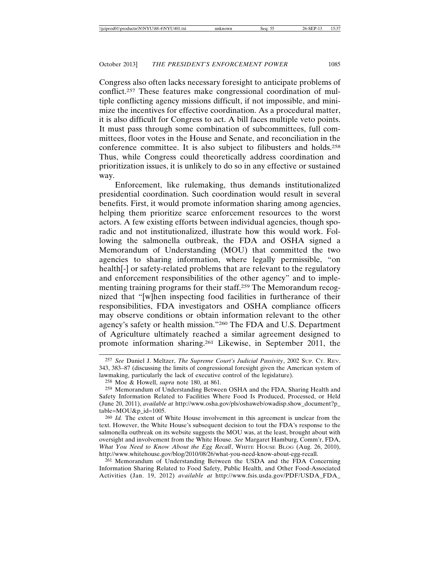Congress also often lacks necessary foresight to anticipate problems of conflict.257 These features make congressional coordination of multiple conflicting agency missions difficult, if not impossible, and minimize the incentives for effective coordination. As a procedural matter, it is also difficult for Congress to act. A bill faces multiple veto points. It must pass through some combination of subcommittees, full committees, floor votes in the House and Senate, and reconciliation in the conference committee. It is also subject to filibusters and holds.258 Thus, while Congress could theoretically address coordination and prioritization issues, it is unlikely to do so in any effective or sustained way.

Enforcement, like rulemaking, thus demands institutionalized presidential coordination. Such coordination would result in several benefits. First, it would promote information sharing among agencies, helping them prioritize scarce enforcement resources to the worst actors. A few existing efforts between individual agencies, though sporadic and not institutionalized, illustrate how this would work. Following the salmonella outbreak, the FDA and OSHA signed a Memorandum of Understanding (MOU) that committed the two agencies to sharing information, where legally permissible, "on health[-] or safety-related problems that are relevant to the regulatory and enforcement responsibilities of the other agency" and to implementing training programs for their staff.259 The Memorandum recognized that "[w]hen inspecting food facilities in furtherance of their responsibilities, FDA investigators and OSHA compliance officers may observe conditions or obtain information relevant to the other agency's safety or health mission."260 The FDA and U.S. Department of Agriculture ultimately reached a similar agreement designed to promote information sharing.261 Likewise, in September 2011, the

<sup>257</sup> *See* Daniel J. Meltzer, *The Supreme Court's Judicial Passivity*, 2002 SUP. CT. REV. 343, 383–87 (discussing the limits of congressional foresight given the American system of lawmaking, particularly the lack of executive control of the legislature).

<sup>258</sup> Moe & Howell, *supra* note 180, at 861.

<sup>259</sup> Memorandum of Understanding Between OSHA and the FDA, Sharing Health and Safety Information Related to Facilities Where Food Is Produced, Processed, or Held (June 20, 2011), *available at* http://www.osha.gov/pls/oshaweb/owadisp.show\_document?p\_ table=MOU&p\_id=1005.

<sup>260</sup> *Id.* The extent of White House involvement in this agreement is unclear from the text. However, the White House's subsequent decision to tout the FDA's response to the salmonella outbreak on its website suggests the MOU was, at the least, brought about with oversight and involvement from the White House. *See* Margaret Hamburg, Comm'r, FDA, *What You Need to Know About the Egg Recall*, WHITE HOUSE BLOG (Aug. 26, 2010), http://www.whitehouse.gov/blog/2010/08/26/what-you-need-know-about-egg-recall.

<sup>261</sup> Memorandum of Understanding Between the USDA and the FDA Concerning Information Sharing Related to Food Safety, Public Health, and Other Food-Associated Activities (Jan. 19, 2012) *available at* http://www.fsis.usda.gov/PDF/USDA\_FDA\_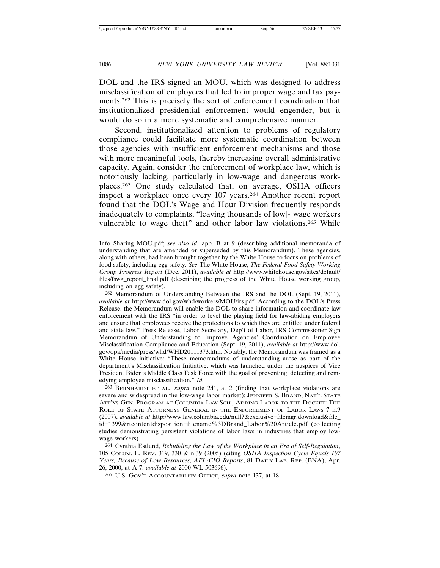DOL and the IRS signed an MOU, which was designed to address misclassification of employees that led to improper wage and tax payments.262 This is precisely the sort of enforcement coordination that institutionalized presidential enforcement would engender, but it would do so in a more systematic and comprehensive manner.

Second, institutionalized attention to problems of regulatory compliance could facilitate more systematic coordination between those agencies with insufficient enforcement mechanisms and those with more meaningful tools, thereby increasing overall administrative capacity. Again, consider the enforcement of workplace law, which is notoriously lacking, particularly in low-wage and dangerous workplaces.263 One study calculated that, on average, OSHA officers inspect a workplace once every 107 years.264 Another recent report found that the DOL's Wage and Hour Division frequently responds inadequately to complaints, "leaving thousands of low[-]wage workers vulnerable to wage theft" and other labor law violations.265 While

262 Memorandum of Understanding Between the IRS and the DOL (Sept. 19, 2011), *available at* http://www.dol.gov/whd/workers/MOU/irs.pdf. According to the DOL's Press Release, the Memorandum will enable the DOL to share information and coordinate law enforcement with the IRS "in order to level the playing field for law-abiding employers and ensure that employees receive the protections to which they are entitled under federal and state law." Press Release, Labor Secretary, Dep't of Labor, IRS Commissioner Sign Memorandum of Understanding to Improve Agencies' Coordination on Employee Misclassification Compliance and Education (Sept. 19, 2011), *available at* http://www.dol. gov/opa/media/press/whd/WHD20111373.htm. Notably, the Memorandum was framed as a White House initiative: "These memorandums of understanding arose as part of the department's Misclassification Initiative, which was launched under the auspices of Vice President Biden's Middle Class Task Force with the goal of preventing, detecting and remedying employee misclassification." *Id.*

263 BERNHARDT ET AL., *supra* note 241, at 2 (finding that workplace violations are severe and widespread in the low-wage labor market); JENNIFER S. BRAND, NAT'L STATE ATT'YS GEN. PROGRAM AT COLUMBIA LAW SCH., ADDING LABOR TO THE DOCKET: THE ROLE OF STATE ATTORNEYS GENERAL IN THE ENFORCEMENT OF LABOR LAWS 7 n.9 (2007), *available at* http://www.law.columbia.edu/null?&exclusive=filemgr.download&file\_ id=1399&rtcontentdisposition=filename%3DBrand\_Labor%20Article.pdf (collecting studies demonstrating persistent violations of labor laws in industries that employ lowwage workers).

264 Cynthia Estlund, *Rebuilding the Law of the Workplace in an Era of Self-Regulation*, 105 COLUM. L. REV. 319, 330 & n.39 (2005) (citing *OSHA Inspection Cycle Equals 107 Years, Because of Low Resources, AFL-CIO Reports*, 81 DAILY LAB. REP. (BNA), Apr. 26, 2000, at A-7, *available at* 2000 WL 503696).

265 U.S. GOV'T ACCOUNTABILITY OFFICE, *supra* note 137, at 18.

Info\_Sharing\_MOU.pdf; *see also id.* app. B at 9 (describing additional memoranda of understanding that are amended or superseded by this Memorandum). These agencies, along with others, had been brought together by the White House to focus on problems of food safety, including egg safety. *See* The White House, *The Federal Food Safety Working Group Progress Report* (Dec. 2011), *available at* http://www.whitehouse.gov/sites/default/ files/fswg\_report\_final.pdf (describing the progress of the White House working group, including on egg safety).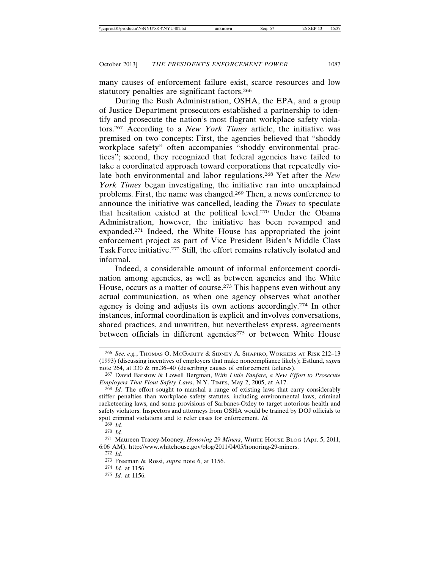many causes of enforcement failure exist, scarce resources and low statutory penalties are significant factors.266

During the Bush Administration, OSHA, the EPA, and a group of Justice Department prosecutors established a partnership to identify and prosecute the nation's most flagrant workplace safety violators.267 According to a *New York Times* article, the initiative was premised on two concepts: First, the agencies believed that "shoddy workplace safety" often accompanies "shoddy environmental practices"; second, they recognized that federal agencies have failed to take a coordinated approach toward corporations that repeatedly violate both environmental and labor regulations.268 Yet after the *New York Times* began investigating, the initiative ran into unexplained problems. First, the name was changed.269 Then, a news conference to announce the initiative was cancelled, leading the *Times* to speculate that hesitation existed at the political level.270 Under the Obama Administration, however, the initiative has been revamped and expanded.271 Indeed, the White House has appropriated the joint enforcement project as part of Vice President Biden's Middle Class Task Force initiative.272 Still, the effort remains relatively isolated and informal.

Indeed, a considerable amount of informal enforcement coordination among agencies, as well as between agencies and the White House, occurs as a matter of course.273 This happens even without any actual communication, as when one agency observes what another agency is doing and adjusts its own actions accordingly.274 In other instances, informal coordination is explicit and involves conversations, shared practices, and unwritten, but nevertheless express, agreements between officials in different agencies<sup>275</sup> or between White House

274 *Id.* at 1156.

<sup>266</sup> *See, e.g.*, THOMAS O. MCGARITY & SIDNEY A. SHAPIRO, WORKERS AT RISK 212–13 (1993) (discussing incentives of employers that make noncompliance likely); Estlund, *supra* note 264, at 330 & nn.36–40 (describing causes of enforcement failures).

<sup>267</sup> David Barstow & Lowell Bergman, *With Little Fanfare, a New Effort to Prosecute Employers That Flout Safety Laws*, N.Y. TIMES, May 2, 2005, at A17.

<sup>268</sup> *Id.* The effort sought to marshal a range of existing laws that carry considerably stiffer penalties than workplace safety statutes, including environmental laws, criminal racketeering laws, and some provisions of Sarbanes-Oxley to target notorious health and safety violators. Inspectors and attorneys from OSHA would be trained by DOJ officials to spot criminal violations and to refer cases for enforcement. *Id.*

<sup>269</sup> *Id.*

<sup>270</sup> *Id.*

<sup>271</sup> Maureen Tracey-Mooney, *Honoring 29 Miners*, WHITE HOUSE BLOG (Apr. 5, 2011, 6:06 AM), http://www.whitehouse.gov/blog/2011/04/05/honoring-29-miners.

<sup>272</sup> *Id.*

<sup>273</sup> Freeman & Rossi, *supra* note 6, at 1156.

<sup>275</sup> *Id.* at 1156.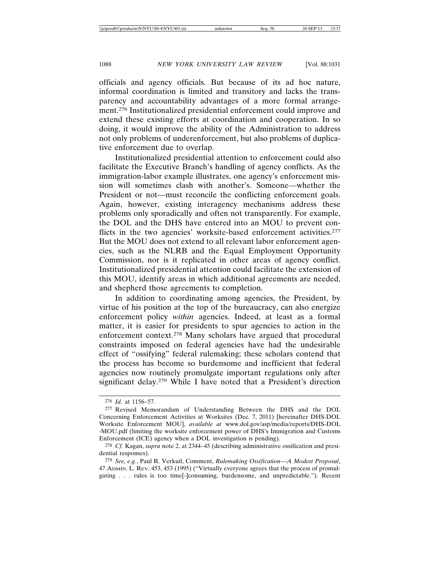officials and agency officials. But because of its ad hoc nature, informal coordination is limited and transitory and lacks the transparency and accountability advantages of a more formal arrangement.276 Institutionalized presidential enforcement could improve and extend these existing efforts at coordination and cooperation. In so doing, it would improve the ability of the Administration to address not only problems of underenforcement, but also problems of duplicative enforcement due to overlap.

Institutionalized presidential attention to enforcement could also facilitate the Executive Branch's handling of agency conflicts. As the immigration-labor example illustrates, one agency's enforcement mission will sometimes clash with another's. Someone—whether the President or not—must reconcile the conflicting enforcement goals. Again, however, existing interagency mechanisms address these problems only sporadically and often not transparently. For example, the DOL and the DHS have entered into an MOU to prevent conflicts in the two agencies' worksite-based enforcement activities.<sup>277</sup> But the MOU does not extend to all relevant labor enforcement agencies, such as the NLRB and the Equal Employment Opportunity Commission, nor is it replicated in other areas of agency conflict. Institutionalized presidential attention could facilitate the extension of this MOU, identify areas in which additional agreements are needed, and shepherd those agreements to completion.

In addition to coordinating among agencies, the President, by virtue of his position at the top of the bureaucracy, can also energize enforcement policy *within* agencies. Indeed, at least as a formal matter, it is easier for presidents to spur agencies to action in the enforcement context.278 Many scholars have argued that procedural constraints imposed on federal agencies have had the undesirable effect of "ossifying" federal rulemaking; these scholars contend that the process has become so burdensome and inefficient that federal agencies now routinely promulgate important regulations only after significant delay.279 While I have noted that a President's direction

<sup>276</sup> *Id.* at 1156–57.

<sup>277</sup> Revised Memorandum of Understanding Between the DHS and the DOL Concerning Enforcement Activities at Worksites (Dec. 7, 2011) [hereinafter DHS-DOL Worksite Enforcement MOU], *available at* www.dol.gov/asp/media/reports/DHS-DOL -MOU.pdf (limiting the worksite enforcement power of DHS's Immigration and Customs Enforcement (ICE) agency when a DOL investigation is pending).

<sup>278</sup> *Cf.* Kagan, *supra* note 2, at 2344–45 (describing administrative ossification and presidential responses).

<sup>279</sup> *See, e.g.*, Paul R. Verkuil, Comment, *Rulemaking Ossification—A Modest Proposal*, 47 ADMIN. L. REV. 453, 453 (1995) ("Virtually everyone agrees that the process of promulgating . . . rules is too time[-]consuming, burdensome, and unpredictable."). Recent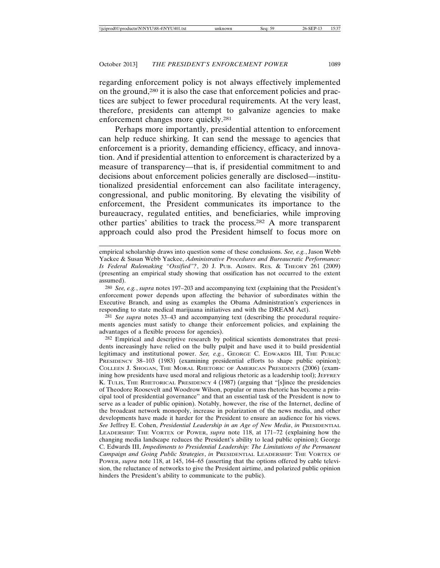regarding enforcement policy is not always effectively implemented on the ground,280 it is also the case that enforcement policies and practices are subject to fewer procedural requirements. At the very least, therefore, presidents can attempt to galvanize agencies to make enforcement changes more quickly.281

Perhaps more importantly, presidential attention to enforcement can help reduce shirking. It can send the message to agencies that enforcement is a priority, demanding efficiency, efficacy, and innovation. And if presidential attention to enforcement is characterized by a measure of transparency—that is, if presidential commitment to and decisions about enforcement policies generally are disclosed—institutionalized presidential enforcement can also facilitate interagency, congressional, and public monitoring. By elevating the visibility of enforcement, the President communicates its importance to the bureaucracy, regulated entities, and beneficiaries, while improving other parties' abilities to track the process.282 A more transparent approach could also prod the President himself to focus more on

280 *See, e.g.*, *supra* notes 197–203 and accompanying text (explaining that the President's enforcement power depends upon affecting the behavior of subordinates within the Executive Branch, and using as examples the Obama Administration's experiences in responding to state medical marijuana initiatives and with the DREAM Act).

281 *See supra* notes 33–43 and accompanying text (describing the procedural requirements agencies must satisfy to change their enforcement policies, and explaining the advantages of a flexible process for agencies).

282 Empirical and descriptive research by political scientists demonstrates that presidents increasingly have relied on the bully pulpit and have used it to build presidential legitimacy and institutional power. *See, e.g.*, GEORGE C. EDWARDS III, THE PUBLIC PRESIDENCY 38–103 (1983) (examining presidential efforts to shape public opinion); COLLEEN J. SHOGAN, THE MORAL RHETORIC OF AMERICAN PRESIDENTS (2006) (examining how presidents have used moral and religious rhetoric as a leadership tool); JEFFREY K. TULIS, THE RHETORICAL PRESIDENCY 4 (1987) (arguing that "[s]ince the presidencies of Theodore Roosevelt and Woodrow Wilson, popular or mass rhetoric has become a principal tool of presidential governance" and that an essential task of the President is now to serve as a leader of public opinion). Notably, however, the rise of the Internet, decline of the broadcast network monopoly, increase in polarization of the news media, and other developments have made it harder for the President to ensure an audience for his views. *See* Jeffrey E. Cohen, *Presidential Leadership in an Age of New Media*, *in* PRESIDENTIAL LEADERSHIP: THE VORTEX OF POWER, *supra* note 118, at 171–72 (explaining how the changing media landscape reduces the President's ability to lead public opinion); George C. Edwards III, *Impediments to Presidential Leadership: The Limitations of the Permanent Campaign and Going Public Strategies*, *in* PRESIDENTIAL LEADERSHIP: THE VORTEX OF POWER, *supra* note 118, at 145, 164–65 (asserting that the options offered by cable television, the reluctance of networks to give the President airtime, and polarized public opinion hinders the President's ability to communicate to the public).

empirical scholarship draws into question some of these conclusions. *See, e.g.*, Jason Webb Yackee & Susan Webb Yackee, *Administrative Procedures and Bureaucratic Performance: Is Federal Rulemaking "Ossified"?*, 20 J. PUB. ADMIN. RES. & THEORY 261 (2009) (presenting an empirical study showing that ossification has not occurred to the extent assumed).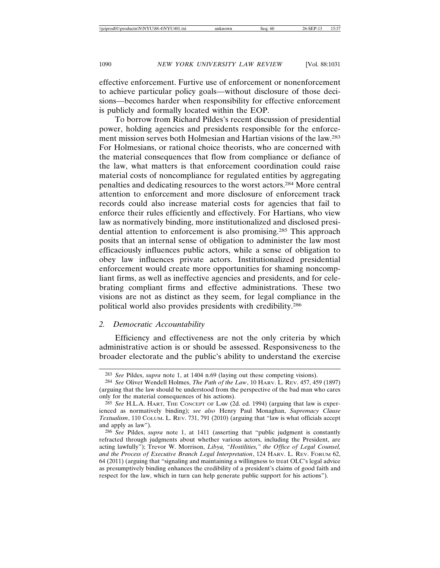effective enforcement. Furtive use of enforcement or nonenforcement to achieve particular policy goals—without disclosure of those decisions—becomes harder when responsibility for effective enforcement is publicly and formally located within the EOP.

To borrow from Richard Pildes's recent discussion of presidential power, holding agencies and presidents responsible for the enforcement mission serves both Holmesian and Hartian visions of the law.283 For Holmesians, or rational choice theorists, who are concerned with the material consequences that flow from compliance or defiance of the law, what matters is that enforcement coordination could raise material costs of noncompliance for regulated entities by aggregating penalties and dedicating resources to the worst actors.284 More central attention to enforcement and more disclosure of enforcement track records could also increase material costs for agencies that fail to enforce their rules efficiently and effectively. For Hartians, who view law as normatively binding, more institutionalized and disclosed presidential attention to enforcement is also promising.285 This approach posits that an internal sense of obligation to administer the law most efficaciously influences public actors, while a sense of obligation to obey law influences private actors. Institutionalized presidential enforcement would create more opportunities for shaming noncompliant firms, as well as ineffective agencies and presidents, and for celebrating compliant firms and effective administrations. These two visions are not as distinct as they seem, for legal compliance in the political world also provides presidents with credibility.286

### *2. Democratic Accountability*

Efficiency and effectiveness are not the only criteria by which administrative action is or should be assessed. Responsiveness to the broader electorate and the public's ability to understand the exercise

<sup>283</sup> *See* Pildes, *supra* note 1, at 1404 n.69 (laying out these competing visions).

<sup>284</sup> *See* Oliver Wendell Holmes, *The Path of the Law*, 10 HARV. L. REV. 457, 459 (1897) (arguing that the law should be understood from the perspective of the bad man who cares only for the material consequences of his actions).

<sup>285</sup> *See* H.L.A. HART, THE CONCEPT OF LAW (2d. ed. 1994) (arguing that law is experienced as normatively binding); *see also* Henry Paul Monaghan, *Supremacy Clause Textualism*, 110 COLUM. L. REV. 731, 791 (2010) (arguing that "law is what officials accept and apply as law").

<sup>286</sup> *See* Pildes, *supra* note 1, at 1411 (asserting that "public judgment is constantly refracted through judgments about whether various actors, including the President, are acting lawfully"); Trevor W. Morrison, *Libya, "Hostilities," the Office of Legal Counsel, and the Process of Executive Branch Legal Interpretation*, 124 HARV. L. REV. FORUM 62, 64 (2011) (arguing that "signaling and maintaining a willingness to treat OLC's legal advice as presumptively binding enhances the credibility of a president's claims of good faith and respect for the law, which in turn can help generate public support for his actions").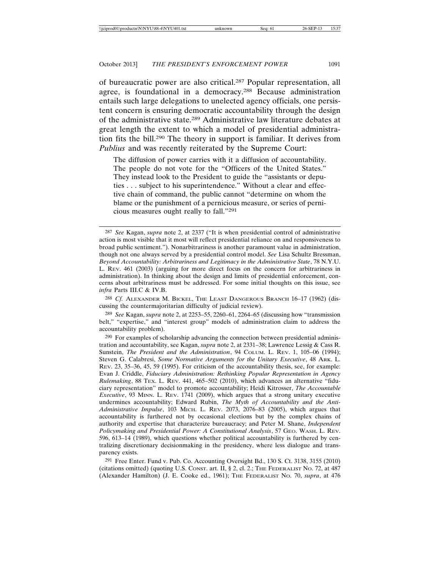of bureaucratic power are also critical.287 Popular representation, all agree, is foundational in a democracy.288 Because administration entails such large delegations to unelected agency officials, one persistent concern is ensuring democratic accountability through the design of the administrative state.289 Administrative law literature debates at great length the extent to which a model of presidential administration fits the bill.290 The theory in support is familiar. It derives from *Publius* and was recently reiterated by the Supreme Court:

The diffusion of power carries with it a diffusion of accountability. The people do not vote for the "Officers of the United States." They instead look to the President to guide the "assistants or deputies . . . subject to his superintendence." Without a clear and effective chain of command, the public cannot "determine on whom the blame or the punishment of a pernicious measure, or series of pernicious measures ought really to fall."291

288 *Cf.* ALEXANDER M. BICKEL, THE LEAST DANGEROUS BRANCH 16–17 (1962) (discussing the countermajoritarian difficulty of judicial review).

289 *See* Kagan, *supra* note 2, at 2253–55, 2260–61, 2264–65 (discussing how "transmission belt," "expertise," and "interest group" models of administration claim to address the accountability problem).

290 For examples of scholarship advancing the connection between presidential administration and accountability, see Kagan, *supra* note 2, at 2331–38; Lawrence Lessig & Cass R. Sunstein, *The President and the Administration*, 94 COLUM. L. REV. 1, 105–06 (1994); Steven G. Calabresi, *Some Normative Arguments for the Unitary Executive*, 48 ARK. L. REV. 23, 35–36, 45, 59 (1995). For criticism of the accountability thesis, see, for example: Evan J. Criddle, *Fiduciary Administration: Rethinking Popular Representation in Agency Rulemaking*, 88 TEX. L. REV. 441, 465–502 (2010), which advances an alternative "fiduciary representation" model to promote accountability; Heidi Kitrosser, *The Accountable Executive*, 93 M<sub>INN</sub>. L. REV. 1741 (2009), which argues that a strong unitary executive undermines accountability; Edward Rubin, *The Myth of Accountability and the Anti-Administrative Impulse*, 103 MICH. L. REV. 2073, 2076–83 (2005), which argues that accountability is furthered not by occasional elections but by the complex chains of authority and expertise that characterize bureaucracy; and Peter M. Shane, *Independent Policymaking and Presidential Power: A Constitutional Analysis*, 57 GEO. WASH. L. REV. 596, 613–14 (1989), which questions whether political accountability is furthered by centralizing discretionary decisionmaking in the presidency, where less dialogue and transparency exists.

291 Free Enter. Fund v. Pub. Co. Accounting Oversight Bd., 130 S. Ct. 3138, 3155 (2010) (citations omitted) (quoting U.S. CONST. art. II, § 2, cl. 2.; THE FEDERALIST NO. 72, at 487 (Alexander Hamilton) (J. E. Cooke ed., 1961); THE FEDERALIST NO. 70, *supra*, at 476

<sup>287</sup> *See* Kagan, *supra* note 2, at 2337 ("It is when presidential control of administrative action is most visible that it most will reflect presidential reliance on and responsiveness to broad public sentiment."). Nonarbitrariness is another paramount value in administration, though not one always served by a presidential control model. *See* Lisa Schultz Bressman, *Beyond Accountability: Arbitrariness and Legitimacy in the Administrative State*, 78 N.Y.U. L. REV. 461 (2003) (arguing for more direct focus on the concern for arbitrariness in administration). In thinking about the design and limits of presidential enforcement, concerns about arbitrariness must be addressed. For some initial thoughts on this issue, see *infra* Parts III.C & IV.B.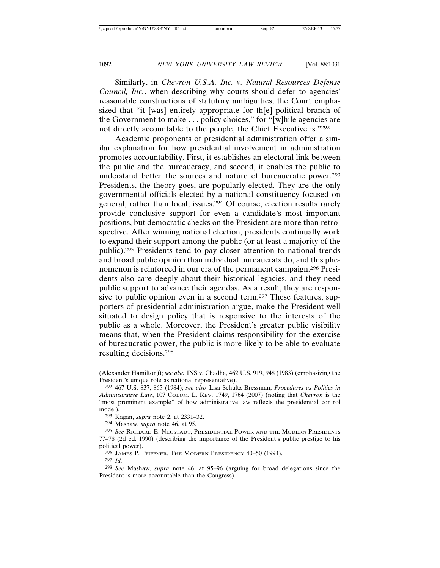Similarly, in *Chevron U.S.A. Inc. v. Natural Resources Defense Council, Inc.*, when describing why courts should defer to agencies' reasonable constructions of statutory ambiguities, the Court emphasized that "it [was] entirely appropriate for th[e] political branch of the Government to make . . . policy choices," for "[w]hile agencies are not directly accountable to the people, the Chief Executive is."292

Academic proponents of presidential administration offer a similar explanation for how presidential involvement in administration promotes accountability. First, it establishes an electoral link between the public and the bureaucracy, and second, it enables the public to understand better the sources and nature of bureaucratic power.293 Presidents, the theory goes, are popularly elected. They are the only governmental officials elected by a national constituency focused on general, rather than local, issues.294 Of course, election results rarely provide conclusive support for even a candidate's most important positions, but democratic checks on the President are more than retrospective. After winning national election, presidents continually work to expand their support among the public (or at least a majority of the public).295 Presidents tend to pay closer attention to national trends and broad public opinion than individual bureaucrats do, and this phenomenon is reinforced in our era of the permanent campaign.296 Presidents also care deeply about their historical legacies, and they need public support to advance their agendas. As a result, they are responsive to public opinion even in a second term.<sup>297</sup> These features, supporters of presidential administration argue, make the President well situated to design policy that is responsive to the interests of the public as a whole. Moreover, the President's greater public visibility means that, when the President claims responsibility for the exercise of bureaucratic power, the public is more likely to be able to evaluate resulting decisions.298

<sup>(</sup>Alexander Hamilton)); *see also* INS v. Chadha, 462 U.S. 919, 948 (1983) (emphasizing the President's unique role as national representative).

<sup>292</sup> 467 U.S. 837, 865 (1984); *see also* Lisa Schultz Bressman, *Procedures as Politics in Administrative Law*, 107 COLUM. L. REV. 1749, 1764 (2007) (noting that *Chevron* is the "most prominent example" of how administrative law reflects the presidential control model).

<sup>293</sup> Kagan, *supra* note 2, at 2331–32.

<sup>294</sup> Mashaw, *supra* note 46, at 95.

<sup>295</sup> *See* RICHARD E. NEUSTADT, PRESIDENTIAL POWER AND THE MODERN PRESIDENTS 77–78 (2d ed. 1990) (describing the importance of the President's public prestige to his political power).

<sup>296</sup> JAMES P. PFIFFNER, THE MODERN PRESIDENCY 40–50 (1994).

<sup>297</sup> *Id.*

<sup>298</sup> *See* Mashaw, *supra* note 46, at 95–96 (arguing for broad delegations since the President is more accountable than the Congress).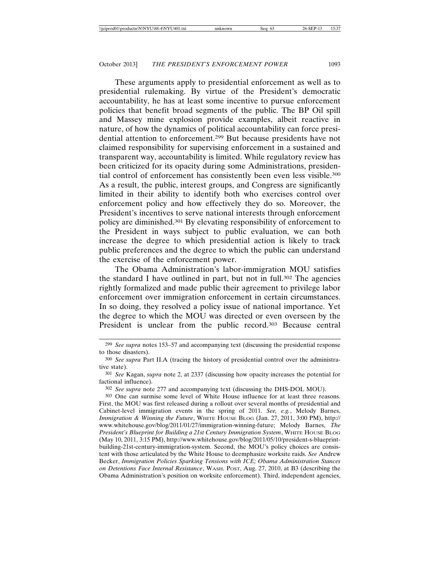These arguments apply to presidential enforcement as well as to presidential rulemaking. By virtue of the President's democratic accountability, he has at least some incentive to pursue enforcement policies that benefit broad segments of the public. The BP Oil spill and Massey mine explosion provide examples, albeit reactive in nature, of how the dynamics of political accountability can force presidential attention to enforcement.299 But because presidents have not claimed responsibility for supervising enforcement in a sustained and transparent way, accountability is limited. While regulatory review has been criticized for its opacity during some Administrations, presidential control of enforcement has consistently been even less visible.<sup>300</sup> As a result, the public, interest groups, and Congress are significantly limited in their ability to identify both who exercises control over enforcement policy and how effectively they do so. Moreover, the President's incentives to serve national interests through enforcement policy are diminished.301 By elevating responsibility of enforcement to the President in ways subject to public evaluation, we can both increase the degree to which presidential action is likely to track public preferences and the degree to which the public can understand the exercise of the enforcement power.

The Obama Administration's labor-immigration MOU satisfies the standard I have outlined in part, but not in full.<sup>302</sup> The agencies rightly formalized and made public their agreement to privilege labor enforcement over immigration enforcement in certain circumstances. In so doing, they resolved a policy issue of national importance. Yet the degree to which the MOU was directed or even overseen by the President is unclear from the public record.<sup>303</sup> Because central

<sup>299</sup> *See supra* notes 153–57 and accompanying text (discussing the presidential response to those disasters).

<sup>300</sup> *See supra* Part II.A (tracing the history of presidential control over the administrative state).

<sup>301</sup> *See* Kagan, *supra* note 2, at 2337 (discussing how opacity increases the potential for factional influence).

<sup>302</sup> *See supra* note 277 and accompanying text (discussing the DHS-DOL MOU).

<sup>303</sup> One can surmise some level of White House influence for at least three reasons. First, the MOU was first released during a rollout over several months of presidential and Cabinet-level immigration events in the spring of 2011. *See, e.g.*, Melody Barnes, *Immigration & Winning the Future*, WHITE HOUSE BLOG (Jan. 27, 2011, 3:00 PM), http:// www.whitehouse.gov/blog/2011/01/27/immigration-winning-future; Melody Barnes, *The President's Blueprint for Building a 21st Century Immigration System*, WHITE HOUSE BLOG (May 10, 2011, 3:15 PM), http://www.whitehouse.gov/blog/2011/05/10/president-s-blueprintbuilding-21st-century-immigration-system. Second, the MOU's policy choices are consistent with those articulated by the White House to deemphasize worksite raids. *See* Andrew Becker, *Immigration Policies Sparking Tensions with ICE; Obama Administration Stances on Detentions Face Internal Resistance*, WASH. POST, Aug. 27, 2010, at B3 (describing the Obama Administration's position on worksite enforcement). Third, independent agencies,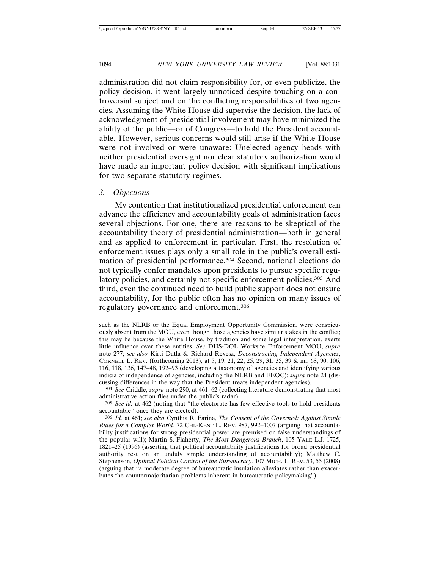administration did not claim responsibility for, or even publicize, the policy decision, it went largely unnoticed despite touching on a controversial subject and on the conflicting responsibilities of two agencies. Assuming the White House did supervise the decision, the lack of acknowledgment of presidential involvement may have minimized the ability of the public—or of Congress—to hold the President accountable. However, serious concerns would still arise if the White House were not involved or were unaware: Unelected agency heads with neither presidential oversight nor clear statutory authorization would have made an important policy decision with significant implications for two separate statutory regimes.

#### *3. Objections*

My contention that institutionalized presidential enforcement can advance the efficiency and accountability goals of administration faces several objections. For one, there are reasons to be skeptical of the accountability theory of presidential administration—both in general and as applied to enforcement in particular. First, the resolution of enforcement issues plays only a small role in the public's overall estimation of presidential performance.304 Second, national elections do not typically confer mandates upon presidents to pursue specific regulatory policies, and certainly not specific enforcement policies.<sup>305</sup> And third, even the continued need to build public support does not ensure accountability, for the public often has no opinion on many issues of regulatory governance and enforcement.306

304 *See* Criddle, *supra* note 290, at 461–62 (collecting literature demonstrating that most administrative action flies under the public's radar).

305 *See id.* at 462 (noting that "the electorate has few effective tools to hold presidents accountable" once they are elected).

306 *Id.* at 461; *see also* Cynthia R. Farina, *The Consent of the Governed: Against Simple Rules for a Complex World*, 72 CHI.-KENT L. REV. 987, 992–1007 (arguing that accountability justifications for strong presidential power are premised on false understandings of the popular will); Martin S. Flaherty, *The Most Dangerous Branch*, 105 YALE L.J. 1725, 1821–25 (1996) (asserting that political accountability justifications for broad presidential authority rest on an unduly simple understanding of accountability); Matthew C. Stephenson, *Optimal Political Control of the Bureaucracy*, 107 MICH. L. REV. 53, 55 (2008) (arguing that "a moderate degree of bureaucratic insulation alleviates rather than exacerbates the countermajoritarian problems inherent in bureaucratic policymaking").

such as the NLRB or the Equal Employment Opportunity Commission, were conspicuously absent from the MOU, even though those agencies have similar stakes in the conflict; this may be because the White House, by tradition and some legal interpretation, exerts little influence over these entities. *See* DHS-DOL Worksite Enforcement MOU, *supra* note 277; *see also* Kirti Datla & Richard Revesz, *Deconstructing Independent Agencies*, CORNELL L. REV. (forthcoming 2013), at 5, 19, 21, 22, 25, 29, 31, 35, 39 & nn. 68, 90, 106, 116, 118, 136, 147–48, 192–93 (developing a taxonomy of agencies and identifying various indicia of independence of agencies, including the NLRB and EEOC); *supra* note 24 (discussing differences in the way that the President treats independent agencies).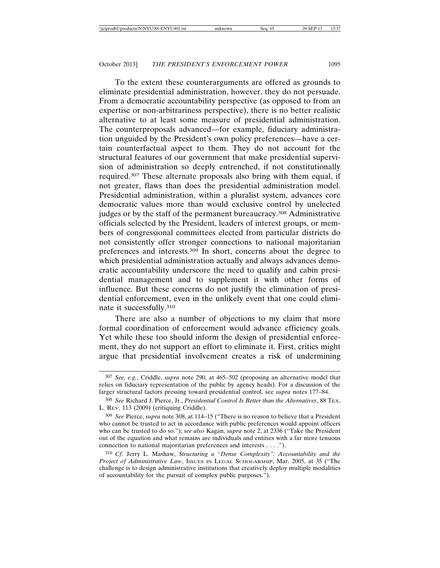To the extent these counterarguments are offered as grounds to eliminate presidential administration, however, they do not persuade. From a democratic accountability perspective (as opposed to from an expertise or non-arbitrariness perspective), there is no better realistic alternative to at least some measure of presidential administration. The counterproposals advanced—for example, fiduciary administration unguided by the President's own policy preferences—have a certain counterfactual aspect to them. They do not account for the structural features of our government that make presidential supervision of administration so deeply entrenched, if not constitutionally required.307 These alternate proposals also bring with them equal, if not greater, flaws than does the presidential administration model. Presidential administration, within a pluralist system, advances core democratic values more than would exclusive control by unelected judges or by the staff of the permanent bureaucracy.308 Administrative officials selected by the President, leaders of interest groups, or members of congressional committees elected from particular districts do not consistently offer stronger connections to national majoritarian preferences and interests.309 In short, concerns about the degree to which presidential administration actually and always advances democratic accountability underscore the need to qualify and cabin presidential management and to supplement it with other forms of influence. But these concerns do not justify the elimination of presidential enforcement, even in the unlikely event that one could eliminate it successfully.310

There are also a number of objections to my claim that more formal coordination of enforcement would advance efficiency goals. Yet while these too should inform the design of presidential enforcement, they do not support an effort to eliminate it. First, critics might argue that presidential involvement creates a risk of undermining

<sup>307</sup> *See, e.g.*, Criddle, *supra* note 290, at 465–502 (proposing an alternative model that relies on fiduciary representation of the public by agency heads). For a discussion of the larger structural factors pressing toward presidential control, see *supra* notes 177–84.

<sup>308</sup> *See* Richard J. Pierce, Jr., *Presidential Control Is Better than the Alternatives*, 88 TEX. L. REV. 113 (2009) (critiquing Criddle).

<sup>309</sup> *See* Pierce, *supra* note 308, at 114–15 ("There is no reason to believe that a President who cannot be trusted to act in accordance with public preferences would appoint officers who can be trusted to do so."); *see also* Kagan, *supra* note 2, at 2336 ("Take the President out of the equation and what remains are individuals and entities with a far more tenuous connection to national majoritarian preferences and interests . . . .").

<sup>310</sup> *Cf*. Jerry L. Mashaw, *Structuring a "Dense Complexity": Accountability and the Project of Administrative Law*, ISSUES IN LEGAL SCHOLARSHIP, Mar. 2005, at 35 ("The challenge is to design administrative institutions that creatively deploy multiple modalities of accountability for the pursuit of complex public purposes.").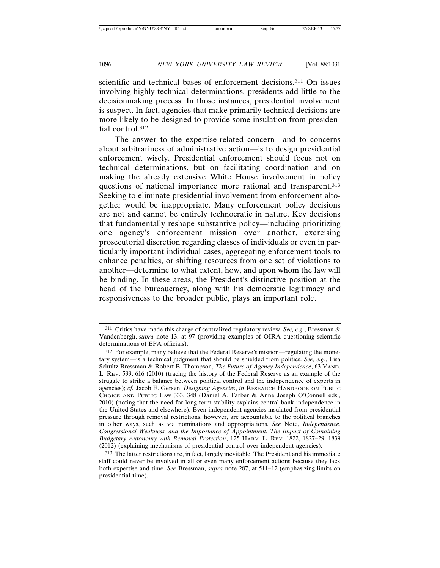scientific and technical bases of enforcement decisions.<sup>311</sup> On issues involving highly technical determinations, presidents add little to the decisionmaking process. In those instances, presidential involvement is suspect. In fact, agencies that make primarily technical decisions are more likely to be designed to provide some insulation from presidential control.312

The answer to the expertise-related concern—and to concerns about arbitrariness of administrative action—is to design presidential enforcement wisely. Presidential enforcement should focus not on technical determinations, but on facilitating coordination and on making the already extensive White House involvement in policy questions of national importance more rational and transparent.<sup>313</sup> Seeking to eliminate presidential involvement from enforcement altogether would be inappropriate. Many enforcement policy decisions are not and cannot be entirely technocratic in nature. Key decisions that fundamentally reshape substantive policy—including prioritizing one agency's enforcement mission over another, exercising prosecutorial discretion regarding classes of individuals or even in particularly important individual cases, aggregating enforcement tools to enhance penalties, or shifting resources from one set of violations to another—determine to what extent, how, and upon whom the law will be binding. In these areas, the President's distinctive position at the head of the bureaucracy, along with his democratic legitimacy and responsiveness to the broader public, plays an important role.

<sup>311</sup> Critics have made this charge of centralized regulatory review. *See, e.g.*, Bressman & Vandenbergh, *supra* note 13, at 97 (providing examples of OIRA questioning scientific determinations of EPA officials).

<sup>312</sup> For example, many believe that the Federal Reserve's mission—regulating the monetary system—is a technical judgment that should be shielded from politics. *See, e.g.*, Lisa Schultz Bressman & Robert B. Thompson, *The Future of Agency Independence*, 63 VAND. L. REV. 599, 616 (2010) (tracing the history of the Federal Reserve as an example of the struggle to strike a balance between political control and the independence of experts in agencies); *cf.* Jacob E. Gersen, *Designing Agencies*, *in* RESEARCH HANDBOOK ON PUBLIC CHOICE AND PUBLIC LAW 333, 348 (Daniel A. Farber & Anne Joseph O'Connell eds., 2010) (noting that the need for long-term stability explains central bank independence in the United States and elsewhere). Even independent agencies insulated from presidential pressure through removal restrictions, however, are accountable to the political branches in other ways, such as via nominations and appropriations. *See* Note, *Independence, Congressional Weakness, and the Importance of Appointment: The Impact of Combining Budgetary Autonomy with Removal Protection*, 125 HARV. L. REV. 1822, 1827–29, 1839 (2012) (explaining mechanisms of presidential control over independent agencies).

<sup>313</sup> The latter restrictions are, in fact, largely inevitable. The President and his immediate staff could never be involved in all or even many enforcement actions because they lack both expertise and time. *See* Bressman, *supra* note 287, at 511–12 (emphasizing limits on presidential time).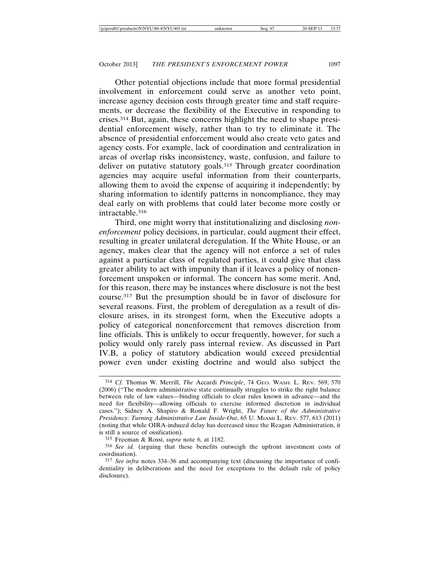Other potential objections include that more formal presidential involvement in enforcement could serve as another veto point, increase agency decision costs through greater time and staff requirements, or decrease the flexibility of the Executive in responding to crises.314 But, again, these concerns highlight the need to shape presidential enforcement wisely, rather than to try to eliminate it. The absence of presidential enforcement would also create veto gates and agency costs. For example, lack of coordination and centralization in areas of overlap risks inconsistency, waste, confusion, and failure to deliver on putative statutory goals.<sup>315</sup> Through greater coordination agencies may acquire useful information from their counterparts, allowing them to avoid the expense of acquiring it independently; by sharing information to identify patterns in noncompliance, they may deal early on with problems that could later become more costly or intractable.316

Third, one might worry that institutionalizing and disclosing *nonenforcement* policy decisions, in particular, could augment their effect, resulting in greater unilateral deregulation. If the White House, or an agency, makes clear that the agency will not enforce a set of rules against a particular class of regulated parties, it could give that class greater ability to act with impunity than if it leaves a policy of nonenforcement unspoken or informal. The concern has some merit. And, for this reason, there may be instances where disclosure is not the best course.317 But the presumption should be in favor of disclosure for several reasons. First, the problem of deregulation as a result of disclosure arises, in its strongest form, when the Executive adopts a policy of categorical nonenforcement that removes discretion from line officials. This is unlikely to occur frequently, however, for such a policy would only rarely pass internal review. As discussed in Part IV.B, a policy of statutory abdication would exceed presidential power even under existing doctrine and would also subject the

<sup>314</sup> *Cf.* Thomas W. Merrill, *The* Accardi *Principle*, 74 GEO. WASH. L. REV. 569, 570 (2006) ("The modern administrative state continually struggles to strike the right balance between rule of law values—binding officials to clear rules known in advance—and the need for flexibility—allowing officials to exercise informed discretion in individual cases."); Sidney A. Shapiro & Ronald F. Wright, *The Future of the Administrative Presidency: Turning Administrative Law Inside-Out*, 65 U. MIAMI L. REV. 577, 613 (2011) (noting that while OIRA-induced delay has decreased since the Reagan Administration, it is still a source of ossification).

<sup>315</sup> Freeman & Rossi, *supra* note 6, at 1182.

<sup>316</sup> *See id.* (arguing that these benefits outweigh the upfront investment costs of coordination).

<sup>317</sup> *See infra* notes 334–36 and accompanying text (discussing the importance of confidentiality in deliberations and the need for exceptions to the default rule of policy disclosure).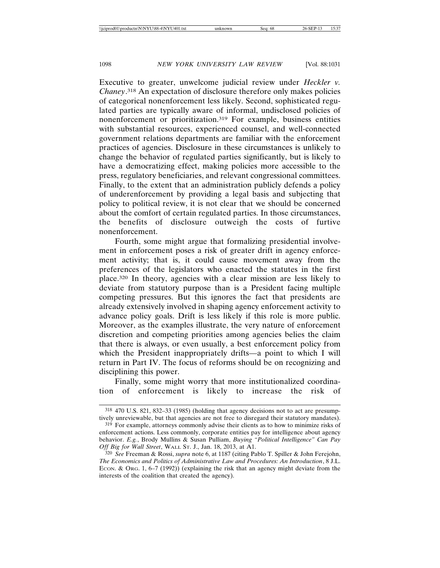Executive to greater, unwelcome judicial review under *Heckler v. Chaney*. 318 An expectation of disclosure therefore only makes policies of categorical nonenforcement less likely. Second, sophisticated regulated parties are typically aware of informal, undisclosed policies of nonenforcement or prioritization.319 For example, business entities with substantial resources, experienced counsel, and well-connected government relations departments are familiar with the enforcement practices of agencies. Disclosure in these circumstances is unlikely to change the behavior of regulated parties significantly, but is likely to have a democratizing effect, making policies more accessible to the press, regulatory beneficiaries, and relevant congressional committees. Finally, to the extent that an administration publicly defends a policy of underenforcement by providing a legal basis and subjecting that policy to political review, it is not clear that we should be concerned about the comfort of certain regulated parties. In those circumstances, the benefits of disclosure outweigh the costs of furtive nonenforcement.

Fourth, some might argue that formalizing presidential involvement in enforcement poses a risk of greater drift in agency enforcement activity; that is, it could cause movement away from the preferences of the legislators who enacted the statutes in the first place.320 In theory, agencies with a clear mission are less likely to deviate from statutory purpose than is a President facing multiple competing pressures. But this ignores the fact that presidents are already extensively involved in shaping agency enforcement activity to advance policy goals. Drift is less likely if this role is more public. Moreover, as the examples illustrate, the very nature of enforcement discretion and competing priorities among agencies belies the claim that there is always, or even usually, a best enforcement policy from which the President inappropriately drifts—a point to which I will return in Part IV. The focus of reforms should be on recognizing and disciplining this power.

Finally, some might worry that more institutionalized coordination of enforcement is likely to increase the risk of

<sup>318</sup> 470 U.S. 821, 832–33 (1985) (holding that agency decisions not to act are presumptively unreviewable, but that agencies are not free to disregard their statutory mandates).

<sup>319</sup> For example, attorneys commonly advise their clients as to how to minimize risks of enforcement actions. Less commonly, corporate entities pay for intelligence about agency behavior. *E.g.*, Brody Mullins & Susan Pulliam, *Buying "Political Intelligence" Can Pay Off Big for Wall Street*, WALL ST. J., Jan. 18, 2013, at A1.

<sup>320</sup> *See* Freeman & Rossi, *supra* note 6, at 1187 (citing Pablo T. Spiller & John Ferejohn, *The Economics and Politics of Administrative Law and Procedures: An Introduction*, 8 J.L. ECON. & ORG. 1, 6–7 (1992)) (explaining the risk that an agency might deviate from the interests of the coalition that created the agency).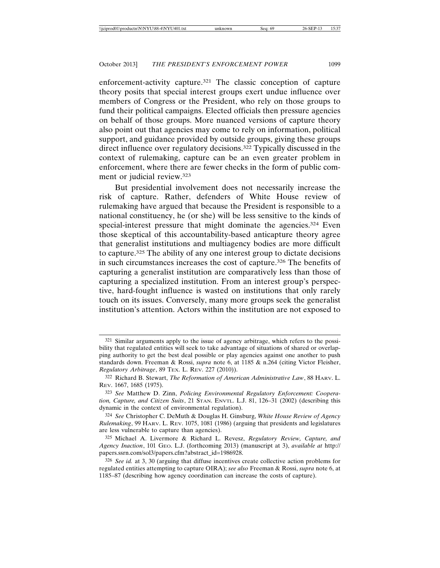enforcement-activity capture.<sup>321</sup> The classic conception of capture theory posits that special interest groups exert undue influence over members of Congress or the President, who rely on those groups to fund their political campaigns. Elected officials then pressure agencies on behalf of those groups. More nuanced versions of capture theory also point out that agencies may come to rely on information, political support, and guidance provided by outside groups, giving these groups direct influence over regulatory decisions.<sup>322</sup> Typically discussed in the context of rulemaking, capture can be an even greater problem in enforcement, where there are fewer checks in the form of public comment or judicial review.323

But presidential involvement does not necessarily increase the risk of capture. Rather, defenders of White House review of rulemaking have argued that because the President is responsible to a national constituency, he (or she) will be less sensitive to the kinds of special-interest pressure that might dominate the agencies.<sup>324</sup> Even those skeptical of this accountability-based anticapture theory agree that generalist institutions and multiagency bodies are more difficult to capture.325 The ability of any one interest group to dictate decisions in such circumstances increases the cost of capture.326 The benefits of capturing a generalist institution are comparatively less than those of capturing a specialized institution. From an interest group's perspective, hard-fought influence is wasted on institutions that only rarely touch on its issues. Conversely, many more groups seek the generalist institution's attention. Actors within the institution are not exposed to

<sup>321</sup> Similar arguments apply to the issue of agency arbitrage, which refers to the possibility that regulated entities will seek to take advantage of situations of shared or overlapping authority to get the best deal possible or play agencies against one another to push standards down. Freeman & Rossi, *supra* note 6, at 1185 & n.264 (citing Victor Fleisher, *Regulatory Arbitrage*, 89 TEX. L. REV. 227 (2010)).

<sup>322</sup> Richard B. Stewart, *The Reformation of American Administrative Law*, 88 HARV. L. REV. 1667, 1685 (1975).

<sup>323</sup> *See* Matthew D. Zinn, *Policing Environmental Regulatory Enforcement: Cooperation, Capture, and Citizen Suits*, 21 STAN. ENVTL. L.J. 81, 126–31 (2002) (describing this dynamic in the context of environmental regulation).

<sup>324</sup> *See* Christopher C. DeMuth & Douglas H. Ginsburg, *White House Review of Agency Rulemaking*, 99 HARV. L. REV. 1075, 1081 (1986) (arguing that presidents and legislatures are less vulnerable to capture than agencies).

<sup>325</sup> Michael A. Livermore & Richard L. Revesz, *Regulatory Review, Capture, and Agency Inaction*, 101 GEO. L.J. (forthcoming 2013) (manuscript at 3), *available at* http:// papers.ssrn.com/sol3/papers.cfm?abstract\_id=1986928.

<sup>326</sup> *See id.* at 3, 30 (arguing that diffuse incentives create collective action problems for regulated entities attempting to capture OIRA); *see also* Freeman & Rossi, *supra* note 6, at 1185–87 (describing how agency coordination can increase the costs of capture).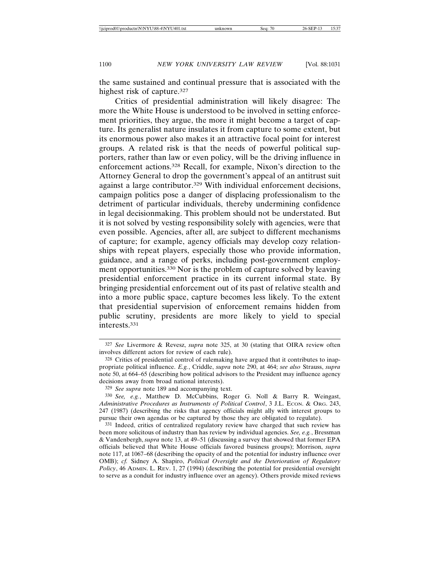the same sustained and continual pressure that is associated with the highest risk of capture.327

Critics of presidential administration will likely disagree: The more the White House is understood to be involved in setting enforcement priorities, they argue, the more it might become a target of capture. Its generalist nature insulates it from capture to some extent, but its enormous power also makes it an attractive focal point for interest groups. A related risk is that the needs of powerful political supporters, rather than law or even policy, will be the driving influence in enforcement actions.328 Recall, for example, Nixon's direction to the Attorney General to drop the government's appeal of an antitrust suit against a large contributor.329 With individual enforcement decisions, campaign politics pose a danger of displacing professionalism to the detriment of particular individuals, thereby undermining confidence in legal decisionmaking. This problem should not be understated. But it is not solved by vesting responsibility solely with agencies, were that even possible. Agencies, after all, are subject to different mechanisms of capture; for example, agency officials may develop cozy relationships with repeat players, especially those who provide information, guidance, and a range of perks, including post-government employment opportunities.330 Nor is the problem of capture solved by leaving presidential enforcement practice in its current informal state. By bringing presidential enforcement out of its past of relative stealth and into a more public space, capture becomes less likely. To the extent that presidential supervision of enforcement remains hidden from public scrutiny, presidents are more likely to yield to special interests.331

<sup>327</sup> *See* Livermore & Revesz, *supra* note 325, at 30 (stating that OIRA review often involves different actors for review of each rule).

<sup>328</sup> Critics of presidential control of rulemaking have argued that it contributes to inappropriate political influence. *E.g.*, Criddle, *supra* note 290, at 464; *see also* Strauss, *supra* note 50, at 664–65 (describing how political advisors to the President may influence agency decisions away from broad national interests).

<sup>329</sup> *See supra* note 189 and accompanying text.

<sup>330</sup> *See, e.g.*, Matthew D. McCubbins, Roger G. Noll & Barry R. Weingast, Administrative Procedures as Instruments of Political Control, 3 J.L. ECON. & ORG. 243, 247 (1987) (describing the risks that agency officials might ally with interest groups to pursue their own agendas or be captured by those they are obligated to regulate).

<sup>331</sup> Indeed, critics of centralized regulatory review have charged that such review has been more solicitous of industry than has review by individual agencies. *See, e.g.*, Bressman & Vandenbergh, *supra* note 13, at 49–51 (discussing a survey that showed that former EPA officials believed that White House officials favored business groups); Morrison, *supra* note 117, at 1067–68 (describing the opacity of and the potential for industry influence over OMB); *cf.* Sidney A. Shapiro, *Political Oversight and the Deterioration of Regulatory Policy*, 46 ADMIN. L. REV. 1, 27 (1994) (describing the potential for presidential oversight to serve as a conduit for industry influence over an agency). Others provide mixed reviews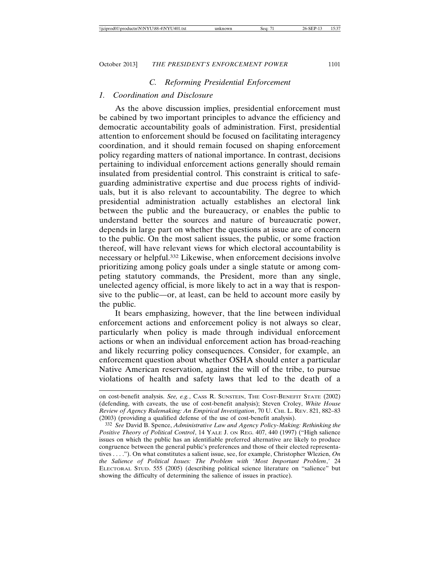#### *C. Reforming Presidential Enforcement*

### *1. Coordination and Disclosure*

As the above discussion implies, presidential enforcement must be cabined by two important principles to advance the efficiency and democratic accountability goals of administration. First, presidential attention to enforcement should be focused on facilitating interagency coordination, and it should remain focused on shaping enforcement policy regarding matters of national importance. In contrast, decisions pertaining to individual enforcement actions generally should remain insulated from presidential control. This constraint is critical to safeguarding administrative expertise and due process rights of individuals, but it is also relevant to accountability. The degree to which presidential administration actually establishes an electoral link between the public and the bureaucracy, or enables the public to understand better the sources and nature of bureaucratic power, depends in large part on whether the questions at issue are of concern to the public. On the most salient issues, the public, or some fraction thereof, will have relevant views for which electoral accountability is necessary or helpful.332 Likewise, when enforcement decisions involve prioritizing among policy goals under a single statute or among competing statutory commands, the President, more than any single, unelected agency official, is more likely to act in a way that is responsive to the public—or, at least, can be held to account more easily by the public.

It bears emphasizing, however, that the line between individual enforcement actions and enforcement policy is not always so clear, particularly when policy is made through individual enforcement actions or when an individual enforcement action has broad-reaching and likely recurring policy consequences. Consider, for example, an enforcement question about whether OSHA should enter a particular Native American reservation, against the will of the tribe, to pursue violations of health and safety laws that led to the death of a

on cost-benefit analysis. *See, e.g.*, CASS R. SUNSTEIN, THE COST-BENEFIT STATE (2002) (defending, with caveats, the use of cost-benefit analysis); Steven Croley, *White House Review of Agency Rulemaking: An Empirical Investigation*, 70 U. CHI. L. REV. 821, 882–83 (2003) (providing a qualified defense of the use of cost-benefit analysis).

<sup>332</sup> *See* David B. Spence, *Administrative Law and Agency Policy-Making: Rethinking the Positive Theory of Political Control*, 14 YALE J. ON REG. 407, 440 (1997) ("High salience issues on which the public has an identifiable preferred alternative are likely to produce congruence between the general public's preferences and those of their elected representatives . . . ."). On what constitutes a salient issue, see, for example, Christopher Wlezien, *On the Salience of Political Issues: The Problem with 'Most Important Problem*,*'* 24 ELECTORAL STUD. 555 (2005) (describing political science literature on "salience" but showing the difficulty of determining the salience of issues in practice).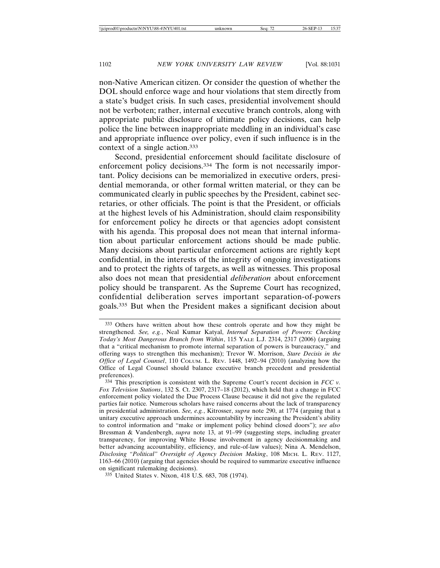non-Native American citizen. Or consider the question of whether the DOL should enforce wage and hour violations that stem directly from a state's budget crisis. In such cases, presidential involvement should not be verboten; rather, internal executive branch controls, along with appropriate public disclosure of ultimate policy decisions, can help police the line between inappropriate meddling in an individual's case and appropriate influence over policy, even if such influence is in the context of a single action.333

Second, presidential enforcement should facilitate disclosure of enforcement policy decisions.334 The form is not necessarily important. Policy decisions can be memorialized in executive orders, presidential memoranda, or other formal written material, or they can be communicated clearly in public speeches by the President, cabinet secretaries, or other officials. The point is that the President, or officials at the highest levels of his Administration, should claim responsibility for enforcement policy he directs or that agencies adopt consistent with his agenda. This proposal does not mean that internal information about particular enforcement actions should be made public. Many decisions about particular enforcement actions are rightly kept confidential, in the interests of the integrity of ongoing investigations and to protect the rights of targets, as well as witnesses. This proposal also does not mean that presidential *deliberation* about enforcement policy should be transparent. As the Supreme Court has recognized, confidential deliberation serves important separation-of-powers goals.335 But when the President makes a significant decision about

<sup>333</sup> Others have written about how these controls operate and how they might be strengthened. *See, e.g.*, Neal Kumar Katyal, *Internal Separation of Powers: Checking Today's Most Dangerous Branch from Within*, 115 YALE L.J. 2314, 2317 (2006) (arguing that a "critical mechanism to promote internal separation of powers is bureaucracy," and offering ways to strengthen this mechanism); Trevor W. Morrison, *Stare Decisis in the Office of Legal Counsel*, 110 COLUM. L. REV. 1448, 1492–94 (2010) (analyzing how the Office of Legal Counsel should balance executive branch precedent and presidential preferences).

<sup>334</sup> This prescription is consistent with the Supreme Court's recent decision in *FCC v. Fox Television Stations*, 132 S. Ct. 2307, 2317–18 (2012), which held that a change in FCC enforcement policy violated the Due Process Clause because it did not give the regulated parties fair notice*.* Numerous scholars have raised concerns about the lack of transparency in presidential administration. *See, e.g.*, Kitrosser, *supra* note 290, at 1774 (arguing that a unitary executive approach undermines accountability by increasing the President's ability to control information and "make or implement policy behind closed doors"); *see also* Bressman & Vandenbergh, *supra* note 13, at 91–99 (suggesting steps, including greater transparency, for improving White House involvement in agency decisionmaking and better advancing accountability, efficiency, and rule-of-law values); Nina A. Mendelson, *Disclosing "Political" Oversight of Agency Decision Making*, 108 MICH. L. REV. 1127, 1163–66 (2010) (arguing that agencies should be required to summarize executive influence on significant rulemaking decisions).

<sup>335</sup> United States v. Nixon, 418 U.S. 683, 708 (1974).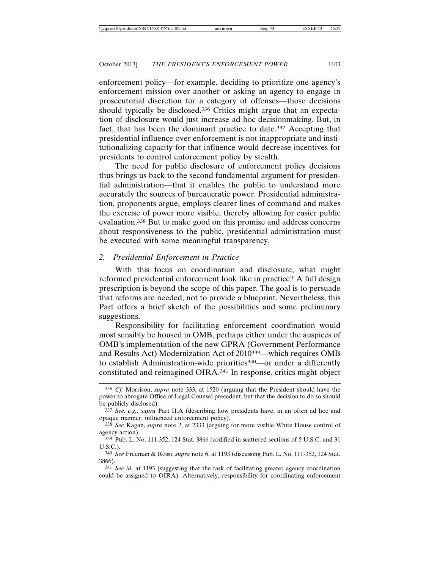enforcement policy—for example, deciding to prioritize one agency's enforcement mission over another or asking an agency to engage in prosecutorial discretion for a category of offenses—those decisions should typically be disclosed.<sup>336</sup> Critics might argue that an expectation of disclosure would just increase ad hoc decisionmaking. But, in fact, that has been the dominant practice to date.337 Accepting that presidential influence over enforcement is not inappropriate and institutionalizing capacity for that influence would decrease incentives for presidents to control enforcement policy by stealth.

The need for public disclosure of enforcement policy decisions thus brings us back to the second fundamental argument for presidential administration—that it enables the public to understand more accurately the sources of bureaucratic power. Presidential administration, proponents argue, employs clearer lines of command and makes the exercise of power more visible, thereby allowing for easier public evaluation.338 But to make good on this promise and address concerns about responsiveness to the public, presidential administration must be executed with some meaningful transparency.

## *2. Presidential Enforcement in Practice*

With this focus on coordination and disclosure, what might reformed presidential enforcement look like in practice? A full design prescription is beyond the scope of this paper. The goal is to persuade that reforms are needed, not to provide a blueprint. Nevertheless, this Part offers a brief sketch of the possibilities and some preliminary suggestions.

Responsibility for facilitating enforcement coordination would most sensibly be housed in OMB, perhaps either under the auspices of OMB's implementation of the new GPRA (Government Performance and Results Act) Modernization Act of 2010339—which requires OMB to establish Administration-wide priorities340—or under a differently constituted and reimagined OIRA.341 In response, critics might object

<sup>336</sup> *Cf.* Morrison, *supra* note 333, at 1520 (arguing that the President should have the power to abrogate Office of Legal Counsel precedent, but that the decision to do so should be publicly disclosed).

<sup>337</sup> *See, e.g.*, *supra* Part II.A (describing how presidents have, in an often ad hoc and opaque manner, influenced enforcement policy).

<sup>338</sup> *See* Kagan, *supra* note 2, at 2333 (arguing for more visible White House control of agency action).

<sup>339</sup> Pub. L. No. 111-352, 124 Stat. 3866 (codified in scattered sections of 5 U.S.C. and 31 U.S.C.).

<sup>340</sup> *See* Freeman & Rossi, *supra* note 6, at 1193 (discussing Pub. L. No. 111-352, 124 Stat. 3866).

<sup>341</sup> *See id.* at 1193 (suggesting that the task of facilitating greater agency coordination could be assigned to OIRA). Alternatively, responsibility for coordinating enforcement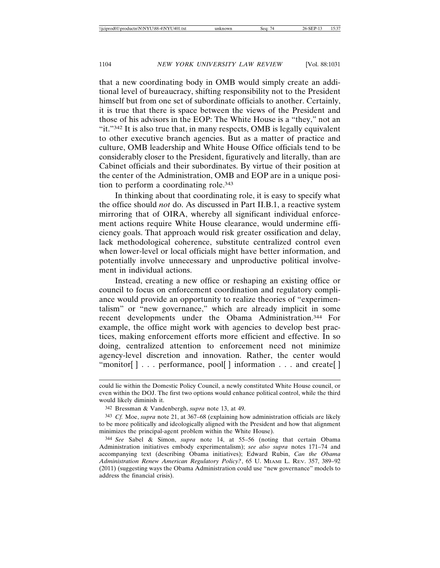that a new coordinating body in OMB would simply create an additional level of bureaucracy, shifting responsibility not to the President himself but from one set of subordinate officials to another. Certainly, it is true that there is space between the views of the President and those of his advisors in the EOP: The White House is a "they," not an "it."342 It is also true that, in many respects, OMB is legally equivalent to other executive branch agencies. But as a matter of practice and culture, OMB leadership and White House Office officials tend to be considerably closer to the President, figuratively and literally, than are Cabinet officials and their subordinates. By virtue of their position at the center of the Administration, OMB and EOP are in a unique position to perform a coordinating role.343

In thinking about that coordinating role, it is easy to specify what the office should *not* do. As discussed in Part II.B.1, a reactive system mirroring that of OIRA, whereby all significant individual enforcement actions require White House clearance, would undermine efficiency goals. That approach would risk greater ossification and delay, lack methodological coherence, substitute centralized control even when lower-level or local officials might have better information, and potentially involve unnecessary and unproductive political involvement in individual actions.

Instead, creating a new office or reshaping an existing office or council to focus on enforcement coordination and regulatory compliance would provide an opportunity to realize theories of "experimentalism" or "new governance," which are already implicit in some recent developments under the Obama Administration.344 For example, the office might work with agencies to develop best practices, making enforcement efforts more efficient and effective. In so doing, centralized attention to enforcement need not minimize agency-level discretion and innovation. Rather, the center would "monitor[] . . . performance, pool[] information . . . and create[]

could lie within the Domestic Policy Council, a newly constituted White House council, or even within the DOJ. The first two options would enhance political control, while the third would likely diminish it.

<sup>342</sup> Bressman & Vandenbergh, *supra* note 13, at 49.

<sup>343</sup> *Cf.* Moe, *supra* note 21, at 367–68 (explaining how administration officials are likely to be more politically and ideologically aligned with the President and how that alignment minimizes the principal-agent problem within the White House).

<sup>344</sup> *See* Sabel & Simon, *supra* note 14, at 55–56 (noting that certain Obama Administration initiatives embody experimentalism); *see also supra* notes 171–74 and accompanying text (describing Obama initiatives); Edward Rubin, *Can the Obama Administration Renew American Regulatory Policy?*, 65 U. MIAMI L. REV. 357, 389–92 (2011) (suggesting ways the Obama Administration could use "new governance" models to address the financial crisis).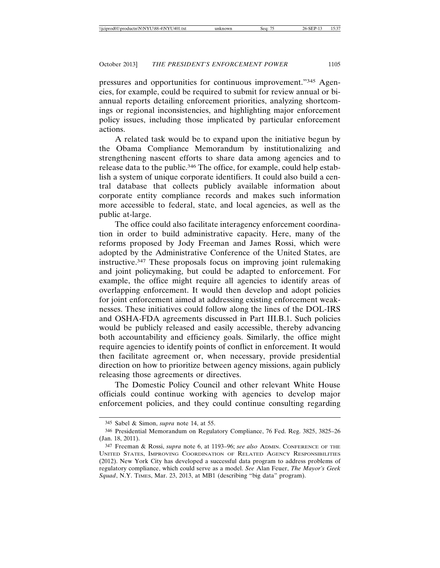pressures and opportunities for continuous improvement."345 Agencies, for example, could be required to submit for review annual or biannual reports detailing enforcement priorities, analyzing shortcomings or regional inconsistencies, and highlighting major enforcement policy issues, including those implicated by particular enforcement actions.

A related task would be to expand upon the initiative begun by the Obama Compliance Memorandum by institutionalizing and strengthening nascent efforts to share data among agencies and to release data to the public.346 The office, for example, could help establish a system of unique corporate identifiers. It could also build a central database that collects publicly available information about corporate entity compliance records and makes such information more accessible to federal, state, and local agencies, as well as the public at-large.

The office could also facilitate interagency enforcement coordination in order to build administrative capacity. Here, many of the reforms proposed by Jody Freeman and James Rossi, which were adopted by the Administrative Conference of the United States, are instructive.347 These proposals focus on improving joint rulemaking and joint policymaking, but could be adapted to enforcement. For example, the office might require all agencies to identify areas of overlapping enforcement. It would then develop and adopt policies for joint enforcement aimed at addressing existing enforcement weaknesses. These initiatives could follow along the lines of the DOL-IRS and OSHA-FDA agreements discussed in Part III.B.1. Such policies would be publicly released and easily accessible, thereby advancing both accountability and efficiency goals. Similarly, the office might require agencies to identify points of conflict in enforcement. It would then facilitate agreement or, when necessary, provide presidential direction on how to prioritize between agency missions, again publicly releasing those agreements or directives.

The Domestic Policy Council and other relevant White House officials could continue working with agencies to develop major enforcement policies, and they could continue consulting regarding

<sup>345</sup> Sabel & Simon, *supra* note 14, at 55.

<sup>346</sup> Presidential Memorandum on Regulatory Compliance, 76 Fed. Reg. 3825, 3825–26 (Jan. 18, 2011).

<sup>347</sup> Freeman & Rossi, *supra* note 6, at 1193–96; *see also* ADMIN. CONFERENCE OF THE UNITED STATES, IMPROVING COORDINATION OF RELATED AGENCY RESPONSIBILITIES (2012). New York City has developed a successful data program to address problems of regulatory compliance, which could serve as a model. *See* Alan Feuer, *The Mayor's Geek Squad*, N.Y. TIMES, Mar. 23, 2013, at MB1 (describing "big data" program).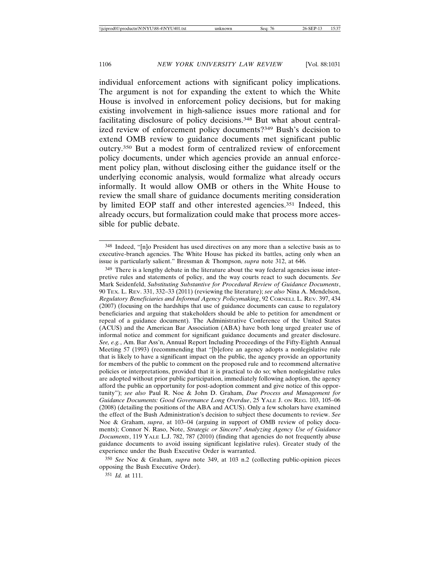individual enforcement actions with significant policy implications. The argument is not for expanding the extent to which the White House is involved in enforcement policy decisions, but for making existing involvement in high-salience issues more rational and for facilitating disclosure of policy decisions.348 But what about centralized review of enforcement policy documents?349 Bush's decision to extend OMB review to guidance documents met significant public outcry.350 But a modest form of centralized review of enforcement policy documents, under which agencies provide an annual enforcement policy plan, without disclosing either the guidance itself or the underlying economic analysis, would formalize what already occurs informally. It would allow OMB or others in the White House to review the small share of guidance documents meriting consideration by limited EOP staff and other interested agencies.351 Indeed, this already occurs, but formalization could make that process more accessible for public debate.

<sup>349</sup> There is a lengthy debate in the literature about the way federal agencies issue interpretive rules and statements of policy, and the way courts react to such documents. *See* Mark Seidenfeld, *Substituting Substantive for Procedural Review of Guidance Documents*, 90 TEX. L. REV. 331, 332–33 (2011) (reviewing the literature); *see also* Nina A. Mendelson, *Regulatory Beneficiaries and Informal Agency Policymaking*, 92 CORNELL L. REV. 397, 434 (2007) (focusing on the hardships that use of guidance documents can cause to regulatory beneficiaries and arguing that stakeholders should be able to petition for amendment or repeal of a guidance document). The Administrative Conference of the United States (ACUS) and the American Bar Association (ABA) have both long urged greater use of informal notice and comment for significant guidance documents and greater disclosure. *See, e.g.*, Am. Bar Ass'n, Annual Report Including Proceedings of the Fifty-Eighth Annual Meeting 57 (1993) (recommending that "[b]efore an agency adopts a nonlegislative rule that is likely to have a significant impact on the public, the agency provide an opportunity for members of the public to comment on the proposed rule and to recommend alternative policies or interpretations, provided that it is practical to do so; when nonlegislative rules are adopted without prior public participation, immediately following adoption, the agency afford the public an opportunity for post-adoption comment and give notice of this opportunity"); *see also* Paul R. Noe & John D. Graham, *Due Process and Management for Guidance Documents: Good Governance Long Overdue*, 25 YALE J. ON REG. 103, 105–06 (2008) (detailing the positions of the ABA and ACUS). Only a few scholars have examined the effect of the Bush Administration's decision to subject these documents to review. *See* Noe & Graham, *supra*, at 103–04 (arguing in support of OMB review of policy documents); Connor N. Raso, Note, *Strategic or Sincere? Analyzing Agency Use of Guidance Documents*, 119 YALE L.J. 782, 787 (2010) (finding that agencies do not frequently abuse guidance documents to avoid issuing significant legislative rules). Greater study of the experience under the Bush Executive Order is warranted.

350 *See* Noe & Graham, *supra* note 349, at 103 n.2 (collecting public-opinion pieces opposing the Bush Executive Order).

351 *Id.* at 111.

<sup>348</sup> Indeed, "[n]o President has used directives on any more than a selective basis as to executive-branch agencies. The White House has picked its battles, acting only when an issue is particularly salient." Bressman & Thompson, *supra* note 312, at 646.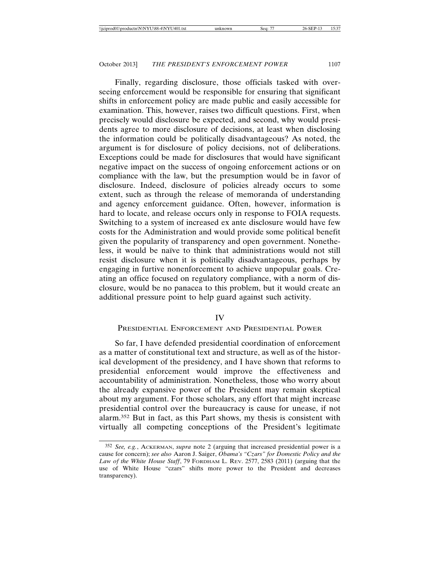Finally, regarding disclosure, those officials tasked with overseeing enforcement would be responsible for ensuring that significant shifts in enforcement policy are made public and easily accessible for examination. This, however, raises two difficult questions. First, when precisely would disclosure be expected, and second, why would presidents agree to more disclosure of decisions, at least when disclosing the information could be politically disadvantageous? As noted, the argument is for disclosure of policy decisions, not of deliberations. Exceptions could be made for disclosures that would have significant negative impact on the success of ongoing enforcement actions or on compliance with the law, but the presumption would be in favor of disclosure. Indeed, disclosure of policies already occurs to some extent, such as through the release of memoranda of understanding and agency enforcement guidance. Often, however, information is hard to locate, and release occurs only in response to FOIA requests. Switching to a system of increased ex ante disclosure would have few costs for the Administration and would provide some political benefit given the popularity of transparency and open government. Nonetheless, it would be naïve to think that administrations would not still resist disclosure when it is politically disadvantageous, perhaps by engaging in furtive nonenforcement to achieve unpopular goals. Creating an office focused on regulatory compliance, with a norm of disclosure, would be no panacea to this problem, but it would create an additional pressure point to help guard against such activity.

#### IV

### PRESIDENTIAL ENFORCEMENT AND PRESIDENTIAL POWER

So far, I have defended presidential coordination of enforcement as a matter of constitutional text and structure, as well as of the historical development of the presidency, and I have shown that reforms to presidential enforcement would improve the effectiveness and accountability of administration. Nonetheless, those who worry about the already expansive power of the President may remain skeptical about my argument. For those scholars, any effort that might increase presidential control over the bureaucracy is cause for unease, if not alarm.352 But in fact, as this Part shows, my thesis is consistent with virtually all competing conceptions of the President's legitimate

<sup>352</sup> *See, e.g.*, ACKERMAN, *supra* note 2 (arguing that increased presidential power is a cause for concern); *see also* Aaron J. Saiger, *Obama's "Czars" for Domestic Policy and the Law of the White House Staff*, 79 FORDHAM L. REV. 2577, 2583 (2011) (arguing that the use of White House "czars" shifts more power to the President and decreases transparency).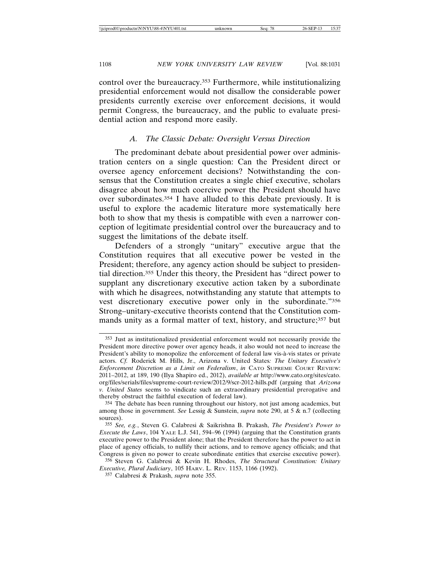control over the bureaucracy.353 Furthermore, while institutionalizing presidential enforcement would not disallow the considerable power presidents currently exercise over enforcement decisions, it would permit Congress, the bureaucracy, and the public to evaluate presidential action and respond more easily.

#### *A. The Classic Debate: Oversight Versus Direction*

The predominant debate about presidential power over administration centers on a single question: Can the President direct or oversee agency enforcement decisions? Notwithstanding the consensus that the Constitution creates a single chief executive, scholars disagree about how much coercive power the President should have over subordinates.354 I have alluded to this debate previously. It is useful to explore the academic literature more systematically here both to show that my thesis is compatible with even a narrower conception of legitimate presidential control over the bureaucracy and to suggest the limitations of the debate itself.

Defenders of a strongly "unitary" executive argue that the Constitution requires that all executive power be vested in the President; therefore, any agency action should be subject to presidential direction.355 Under this theory, the President has "direct power to supplant any discretionary executive action taken by a subordinate with which he disagrees, notwithstanding any statute that attempts to vest discretionary executive power only in the subordinate."356 Strong–unitary-executive theorists contend that the Constitution commands unity as a formal matter of text, history, and structure;357 but

<sup>353</sup> Just as institutionalized presidential enforcement would not necessarily provide the President more directive power over agency heads, it also would not need to increase the President's ability to monopolize the enforcement of federal law vis-à-vis states or private actors. *Cf.* Roderick M. Hills, Jr., Arizona v. United States*: The Unitary Executive's Enforcement Discretion as a Limit on Federalism*, *in* CATO SUPREME COURT REVIEW: 2011–2012, at 189, 190 (Ilya Shapiro ed., 2012), *available at* http://www.cato.org/sites/cato. org/files/serials/files/supreme-court-review/2012/9/scr-2012-hills.pdf (arguing that *Arizona v. United States* seems to vindicate such an extraordinary presidential prerogative and thereby obstruct the faithful execution of federal law).

<sup>354</sup> The debate has been running throughout our history, not just among academics, but among those in government. *See* Lessig & Sunstein, *supra* note 290, at 5 & n.7 (collecting sources).

<sup>355</sup> *See, e.g.*, Steven G. Calabresi & Saikrishna B. Prakash, *The President's Power to Execute the Laws*, 104 YALE L.J. 541, 594–96 (1994) (arguing that the Constitution grants executive power to the President alone; that the President therefore has the power to act in place of agency officials, to nullify their actions, and to remove agency officials; and that Congress is given no power to create subordinate entities that exercise executive power).

<sup>356</sup> Steven G. Calabresi & Kevin H. Rhodes, *The Structural Constitution: Unitary Executive, Plural Judiciary*, 105 HARV. L. REV. 1153, 1166 (1992).

<sup>357</sup> Calabresi & Prakash, *supra* note 355.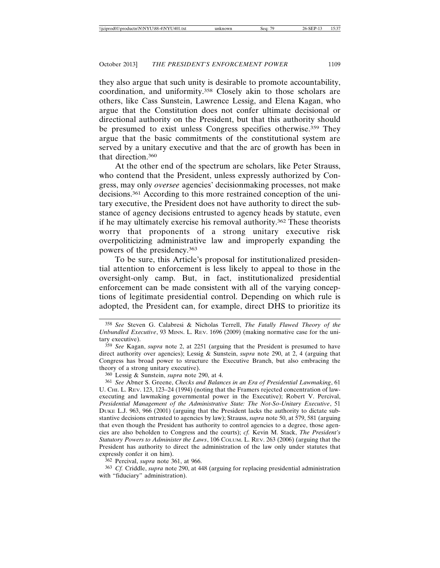they also argue that such unity is desirable to promote accountability, coordination, and uniformity.358 Closely akin to those scholars are others, like Cass Sunstein, Lawrence Lessig, and Elena Kagan, who argue that the Constitution does not confer ultimate decisional or directional authority on the President, but that this authority should be presumed to exist unless Congress specifies otherwise.<sup>359</sup> They argue that the basic commitments of the constitutional system are served by a unitary executive and that the arc of growth has been in that direction.360

At the other end of the spectrum are scholars, like Peter Strauss, who contend that the President, unless expressly authorized by Congress, may only *oversee* agencies' decisionmaking processes, not make decisions.361 According to this more restrained conception of the unitary executive, the President does not have authority to direct the substance of agency decisions entrusted to agency heads by statute, even if he may ultimately exercise his removal authority.362 These theorists worry that proponents of a strong unitary executive risk overpoliticizing administrative law and improperly expanding the powers of the presidency.363

To be sure, this Article's proposal for institutionalized presidential attention to enforcement is less likely to appeal to those in the oversight-only camp. But, in fact, institutionalized presidential enforcement can be made consistent with all of the varying conceptions of legitimate presidential control. Depending on which rule is adopted, the President can, for example, direct DHS to prioritize its

360 Lessig & Sunstein, *supra* note 290, at 4.

362 Percival, *supra* note 361, at 966.

363 *Cf.* Criddle, *supra* note 290, at 448 (arguing for replacing presidential administration with "fiduciary" administration).

<sup>358</sup> *See* Steven G. Calabresi & Nicholas Terrell, *The Fatally Flawed Theory of the Unbundled Executive*, 93 M<sub>INN</sub>. L. Rev. 1696 (2009) (making normative case for the unitary executive).

<sup>359</sup> *See* Kagan, *supra* note 2, at 2251 (arguing that the President is presumed to have direct authority over agencies); Lessig & Sunstein, *supra* note 290, at 2, 4 (arguing that Congress has broad power to structure the Executive Branch, but also embracing the theory of a strong unitary executive).

<sup>361</sup> *See* Abner S. Greene, *Checks and Balances in an Era of Presidential Lawmaking*, 61 U. CHI. L. REV. 123, 123–24 (1994) (noting that the Framers rejected concentration of lawexecuting and lawmaking governmental power in the Executive); Robert V. Percival, *Presidential Management of the Administrative State: The Not-So-Unitary Executive*, 51 DUKE L.J. 963, 966 (2001) (arguing that the President lacks the authority to dictate substantive decisions entrusted to agencies by law); Strauss, *supra* note 50, at 579, 581 (arguing that even though the President has authority to control agencies to a degree, those agencies are also beholden to Congress and the courts); *cf.* Kevin M. Stack, *The President's Statutory Powers to Administer the Laws*, 106 COLUM. L. REV. 263 (2006) (arguing that the President has authority to direct the administration of the law only under statutes that expressly confer it on him).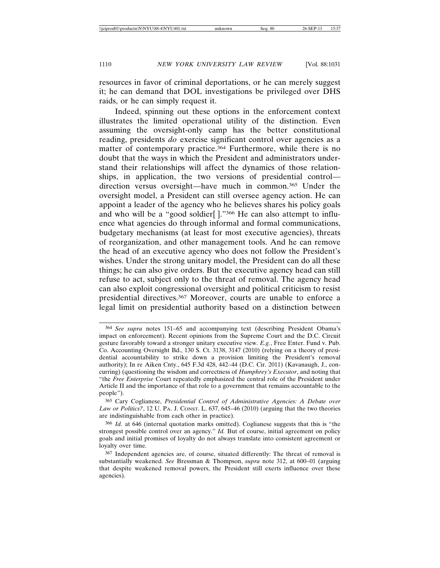resources in favor of criminal deportations, or he can merely suggest it; he can demand that DOL investigations be privileged over DHS raids, or he can simply request it.

Indeed, spinning out these options in the enforcement context illustrates the limited operational utility of the distinction. Even assuming the oversight-only camp has the better constitutional reading, presidents *do* exercise significant control over agencies as a matter of contemporary practice.364 Furthermore, while there is no doubt that the ways in which the President and administrators understand their relationships will affect the dynamics of those relationships, in application, the two versions of presidential control direction versus oversight—have much in common.365 Under the oversight model, a President can still oversee agency action. He can appoint a leader of the agency who he believes shares his policy goals and who will be a "good soldier[ ]."366 He can also attempt to influence what agencies do through informal and formal communications, budgetary mechanisms (at least for most executive agencies), threats of reorganization, and other management tools. And he can remove the head of an executive agency who does not follow the President's wishes. Under the strong unitary model, the President can do all these things; he can also give orders. But the executive agency head can still refuse to act, subject only to the threat of removal. The agency head can also exploit congressional oversight and political criticism to resist presidential directives.367 Moreover, courts are unable to enforce a legal limit on presidential authority based on a distinction between

<sup>364</sup> *See supra* notes 151–65 and accompanying text (describing President Obama's impact on enforcement). Recent opinions from the Supreme Court and the D.C. Circuit gesture favorably toward a stronger unitary executive view. *E.g.*, Free Enter. Fund v. Pub. Co. Accounting Oversight Bd., 130 S. Ct. 3138, 3147 (2010) (relying on a theory of presidential accountability to strike down a provision limiting the President's removal authority); In re Aiken Cnty., 645 F.3d 428, 442–44 (D.C. Cir. 2011) (Kavanaugh, J., concurring) (questioning the wisdom and correctness of *Humphrey's Executor*, and noting that "the *Free Enterprise* Court repeatedly emphasized the central role of the President under Article II and the importance of that role to a government that remains accountable to the people").

<sup>365</sup> Cary Coglianese, *Presidential Control of Administrative Agencies: A Debate over Law or Politics?*, 12 U. PA. J. CONST. L. 637, 645–46 (2010) (arguing that the two theories are indistinguishable from each other in practice).

<sup>366</sup> *Id.* at 646 (internal quotation marks omitted). Coglianese suggests that this is "the strongest possible control over an agency." *Id.* But of course, initial agreement on policy goals and initial promises of loyalty do not always translate into consistent agreement or loyalty over time.

<sup>367</sup> Independent agencies are, of course, situated differently: The threat of removal is substantially weakened. *See* Bressman & Thompson, *supra* note 312, at 600–01 (arguing that despite weakened removal powers, the President still exerts influence over these agencies).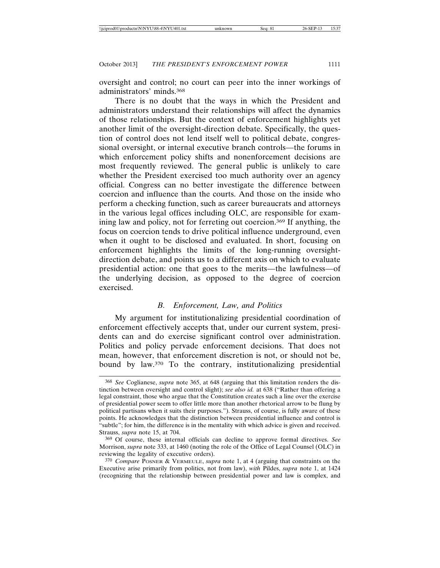oversight and control; no court can peer into the inner workings of administrators' minds.368

There is no doubt that the ways in which the President and administrators understand their relationships will affect the dynamics of those relationships. But the context of enforcement highlights yet another limit of the oversight-direction debate. Specifically, the question of control does not lend itself well to political debate, congressional oversight, or internal executive branch controls—the forums in which enforcement policy shifts and nonenforcement decisions are most frequently reviewed. The general public is unlikely to care whether the President exercised too much authority over an agency official. Congress can no better investigate the difference between coercion and influence than the courts. And those on the inside who perform a checking function, such as career bureaucrats and attorneys in the various legal offices including OLC, are responsible for examining law and policy, not for ferreting out coercion.369 If anything, the focus on coercion tends to drive political influence underground, even when it ought to be disclosed and evaluated. In short, focusing on enforcement highlights the limits of the long-running oversightdirection debate, and points us to a different axis on which to evaluate presidential action: one that goes to the merits—the lawfulness—of the underlying decision, as opposed to the degree of coercion exercised.

# *B. Enforcement, Law, and Politics*

My argument for institutionalizing presidential coordination of enforcement effectively accepts that, under our current system, presidents can and do exercise significant control over administration. Politics and policy pervade enforcement decisions. That does not mean, however, that enforcement discretion is not, or should not be, bound by law.370 To the contrary, institutionalizing presidential

<sup>368</sup> *See* Coglianese, *supra* note 365, at 648 (arguing that this limitation renders the distinction between oversight and control slight); *see also id.* at 638 ("Rather than offering a legal constraint, those who argue that the Constitution creates such a line over the exercise of presidential power seem to offer little more than another rhetorical arrow to be flung by political partisans when it suits their purposes."). Strauss, of course, is fully aware of these points. He acknowledges that the distinction between presidential influence and control is "subtle"; for him, the difference is in the mentality with which advice is given and received. Strauss, *supra* note 15, at 704.

<sup>369</sup> Of course, these internal officials can decline to approve formal directives. *See* Morrison, *supra* note 333, at 1460 (noting the role of the Office of Legal Counsel (OLC) in reviewing the legality of executive orders).

<sup>370</sup> *Compare* POSNER & VERMEULE, *supra* note 1, at 4 (arguing that constraints on the Executive arise primarily from politics, not from law), *with* Pildes, *supra* note 1, at 1424 (recognizing that the relationship between presidential power and law is complex, and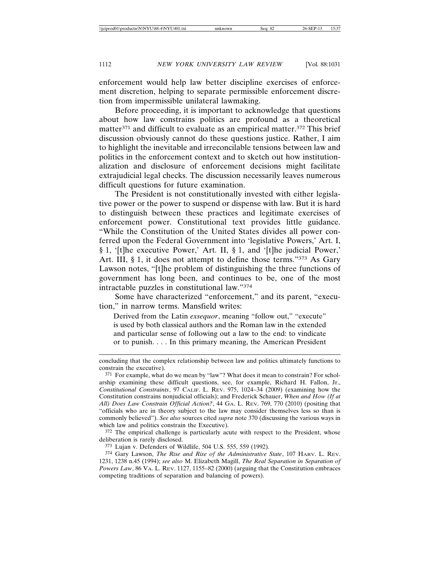enforcement would help law better discipline exercises of enforcement discretion, helping to separate permissible enforcement discretion from impermissible unilateral lawmaking.

Before proceeding, it is important to acknowledge that questions about how law constrains politics are profound as a theoretical matter<sup>371</sup> and difficult to evaluate as an empirical matter.<sup>372</sup> This brief discussion obviously cannot do these questions justice. Rather, I aim to highlight the inevitable and irreconcilable tensions between law and politics in the enforcement context and to sketch out how institutionalization and disclosure of enforcement decisions might facilitate extrajudicial legal checks. The discussion necessarily leaves numerous difficult questions for future examination.

The President is not constitutionally invested with either legislative power or the power to suspend or dispense with law. But it is hard to distinguish between these practices and legitimate exercises of enforcement power. Constitutional text provides little guidance. "While the Constitution of the United States divides all power conferred upon the Federal Government into 'legislative Powers,' Art. I, § 1, '[t]he executive Power,' Art. II, § 1, and '[t]he judicial Power,' Art. III, § 1, it does not attempt to define those terms."373 As Gary Lawson notes, "[t]he problem of distinguishing the three functions of government has long been, and continues to be, one of the most intractable puzzles in constitutional law."374

Some have characterized "enforcement," and its parent, "execution," in narrow terms. Mansfield writes:

Derived from the Latin *exsequor*, meaning "follow out," "execute" is used by both classical authors and the Roman law in the extended and particular sense of following out a law to the end: to vindicate or to punish. . . . In this primary meaning, the American President

372 The empirical challenge is particularly acute with respect to the President, whose deliberation is rarely disclosed.

concluding that the complex relationship between law and politics ultimately functions to constrain the executive).

<sup>371</sup> For example, what do we mean by "law"? What does it mean to constrain? For scholarship examining these difficult questions, see, for example, Richard H. Fallon, Jr., *Constitutional Constraints*, 97 CALIF. L. REV. 975, 1024–34 (2009) (examining how the Constitution constrains nonjudicial officials); and Frederick Schauer, *When and How (If at All) Does Law Constrain Official Action?*, 44 GA. L. REV. 769, 770 (2010) (positing that "officials who are in theory subject to the law may consider themselves less so than is commonly believed"). *See also* sources cited *supra* note 370 (discussing the various ways in which law and politics constrain the Executive).

<sup>373</sup> Lujan v. Defenders of Wildlife, 504 U.S. 555, 559 (1992).

<sup>374</sup> Gary Lawson, *The Rise and Rise of the Administrative State*, 107 HARV. L. REV. 1231, 1238 n.45 (1994); *see also* M. Elizabeth Magill, *The Real Separation in Separation of Powers Law*, 86 VA. L. REV. 1127, 1155–82 (2000) (arguing that the Constitution embraces competing traditions of separation and balancing of powers).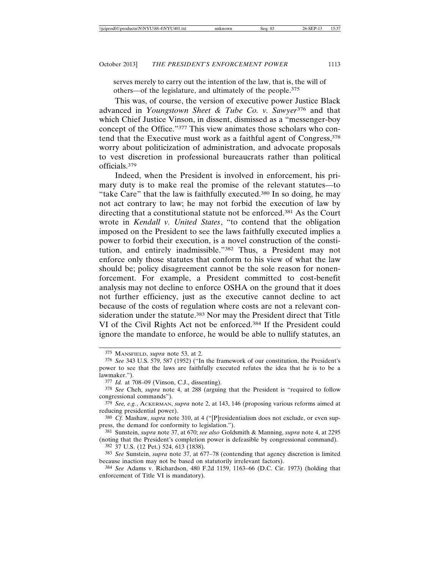serves merely to carry out the intention of the law, that is, the will of others—of the legislature, and ultimately of the people.375

This was, of course, the version of executive power Justice Black advanced in *Youngstown Sheet & Tube Co. v. Sawyer*<sup>376</sup> and that which Chief Justice Vinson, in dissent, dismissed as a "messenger-boy concept of the Office."377 This view animates those scholars who contend that the Executive must work as a faithful agent of Congress,  $378$ worry about politicization of administration, and advocate proposals to vest discretion in professional bureaucrats rather than political officials.379

Indeed, when the President is involved in enforcement, his primary duty is to make real the promise of the relevant statutes—to "take Care" that the law is faithfully executed.380 In so doing, he may not act contrary to law; he may not forbid the execution of law by directing that a constitutional statute not be enforced.381 As the Court wrote in *Kendall v. United States*, "to contend that the obligation imposed on the President to see the laws faithfully executed implies a power to forbid their execution, is a novel construction of the constitution, and entirely inadmissible."382 Thus, a President may not enforce only those statutes that conform to his view of what the law should be; policy disagreement cannot be the sole reason for nonenforcement. For example, a President committed to cost-benefit analysis may not decline to enforce OSHA on the ground that it does not further efficiency, just as the executive cannot decline to act because of the costs of regulation where costs are not a relevant consideration under the statute.<sup>383</sup> Nor may the President direct that Title VI of the Civil Rights Act not be enforced.384 If the President could ignore the mandate to enforce, he would be able to nullify statutes, an

382 37 U.S. (12 Pet.) 524, 613 (1838).

<sup>375</sup> MANSFIELD, *supra* note 53, at 2.

<sup>376</sup> *See* 343 U.S. 579, 587 (1952) ("In the framework of our constitution, the President's power to see that the laws are faithfully executed refutes the idea that he is to be a lawmaker.").

<sup>377</sup> *Id.* at 708–09 (Vinson, C.J., dissenting).

<sup>378</sup> *See* Cheh, *supra* note 4, at 288 (arguing that the President is "required to follow congressional commands").

<sup>379</sup> *See, e.g.*, ACKERMAN, *supra* note 2, at 143, 146 (proposing various reforms aimed at reducing presidential power).

<sup>380</sup> *Cf.* Mashaw, *supra* note 310, at 4 ("[P]residentialism does not exclude, or even suppress, the demand for conformity to legislation.").

<sup>381</sup> Sunstein, *supra* note 37, at 670; *see also* Goldsmith & Manning, *supra* note 4, at 2295 (noting that the President's completion power is defeasible by congressional command).

<sup>383</sup> *See* Sunstein, *supra* note 37, at 677–78 (contending that agency discretion is limited because inaction may not be based on statutorily irrelevant factors).

<sup>384</sup> *See* Adams v. Richardson, 480 F.2d 1159, 1163–66 (D.C. Cir. 1973) (holding that enforcement of Title VI is mandatory).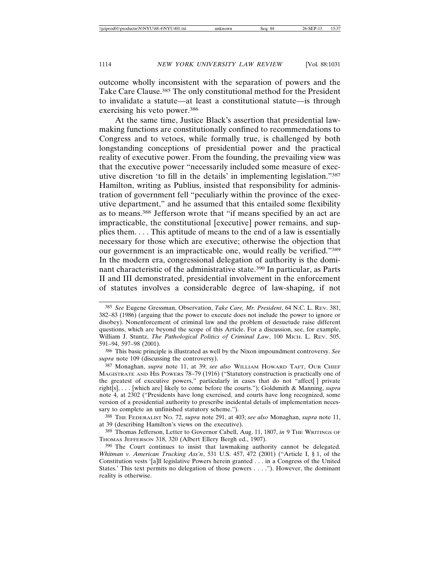outcome wholly inconsistent with the separation of powers and the Take Care Clause.385 The only constitutional method for the President to invalidate a statute—at least a constitutional statute—is through exercising his veto power.386

At the same time, Justice Black's assertion that presidential lawmaking functions are constitutionally confined to recommendations to Congress and to vetoes, while formally true, is challenged by both longstanding conceptions of presidential power and the practical reality of executive power. From the founding, the prevailing view was that the executive power "necessarily included some measure of executive discretion 'to fill in the details' in implementing legislation."387 Hamilton, writing as Publius, insisted that responsibility for administration of government fell "peculiarly within the province of the executive department," and he assumed that this entailed some flexibility as to means.388 Jefferson wrote that "if means specified by an act are impracticable, the constitutional [executive] power remains, and supplies them. . . . This aptitude of means to the end of a law is essentially necessary for those which are executive; otherwise the objection that our government is an impracticable one, would really be verified."389 In the modern era, congressional delegation of authority is the dominant characteristic of the administrative state.390 In particular, as Parts II and III demonstrated, presidential involvement in the enforcement of statutes involves a considerable degree of law-shaping, if not

<sup>385</sup> *See* Eugene Gressman, Observation, *Take Care, Mr. President*, 64 N.C. L. REV. 381, 382–83 (1986) (arguing that the power to execute does not include the power to ignore or disobey). Nonenforcement of criminal law and the problem of desuetude raise different questions, which are beyond the scope of this Article. For a discussion, see, for example, William J. Stuntz, *The Pathological Politics of Criminal Law*, 100 MICH. L. REV. 505, 591–94, 597–98 (2001).

<sup>386</sup> This basic principle is illustrated as well by the Nixon impoundment controversy. *See supra* note 109 (discussing the controversy).

<sup>387</sup> Monaghan, *supra* note 11, at 39; *see also* WILLIAM HOWARD TAFT, OUR CHIEF MAGISTRATE AND HIS POWERS 78–79 (1916) ("Statutory construction is practically one of the greatest of executive powers," particularly in cases that do not "affect[ ] private right[s], . . . [which are] likely to come before the courts."); Goldsmith & Manning, *supra* note 4, at 2302 ("Presidents have long exercised, and courts have long recognized, some version of a presidential authority to prescribe incidental details of implementation necessary to complete an unfinished statutory scheme.").

<sup>388</sup> THE FEDERALIST NO. 72, *supra* note 291, at 403; *see also* Monaghan, *supra* note 11, at 39 (describing Hamilton's views on the executive).

<sup>389</sup> Thomas Jefferson, Letter to Governor Cabell, Aug. 11, 1807, *in* 9 THE WRITINGS OF THOMAS JEFFERSON 318, 320 (Albert Ellery Bergh ed., 1907).

<sup>390</sup> The Court continues to insist that lawmaking authority cannot be delegated. *Whitman v. American Trucking Ass'n*, 531 U.S. 457, 472 (2001) ("Article I, § 1, of the Constitution vests '[a]ll legislative Powers herein granted . . . in a Congress of the United States.' This text permits no delegation of those powers . . . ."). However, the dominant reality is otherwise.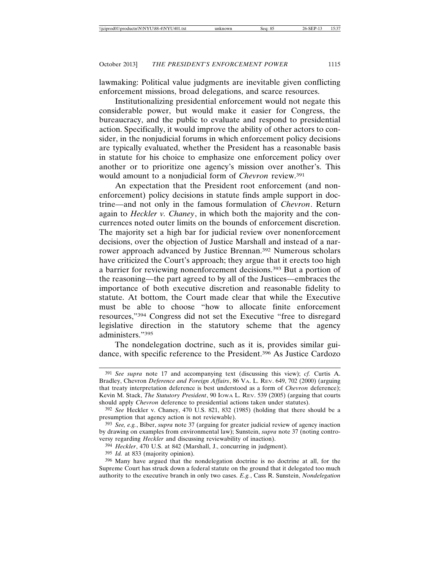lawmaking: Political value judgments are inevitable given conflicting enforcement missions, broad delegations, and scarce resources.

Institutionalizing presidential enforcement would not negate this considerable power, but would make it easier for Congress, the bureaucracy, and the public to evaluate and respond to presidential action. Specifically, it would improve the ability of other actors to consider, in the nonjudicial forums in which enforcement policy decisions are typically evaluated, whether the President has a reasonable basis in statute for his choice to emphasize one enforcement policy over another or to prioritize one agency's mission over another's. This would amount to a nonjudicial form of *Chevron* review.391

An expectation that the President root enforcement (and nonenforcement) policy decisions in statute finds ample support in doctrine—and not only in the famous formulation of *Chevron*. Return again to *Heckler v. Chaney*, in which both the majority and the concurrences noted outer limits on the bounds of enforcement discretion. The majority set a high bar for judicial review over nonenforcement decisions, over the objection of Justice Marshall and instead of a narrower approach advanced by Justice Brennan.392 Numerous scholars have criticized the Court's approach; they argue that it erects too high a barrier for reviewing nonenforcement decisions.393 But a portion of the reasoning—the part agreed to by all of the Justices—embraces the importance of both executive discretion and reasonable fidelity to statute. At bottom, the Court made clear that while the Executive must be able to choose "how to allocate finite enforcement resources,"394 Congress did not set the Executive "free to disregard legislative direction in the statutory scheme that the agency administers."395

The nondelegation doctrine, such as it is, provides similar guidance, with specific reference to the President.396 As Justice Cardozo

<sup>391</sup> *See supra* note 17 and accompanying text (discussing this view); *cf.* Curtis A. Bradley, Chevron *Deference and Foreign Affairs*, 86 VA. L. REV. 649, 702 (2000) (arguing that treaty interpretation deference is best understood as a form of *Chevron* deference); Kevin M. Stack, *The Statutory President*, 90 IOWA L. REV. 539 (2005) (arguing that courts should apply *Chevron* deference to presidential actions taken under statutes).

<sup>392</sup> *See* Heckler v. Chaney, 470 U.S. 821, 832 (1985) (holding that there should be a presumption that agency action is not reviewable).

<sup>393</sup> *See, e.g.*, Biber, *supra* note 37 (arguing for greater judicial review of agency inaction by drawing on examples from environmental law); Sunstein, *supra* note 37 (noting controversy regarding *Heckler* and discussing reviewability of inaction).

<sup>394</sup> *Heckler*, 470 U.S. at 842 (Marshall, J., concurring in judgment).

<sup>395</sup> *Id.* at 833 (majority opinion).

<sup>396</sup> Many have argued that the nondelegation doctrine is no doctrine at all, for the Supreme Court has struck down a federal statute on the ground that it delegated too much authority to the executive branch in only two cases. *E.g.*, Cass R. Sunstein, *Nondelegation*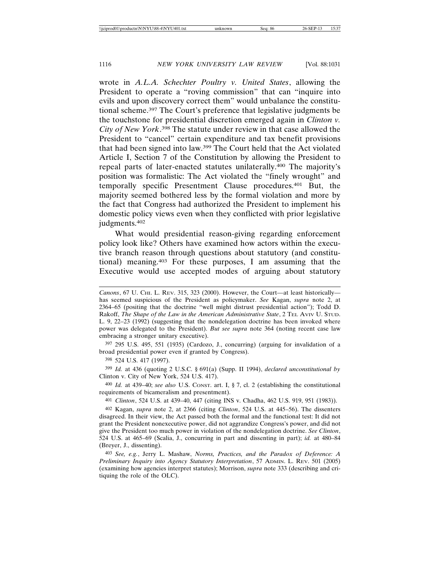wrote in *A.L.A. Schechter Poultry v. United States*, allowing the President to operate a "roving commission" that can "inquire into evils and upon discovery correct them" would unbalance the constitutional scheme.397 The Court's preference that legislative judgments be the touchstone for presidential discretion emerged again in *Clinton v. City of New York*. 398 The statute under review in that case allowed the President to "cancel" certain expenditure and tax benefit provisions that had been signed into law.399 The Court held that the Act violated Article I, Section 7 of the Constitution by allowing the President to repeal parts of later-enacted statutes unilaterally.400 The majority's position was formalistic: The Act violated the "finely wrought" and temporally specific Presentment Clause procedures.401 But, the majority seemed bothered less by the formal violation and more by the fact that Congress had authorized the President to implement his domestic policy views even when they conflicted with prior legislative judgments.402

What would presidential reason-giving regarding enforcement policy look like? Others have examined how actors within the executive branch reason through questions about statutory (and constitutional) meaning.403 For these purposes, I am assuming that the Executive would use accepted modes of arguing about statutory

397 295 U.S. 495, 551 (1935) (Cardozo, J., concurring) (arguing for invalidation of a broad presidential power even if granted by Congress).

399 *Id.* at 436 (quoting 2 U.S.C. § 691(a) (Supp. II 1994), *declared unconstitutional by* Clinton v. City of New York, 524 U.S. 417).

400 *Id.* at 439–40; *see also* U.S. CONST. art. I, § 7, cl. 2 (establishing the constitutional requirements of bicameralism and presentment).

401 *Clinton*, 524 U.S. at 439–40, 447 (citing INS v. Chadha, 462 U.S. 919, 951 (1983)).

402 Kagan, *supra* note 2, at 2366 (citing *Clinton*, 524 U.S. at 445–56). The dissenters disagreed. In their view, the Act passed both the formal and the functional test: It did not grant the President nonexecutive power, did not aggrandize Congress's power, and did not give the President too much power in violation of the nondelegation doctrine. *See Clinton*, 524 U.S. at 465–69 (Scalia, J., concurring in part and dissenting in part); *id.* at 480–84 (Breyer, J., dissenting).

403 *See, e.g.*, Jerry L. Mashaw, *Norms, Practices, and the Paradox of Deference: A Preliminary Inquiry into Agency Statutory Interpretation*, 57 ADMIN. L. REV. 501 (2005) (examining how agencies interpret statutes); Morrison, *supra* note 333 (describing and critiquing the role of the OLC).

*Canons*, 67 U. CHI. L. REV. 315, 323 (2000). However, the Court—at least historically has seemed suspicious of the President as policymaker. *See* Kagan, *supra* note 2, at 2364–65 (positing that the doctrine "well might distrust presidential action"); Todd D. Rakoff, *The Shape of the Law in the American Administrative State*, 2 TEL AVIV U. STUD. L. 9, 22–23 (1992) (suggesting that the nondelegation doctrine has been invoked where power was delegated to the President). *But see supra* note 364 (noting recent case law embracing a stronger unitary executive).

<sup>398</sup> 524 U.S. 417 (1997).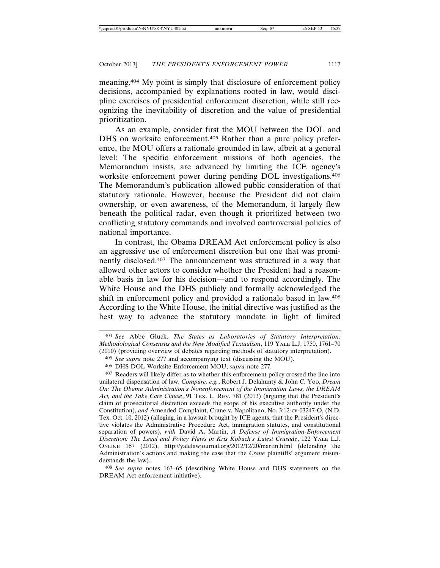meaning.404 My point is simply that disclosure of enforcement policy decisions, accompanied by explanations rooted in law, would discipline exercises of presidential enforcement discretion, while still recognizing the inevitability of discretion and the value of presidential prioritization.

As an example, consider first the MOU between the DOL and DHS on worksite enforcement.<sup>405</sup> Rather than a pure policy preference, the MOU offers a rationale grounded in law, albeit at a general level: The specific enforcement missions of both agencies, the Memorandum insists, are advanced by limiting the ICE agency's worksite enforcement power during pending DOL investigations.406 The Memorandum's publication allowed public consideration of that statutory rationale. However, because the President did not claim ownership, or even awareness, of the Memorandum, it largely flew beneath the political radar, even though it prioritized between two conflicting statutory commands and involved controversial policies of national importance.

In contrast, the Obama DREAM Act enforcement policy is also an aggressive use of enforcement discretion but one that was prominently disclosed.407 The announcement was structured in a way that allowed other actors to consider whether the President had a reasonable basis in law for his decision—and to respond accordingly. The White House and the DHS publicly and formally acknowledged the shift in enforcement policy and provided a rationale based in law.408 According to the White House, the initial directive was justified as the best way to advance the statutory mandate in light of limited

408 *See supra* notes 163–65 (describing White House and DHS statements on the DREAM Act enforcement initiative).

<sup>404</sup> *See* Abbe Gluck, *The States as Laboratories of Statutory Interpretation: Methodological Consensus and the New Modified Textualism*, 119 YALE L.J. 1750, 1761–70 (2010) (providing overview of debates regarding methods of statutory interpretation).

<sup>405</sup> *See supra* note 277 and accompanying text (discussing the MOU).

<sup>406</sup> DHS-DOL Worksite Enforcement MOU, *supra* note 277.

<sup>407</sup> Readers will likely differ as to whether this enforcement policy crossed the line into unilateral dispensation of law. *Compare, e.g.*, Robert J. Delahunty & John C. Yoo, *Dream On: The Obama Administration's Nonenforcement of the Immigration Laws, the DREAM Act, and the Take Care Clause*, 91 TEX. L. REV. 781 (2013) (arguing that the President's claim of prosecutorial discretion exceeds the scope of his executive authority under the Constitution), *and* Amended Complaint, Crane v. Napolitano, No. 3:12-cv-03247-O, (N.D. Tex. Oct. 10, 2012) (alleging, in a lawsuit brought by ICE agents, that the President's directive violates the Administrative Procedure Act, immigration statutes, and constitutional separation of powers), *with* David A. Martin, *A Defense of Immigration-Enforcement Discretion: The Legal and Policy Flaws in Kris Kobach's Latest Crusade*, 122 YALE L.J. ONLINE 167 (2012), http://yalelawjournal.org/2012/12/20/martin.html (defending the Administration's actions and making the case that the *Crane* plaintiffs' argument misunderstands the law).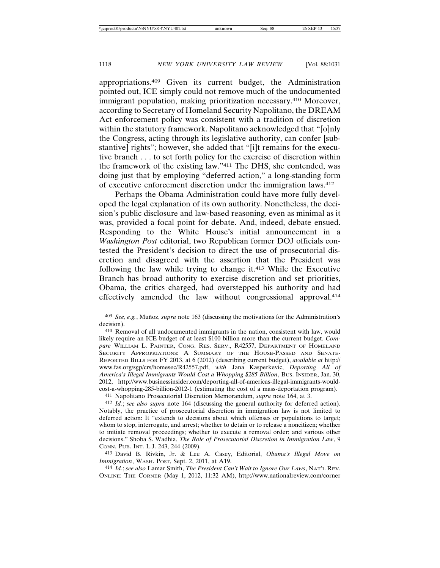appropriations.409 Given its current budget, the Administration pointed out, ICE simply could not remove much of the undocumented immigrant population, making prioritization necessary.<sup>410</sup> Moreover, according to Secretary of Homeland Security Napolitano, the DREAM Act enforcement policy was consistent with a tradition of discretion within the statutory framework. Napolitano acknowledged that "[o]nly the Congress, acting through its legislative authority, can confer [substantive] rights"; however, she added that "[i]t remains for the executive branch . . . to set forth policy for the exercise of discretion within the framework of the existing law."411 The DHS, she contended, was doing just that by employing "deferred action," a long-standing form of executive enforcement discretion under the immigration laws.412

Perhaps the Obama Administration could have more fully developed the legal explanation of its own authority. Nonetheless, the decision's public disclosure and law-based reasoning, even as minimal as it was, provided a focal point for debate. And, indeed, debate ensued. Responding to the White House's initial announcement in a *Washington Post* editorial, two Republican former DOJ officials contested the President's decision to direct the use of prosecutorial discretion and disagreed with the assertion that the President was following the law while trying to change it.413 While the Executive Branch has broad authority to exercise discretion and set priorities, Obama, the critics charged, had overstepped his authority and had effectively amended the law without congressional approval.414

411 Napolitano Prosecutorial Discretion Memorandum, *supra* note 164, at 3.

414 *Id.*; *see also* Lamar Smith, *The President Can't Wait to Ignore Our Laws*, NAT'L REV. ONLINE: THE CORNER (May 1, 2012, 11:32 AM), http://www.nationalreview.com/corner

<sup>&</sup>lt;sup>409</sup> *See, e.g.*, Muñoz, *supra* note 163 (discussing the motivations for the Administration's decision).

<sup>410</sup> Removal of all undocumented immigrants in the nation, consistent with law, would likely require an ICE budget of at least \$100 billion more than the current budget. *Compare* WILLIAM L. PAINTER, CONG. RES. SERV., R42557, DEPARTMENT OF HOMELAND SECURITY APPROPRIATIONS: A SUMMARY OF THE HOUSE-PASSED AND SENATE-REPORTED BILLS FOR FY 2013, at 6 (2012) (describing current budget), *available at* http:// www.fas.org/sgp/crs/homesec/R42557.pdf, *with* Jana Kasperkevic, *Deporting All of America's Illegal Immigrants Would Cost a Whopping \$285 Billion*, BUS. INSIDER, Jan. 30, 2012, http://www.businessinsider.com/deporting-all-of-americas-illegal-immigrants-wouldcost-a-whopping-285-billion-2012-1 (estimating the cost of a mass-deportation program).

<sup>412</sup> *Id.*; *see also supra* note 164 (discussing the general authority for deferred action). Notably, the practice of prosecutorial discretion in immigration law is not limited to deferred action: It "extends to decisions about which offenses or populations to target; whom to stop, interrogate, and arrest; whether to detain or to release a noncitizen; whether to initiate removal proceedings; whether to execute a removal order; and various other decisions." Shoba S. Wadhia, *The Role of Prosecutorial Discretion in Immigration Law*, 9 CONN. PUB. INT. L.J. 243, 244 (2009).

<sup>413</sup> David B. Rivkin, Jr. & Lee A. Casey, Editorial, *Obama's Illegal Move on Immigration*, WASH. POST, Sept. 2, 2011, at A19.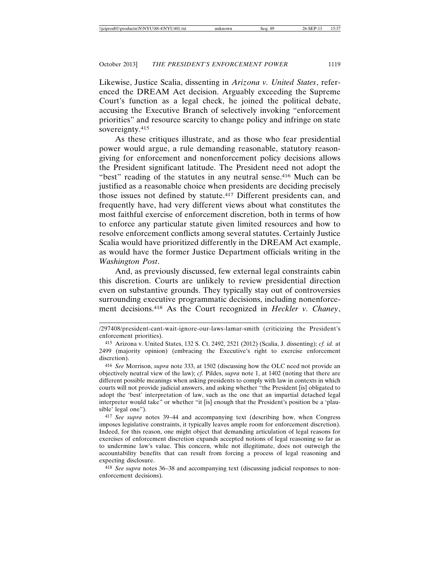Likewise, Justice Scalia, dissenting in *Arizona v. United States*, referenced the DREAM Act decision. Arguably exceeding the Supreme Court's function as a legal check, he joined the political debate, accusing the Executive Branch of selectively invoking "enforcement priorities" and resource scarcity to change policy and infringe on state sovereignty.<sup>415</sup>

As these critiques illustrate, and as those who fear presidential power would argue, a rule demanding reasonable, statutory reasongiving for enforcement and nonenforcement policy decisions allows the President significant latitude. The President need not adopt the "best" reading of the statutes in any neutral sense.<sup>416</sup> Much can be justified as a reasonable choice when presidents are deciding precisely those issues not defined by statute.<sup>417</sup> Different presidents can, and frequently have, had very different views about what constitutes the most faithful exercise of enforcement discretion, both in terms of how to enforce any particular statute given limited resources and how to resolve enforcement conflicts among several statutes. Certainly Justice Scalia would have prioritized differently in the DREAM Act example, as would have the former Justice Department officials writing in the *Washington Post*.

And, as previously discussed, few external legal constraints cabin this discretion. Courts are unlikely to review presidential direction even on substantive grounds. They typically stay out of controversies surrounding executive programmatic decisions, including nonenforcement decisions.418 As the Court recognized in *Heckler v. Chaney*,

417 *See supra* notes 39–44 and accompanying text (describing how, when Congress imposes legislative constraints, it typically leaves ample room for enforcement discretion). Indeed, for this reason, one might object that demanding articulation of legal reasons for exercises of enforcement discretion expands accepted notions of legal reasoning so far as to undermine law's value. This concern, while not illegitimate, does not outweigh the accountability benefits that can result from forcing a process of legal reasoning and expecting disclosure.

418 *See supra* notes 36–38 and accompanying text (discussing judicial responses to nonenforcement decisions).

<sup>/297408/</sup>president-cant-wait-ignore-our-laws-lamar-smith (criticizing the President's enforcement priorities).

<sup>415</sup> Arizona v. United States, 132 S. Ct. 2492, 2521 (2012) (Scalia, J. dissenting); *cf. id.* at 2499 (majority opinion) (embracing the Executive's right to exercise enforcement discretion).

<sup>416</sup> *See* Morrison, *supra* note 333, at 1502 (discussing how the OLC need not provide an objectively neutral view of the law); *cf.* Pildes, *supra* note 1, at 1402 (noting that there are different possible meanings when asking presidents to comply with law in contexts in which courts will not provide judicial answers, and asking whether "the President [is] obligated to adopt the 'best' interpretation of law, such as the one that an impartial detached legal interpreter would take" or whether "it [is] enough that the President's position be a 'plausible' legal one").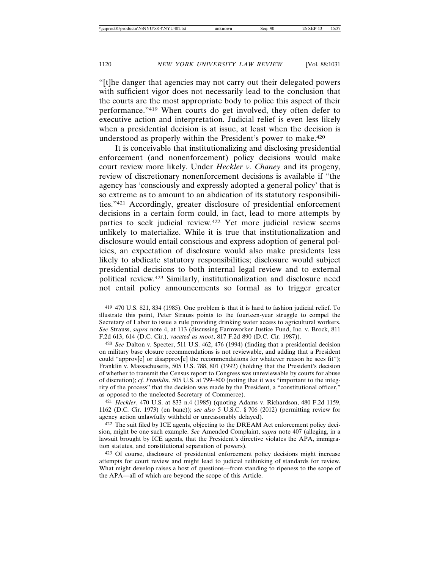"[t]he danger that agencies may not carry out their delegated powers with sufficient vigor does not necessarily lead to the conclusion that the courts are the most appropriate body to police this aspect of their performance."419 When courts do get involved, they often defer to executive action and interpretation. Judicial relief is even less likely when a presidential decision is at issue, at least when the decision is understood as properly within the President's power to make.420

It is conceivable that institutionalizing and disclosing presidential enforcement (and nonenforcement) policy decisions would make court review more likely. Under *Heckler v. Chaney* and its progeny, review of discretionary nonenforcement decisions is available if "the agency has 'consciously and expressly adopted a general policy' that is so extreme as to amount to an abdication of its statutory responsibilities."421 Accordingly, greater disclosure of presidential enforcement decisions in a certain form could, in fact, lead to more attempts by parties to seek judicial review.422 Yet more judicial review seems unlikely to materialize. While it is true that institutionalization and disclosure would entail conscious and express adoption of general policies, an expectation of disclosure would also make presidents less likely to abdicate statutory responsibilities; disclosure would subject presidential decisions to both internal legal review and to external political review.423 Similarly, institutionalization and disclosure need not entail policy announcements so formal as to trigger greater

421 *Heckler*, 470 U.S. at 833 n.4 (1985) (quoting Adams v. Richardson, 480 F.2d 1159, 1162 (D.C. Cir. 1973) (en banc)); *see also* 5 U.S.C. § 706 (2012) (permitting review for agency action unlawfully withheld or unreasonably delayed).

422 The suit filed by ICE agents, objecting to the DREAM Act enforcement policy decision, might be one such example. *See* Amended Complaint, *supra* note 407 (alleging, in a lawsuit brought by ICE agents, that the President's directive violates the APA, immigration statutes, and constitutional separation of powers).

423 Of course, disclosure of presidential enforcement policy decisions might increase attempts for court review and might lead to judicial rethinking of standards for review. What might develop raises a host of questions—from standing to ripeness to the scope of the APA—all of which are beyond the scope of this Article.

<sup>419</sup> 470 U.S. 821, 834 (1985). One problem is that it is hard to fashion judicial relief. To illustrate this point, Peter Strauss points to the fourteen-year struggle to compel the Secretary of Labor to issue a rule providing drinking water access to agricultural workers. *See* Strauss, *supra* note 4, at 113 (discussing Farmworker Justice Fund, Inc. v. Brock, 811 F.2d 613, 614 (D.C. Cir.), *vacated as moot*, 817 F.2d 890 (D.C. Cir. 1987)).

<sup>420</sup> *See* Dalton v. Specter, 511 U.S. 462, 476 (1994) (finding that a presidential decision on military base closure recommendations is not reviewable, and adding that a President could "approv $[e]$  or disapprov $[e]$  the recommendations for whatever reason he sees fit"); Franklin v. Massachusetts, 505 U.S. 788, 801 (1992) (holding that the President's decision of whether to transmit the Census report to Congress was unreviewable by courts for abuse of discretion); *cf. Franklin*, 505 U.S. at 799–800 (noting that it was "important to the integrity of the process" that the decision was made by the President, a "constitutional officer," as opposed to the unelected Secretary of Commerce).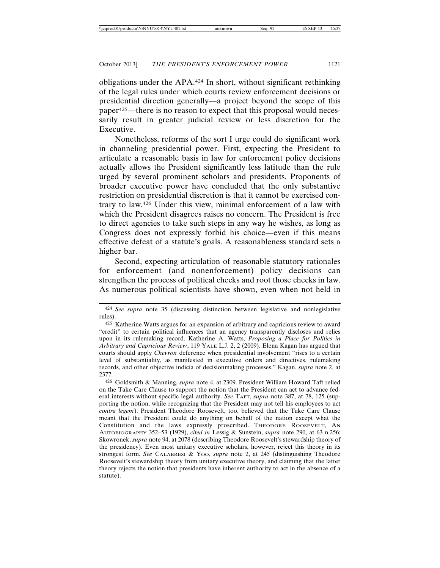obligations under the APA.424 In short, without significant rethinking of the legal rules under which courts review enforcement decisions or presidential direction generally—a project beyond the scope of this paper425—there is no reason to expect that this proposal would necessarily result in greater judicial review or less discretion for the Executive.

Nonetheless, reforms of the sort I urge could do significant work in channeling presidential power. First, expecting the President to articulate a reasonable basis in law for enforcement policy decisions actually allows the President significantly less latitude than the rule urged by several prominent scholars and presidents. Proponents of broader executive power have concluded that the only substantive restriction on presidential discretion is that it cannot be exercised contrary to law.426 Under this view, minimal enforcement of a law with which the President disagrees raises no concern. The President is free to direct agencies to take such steps in any way he wishes, as long as Congress does not expressly forbid his choice—even if this means effective defeat of a statute's goals. A reasonableness standard sets a higher bar.

Second, expecting articulation of reasonable statutory rationales for enforcement (and nonenforcement) policy decisions can strengthen the process of political checks and root those checks in law. As numerous political scientists have shown, even when not held in

<sup>424</sup> *See supra* note 35 (discussing distinction between legislative and nonlegislative rules).

<sup>425</sup> Katherine Watts argues for an expansion of arbitrary and capricious review to award "credit" to certain political influences that an agency transparently discloses and relies upon in its rulemaking record. Katherine A. Watts, *Proposing a Place for Politics in Arbitrary and Capricious Review*, 119 YALE L.J. 2, 2 (2009). Elena Kagan has argued that courts should apply *Chevron* deference when presidential involvement "rises to a certain level of substantiality, as manifested in executive orders and directives, rulemaking records, and other objective indicia of decisionmaking processes." Kagan, *supra* note 2, at 2377.

<sup>426</sup> Goldsmith & Manning, *supra* note 4, at 2309. President William Howard Taft relied on the Take Care Clause to support the notion that the President can act to advance federal interests without specific legal authority. *See* TAFT, *supra* note 387, at 78, 125 (supporting the notion, while recognizing that the President may not tell his employees to act *contra legem*). President Theodore Roosevelt, too, believed that the Take Care Clause meant that the President could do anything on behalf of the nation except what the Constitution and the laws expressly proscribed. THEODORE ROOSEVELT, AN AUTOBIOGRAPHY 352–53 (1929), *cited in* Lessig & Sunstein, *supra* note 290, at 63 n.256; Skowronek, *supra* note 94, at 2078 (describing Theodore Roosevelt's stewardship theory of the presidency). Even most unitary executive scholars, however, reject this theory in its strongest form. *See* CALABRESI & YOO, *supra* note 2, at 245 (distinguishing Theodore Roosevelt's stewardship theory from unitary executive theory, and claiming that the latter theory rejects the notion that presidents have inherent authority to act in the absence of a statute).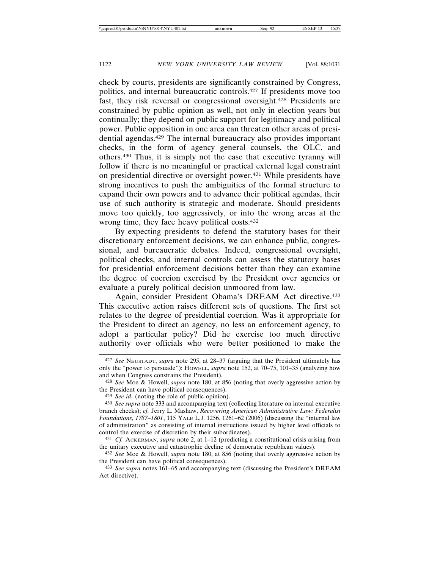check by courts, presidents are significantly constrained by Congress, politics, and internal bureaucratic controls.427 If presidents move too fast, they risk reversal or congressional oversight.428 Presidents are constrained by public opinion as well, not only in election years but continually; they depend on public support for legitimacy and political power. Public opposition in one area can threaten other areas of presidential agendas.429 The internal bureaucracy also provides important checks, in the form of agency general counsels, the OLC, and others.430 Thus, it is simply not the case that executive tyranny will follow if there is no meaningful or practical external legal constraint on presidential directive or oversight power.431 While presidents have strong incentives to push the ambiguities of the formal structure to expand their own powers and to advance their political agendas, their use of such authority is strategic and moderate. Should presidents move too quickly, too aggressively, or into the wrong areas at the wrong time, they face heavy political costs.432

By expecting presidents to defend the statutory bases for their discretionary enforcement decisions, we can enhance public, congressional, and bureaucratic debates. Indeed, congressional oversight, political checks, and internal controls can assess the statutory bases for presidential enforcement decisions better than they can examine the degree of coercion exercised by the President over agencies or evaluate a purely political decision unmoored from law.

Again, consider President Obama's DREAM Act directive.433 This executive action raises different sets of questions. The first set relates to the degree of presidential coercion. Was it appropriate for the President to direct an agency, no less an enforcement agency, to adopt a particular policy? Did he exercise too much directive authority over officials who were better positioned to make the

<sup>427</sup> *See* NEUSTADT, *supra* note 295, at 28–37 (arguing that the President ultimately has only the "power to persuade"); HOWELL, *supra* note 152, at 70–75, 101–35 (analyzing how and when Congress constrains the President).

<sup>428</sup> *See* Moe & Howell, *supra* note 180, at 856 (noting that overly aggressive action by the President can have political consequences).

<sup>429</sup> *See id.* (noting the role of public opinion).

<sup>430</sup> *See supra* note 333 and accompanying text (collecting literature on internal executive branch checks); *cf.* Jerry L. Mashaw, *Recovering American Administrative Law: Federalist Foundations, 1787–1801*, 115 YALE L.J. 1256, 1261–62 (2006) (discussing the "internal law of administration" as consisting of internal instructions issued by higher level officials to control the exercise of discretion by their subordinates).

<sup>431</sup> *Cf.* ACKERMAN, *supra* note 2, at 1–12 (predicting a constitutional crisis arising from the unitary executive and catastrophic decline of democratic republican values).

<sup>432</sup> *See* Moe & Howell, *supra* note 180, at 856 (noting that overly aggressive action by the President can have political consequences).

<sup>433</sup> *See supra* notes 161–65 and accompanying text (discussing the President's DREAM Act directive).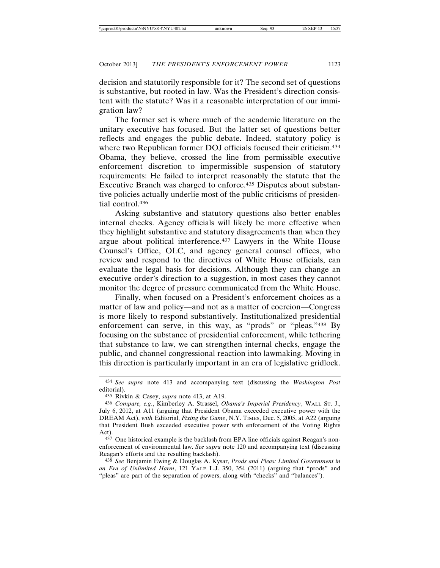decision and statutorily responsible for it? The second set of questions is substantive, but rooted in law. Was the President's direction consistent with the statute? Was it a reasonable interpretation of our immigration law?

The former set is where much of the academic literature on the unitary executive has focused. But the latter set of questions better reflects and engages the public debate. Indeed, statutory policy is where two Republican former DOJ officials focused their criticism.<sup>434</sup> Obama, they believe, crossed the line from permissible executive enforcement discretion to impermissible suspension of statutory requirements: He failed to interpret reasonably the statute that the Executive Branch was charged to enforce.<sup>435</sup> Disputes about substantive policies actually underlie most of the public criticisms of presidential control.436

Asking substantive and statutory questions also better enables internal checks. Agency officials will likely be more effective when they highlight substantive and statutory disagreements than when they argue about political interference.437 Lawyers in the White House Counsel's Office, OLC, and agency general counsel offices, who review and respond to the directives of White House officials, can evaluate the legal basis for decisions. Although they can change an executive order's direction to a suggestion, in most cases they cannot monitor the degree of pressure communicated from the White House.

Finally, when focused on a President's enforcement choices as a matter of law and policy—and not as a matter of coercion—Congress is more likely to respond substantively. Institutionalized presidential enforcement can serve, in this way, as "prods" or "pleas."438 By focusing on the substance of presidential enforcement, while tethering that substance to law, we can strengthen internal checks, engage the public, and channel congressional reaction into lawmaking. Moving in this direction is particularly important in an era of legislative gridlock.

<sup>434</sup> *See supra* note 413 and accompanying text (discussing the *Washington Post* editorial).

<sup>435</sup> Rivkin & Casey, *supra* note 413, at A19.

<sup>436</sup> *Compare, e.g.*, Kimberley A. Strassel, *Obama's Imperial Presidency*, WALL ST. J., July 6, 2012, at A11 (arguing that President Obama exceeded executive power with the DREAM Act), *with* Editorial, *Fixing the Game*, N.Y. TIMES, Dec. 5, 2005, at A22 (arguing that President Bush exceeded executive power with enforcement of the Voting Rights Act).

<sup>437</sup> One historical example is the backlash from EPA line officials against Reagan's nonenforcement of environmental law. *See supra* note 120 and accompanying text (discussing Reagan's efforts and the resulting backlash).

<sup>438</sup> *See* Benjamin Ewing & Douglas A. Kysar, *Prods and Pleas: Limited Government in an Era of Unlimited Harm*, 121 YALE L.J. 350, 354 (2011) (arguing that "prods" and "pleas" are part of the separation of powers, along with "checks" and "balances").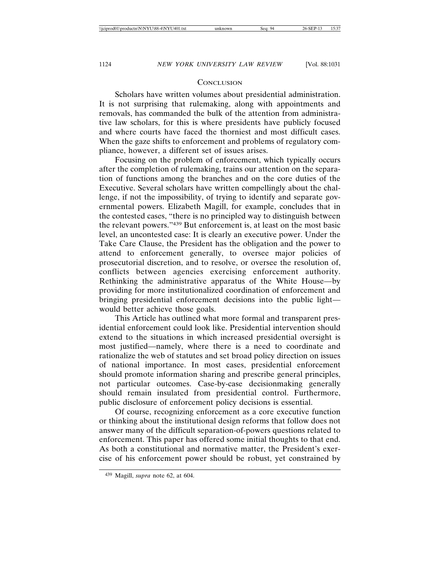#### **CONCLUSION**

Scholars have written volumes about presidential administration. It is not surprising that rulemaking, along with appointments and removals, has commanded the bulk of the attention from administrative law scholars, for this is where presidents have publicly focused and where courts have faced the thorniest and most difficult cases. When the gaze shifts to enforcement and problems of regulatory compliance, however, a different set of issues arises.

Focusing on the problem of enforcement, which typically occurs after the completion of rulemaking, trains our attention on the separation of functions among the branches and on the core duties of the Executive. Several scholars have written compellingly about the challenge, if not the impossibility, of trying to identify and separate governmental powers. Elizabeth Magill, for example, concludes that in the contested cases, "there is no principled way to distinguish between the relevant powers."439 But enforcement is, at least on the most basic level, an uncontested case: It is clearly an executive power. Under the Take Care Clause, the President has the obligation and the power to attend to enforcement generally, to oversee major policies of prosecutorial discretion, and to resolve, or oversee the resolution of, conflicts between agencies exercising enforcement authority. Rethinking the administrative apparatus of the White House—by providing for more institutionalized coordination of enforcement and bringing presidential enforcement decisions into the public light would better achieve those goals.

This Article has outlined what more formal and transparent presidential enforcement could look like. Presidential intervention should extend to the situations in which increased presidential oversight is most justified—namely, where there is a need to coordinate and rationalize the web of statutes and set broad policy direction on issues of national importance. In most cases, presidential enforcement should promote information sharing and prescribe general principles, not particular outcomes. Case-by-case decisionmaking generally should remain insulated from presidential control. Furthermore, public disclosure of enforcement policy decisions is essential.

Of course, recognizing enforcement as a core executive function or thinking about the institutional design reforms that follow does not answer many of the difficult separation-of-powers questions related to enforcement. This paper has offered some initial thoughts to that end. As both a constitutional and normative matter, the President's exercise of his enforcement power should be robust, yet constrained by